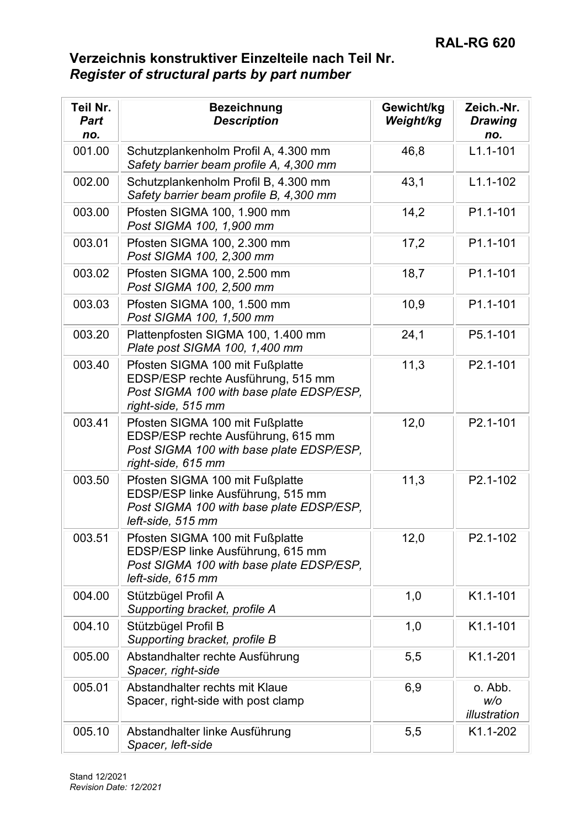| Teil Nr.<br><b>Part</b><br>no. | <b>Bezeichnung</b><br><b>Description</b>                                                                                                | Gewicht/kg<br>Weight/kg | Zeich.-Nr.<br><b>Drawing</b><br>no. |
|--------------------------------|-----------------------------------------------------------------------------------------------------------------------------------------|-------------------------|-------------------------------------|
| 001.00                         | Schutzplankenholm Profil A, 4.300 mm<br>Safety barrier beam profile A, 4,300 mm                                                         | 46,8                    | $L1.1 - 101$                        |
| 002.00                         | Schutzplankenholm Profil B, 4.300 mm<br>Safety barrier beam profile B, 4,300 mm                                                         | 43,1                    | $L1.1 - 102$                        |
| 003.00                         | Pfosten SIGMA 100, 1.900 mm<br>Post SIGMA 100, 1,900 mm                                                                                 | 14,2                    | P1.1-101                            |
| 003.01                         | Pfosten SIGMA 100, 2.300 mm<br>Post SIGMA 100, 2,300 mm                                                                                 | 17,2                    | P1.1-101                            |
| 003.02                         | Pfosten SIGMA 100, 2.500 mm<br>Post SIGMA 100, 2,500 mm                                                                                 | 18,7                    | P1.1-101                            |
| 003.03                         | Pfosten SIGMA 100, 1.500 mm<br>Post SIGMA 100, 1,500 mm                                                                                 | 10,9                    | P1.1-101                            |
| 003.20                         | Plattenpfosten SIGMA 100, 1.400 mm<br>Plate post SIGMA 100, 1,400 mm                                                                    | 24,1                    | P5.1-101                            |
| 003.40                         | Pfosten SIGMA 100 mit Fußplatte<br>EDSP/ESP rechte Ausführung, 515 mm<br>Post SIGMA 100 with base plate EDSP/ESP,<br>right-side, 515 mm | 11,3                    | P2.1-101                            |
| 003.41                         | Pfosten SIGMA 100 mit Fußplatte<br>EDSP/ESP rechte Ausführung, 615 mm<br>Post SIGMA 100 with base plate EDSP/ESP,<br>right-side, 615 mm | 12,0                    | P2.1-101                            |
| 003.50                         | Pfosten SIGMA 100 mit Fußplatte<br>EDSP/ESP linke Ausführung, 515 mm<br>Post SIGMA 100 with base plate EDSP/ESP,<br>left-side, 515 mm   | 11,3                    | P2.1-102                            |
| 003.51                         | Pfosten SIGMA 100 mit Fußplatte<br>EDSP/ESP linke Ausführung, 615 mm<br>Post SIGMA 100 with base plate EDSP/ESP,<br>left-side, 615 mm   | 12,0                    | P2.1-102                            |
| 004.00                         | Stützbügel Profil A<br>Supporting bracket, profile A                                                                                    | 1,0                     | K1.1-101                            |
| 004.10                         | Stützbügel Profil B<br>Supporting bracket, profile B                                                                                    | 1,0                     | K1.1-101                            |
| 005.00                         | Abstandhalter rechte Ausführung<br>Spacer, right-side                                                                                   | 5,5                     | K1.1-201                            |
| 005.01                         | Abstandhalter rechts mit Klaue<br>Spacer, right-side with post clamp                                                                    | 6,9                     | o. Abb.<br>W/O<br>illustration      |
| 005.10                         | Abstandhalter linke Ausführung<br>Spacer, left-side                                                                                     | 5,5                     | K1.1-202                            |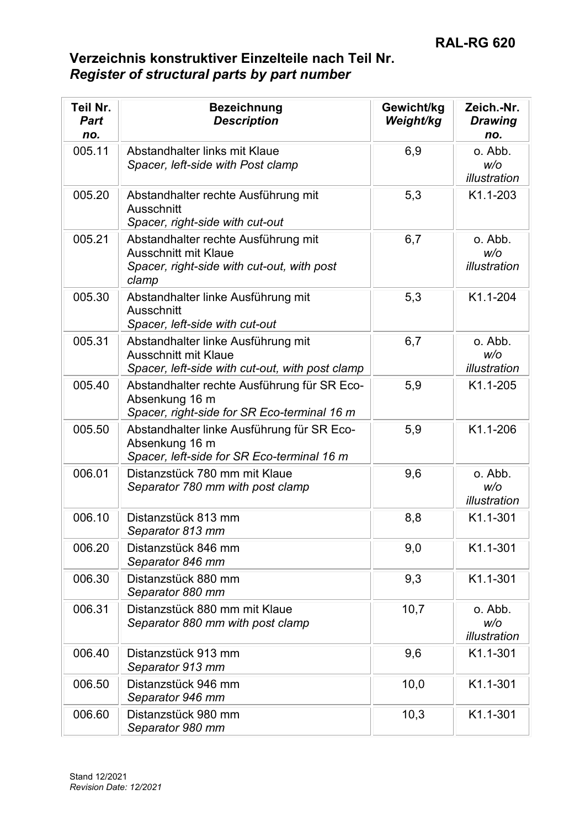| Teil Nr.<br><b>Part</b><br>no. | <b>Bezeichnung</b><br><b>Description</b>                                                                                  | Gewicht/kg<br>Weight/kg | Zeich.-Nr.<br><b>Drawing</b><br>no. |
|--------------------------------|---------------------------------------------------------------------------------------------------------------------------|-------------------------|-------------------------------------|
| 005.11                         | Abstandhalter links mit Klaue<br>Spacer, left-side with Post clamp                                                        | 6,9                     | o. Abb.<br>W/O<br>illustration      |
| 005.20                         | Abstandhalter rechte Ausführung mit<br>Ausschnitt<br>Spacer, right-side with cut-out                                      | 5,3                     | K1.1-203                            |
| 005.21                         | Abstandhalter rechte Ausführung mit<br><b>Ausschnitt mit Klaue</b><br>Spacer, right-side with cut-out, with post<br>clamp | 6,7                     | o. Abb.<br>W/O<br>illustration      |
| 005.30                         | Abstandhalter linke Ausführung mit<br>Ausschnitt<br>Spacer, left-side with cut-out                                        | 5,3                     | K1.1-204                            |
| 005.31                         | Abstandhalter linke Ausführung mit<br><b>Ausschnitt mit Klaue</b><br>Spacer, left-side with cut-out, with post clamp      | 6,7                     | o. Abb.<br>W/O<br>illustration      |
| 005.40                         | Abstandhalter rechte Ausführung für SR Eco-<br>Absenkung 16 m<br>Spacer, right-side for SR Eco-terminal 16 m              | 5,9                     | K1.1-205                            |
| 005.50                         | Abstandhalter linke Ausführung für SR Eco-<br>Absenkung 16 m<br>Spacer, left-side for SR Eco-terminal 16 m                | 5,9                     | K1.1-206                            |
| 006.01                         | Distanzstück 780 mm mit Klaue<br>Separator 780 mm with post clamp                                                         | 9,6                     | o. Abb.<br>W/O<br>illustration      |
| 006.10                         | Distanzstück 813 mm<br>Separator 813 mm                                                                                   | 8,8                     | K1.1-301                            |
| 006.20                         | Distanzstück 846 mm<br>Separator 846 mm                                                                                   | 9,0                     | K1.1-301                            |
| 006.30                         | Distanzstück 880 mm<br>Separator 880 mm                                                                                   | 9,3                     | K1.1-301                            |
| 006.31                         | Distanzstück 880 mm mit Klaue<br>Separator 880 mm with post clamp                                                         | 10,7                    | o. Abb.<br>w/o<br>illustration      |
| 006.40                         | Distanzstück 913 mm<br>Separator 913 mm                                                                                   | 9,6                     | K1.1-301                            |
| 006.50                         | Distanzstück 946 mm<br>Separator 946 mm                                                                                   | 10,0                    | K1.1-301                            |
| 006.60                         | Distanzstück 980 mm<br>Separator 980 mm                                                                                   | 10,3                    | K1.1-301                            |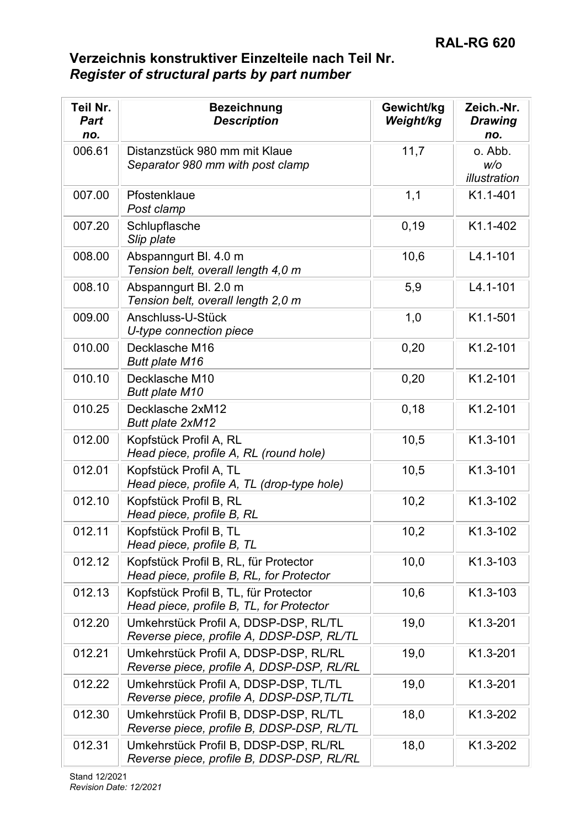| Teil Nr.<br><b>Part</b><br>no. | <b>Bezeichnung</b><br><b>Description</b>                                           | Gewicht/kg<br>Weight/kg | Zeich.-Nr.<br><b>Drawing</b><br>no. |
|--------------------------------|------------------------------------------------------------------------------------|-------------------------|-------------------------------------|
| 006.61                         | Distanzstück 980 mm mit Klaue<br>Separator 980 mm with post clamp                  | 11,7                    | o. Abb.<br>W/O<br>illustration      |
| 007.00                         | Pfostenklaue<br>Post clamp                                                         | 1,1                     | K1.1-401                            |
| 007.20                         | Schlupflasche<br>Slip plate                                                        | 0, 19                   | K1.1-402                            |
| 008.00                         | Abspanngurt Bl. 4.0 m<br>Tension belt, overall length 4,0 m                        | 10,6                    | $L4.1 - 101$                        |
| 008.10                         | Abspanngurt Bl. 2.0 m<br>Tension belt, overall length 2,0 m                        | 5,9                     | $L4.1 - 101$                        |
| 009.00                         | Anschluss-U-Stück<br>U-type connection piece                                       | 1,0                     | K1.1-501                            |
| 010.00                         | Decklasche M16<br><b>Butt plate M16</b>                                            | 0,20                    | K1.2-101                            |
| 010.10                         | Decklasche M10<br><b>Butt plate M10</b>                                            | 0,20                    | K1.2-101                            |
| 010.25                         | Decklasche 2xM12<br>Butt plate 2xM12                                               | 0, 18                   | K1.2-101                            |
| 012.00                         | Kopfstück Profil A, RL<br>Head piece, profile A, RL (round hole)                   | 10,5                    | K1.3-101                            |
| 012.01                         | Kopfstück Profil A, TL<br>Head piece, profile A, TL (drop-type hole)               | 10,5                    | K1.3-101                            |
| 012.10                         | Kopfstück Profil B, RL<br>Head piece, profile B, RL                                | 10,2                    | K1.3-102                            |
| 012.11                         | Kopfstück Profil B, TL<br>Head piece, profile B, TL                                | 10,2                    | K1.3-102                            |
| 012.12                         | Kopfstück Profil B, RL, für Protector<br>Head piece, profile B, RL, for Protector  | 10,0                    | K1.3-103                            |
| 012.13                         | Kopfstück Profil B, TL, für Protector<br>Head piece, profile B, TL, for Protector  | 10,6                    | K1.3-103                            |
| 012.20                         | Umkehrstück Profil A, DDSP-DSP, RL/TL<br>Reverse piece, profile A, DDSP-DSP, RL/TL | 19,0                    | K1.3-201                            |
| 012.21                         | Umkehrstück Profil A, DDSP-DSP, RL/RL<br>Reverse piece, profile A, DDSP-DSP, RL/RL | 19,0                    | K1.3-201                            |
| 012.22                         | Umkehrstück Profil A, DDSP-DSP, TL/TL<br>Reverse piece, profile A, DDSP-DSP, TL/TL | 19,0                    | K1.3-201                            |
| 012.30                         | Umkehrstück Profil B, DDSP-DSP, RL/TL<br>Reverse piece, profile B, DDSP-DSP, RL/TL | 18,0                    | K1.3-202                            |
| 012.31                         | Umkehrstück Profil B, DDSP-DSP, RL/RL<br>Reverse piece, profile B, DDSP-DSP, RL/RL | 18,0                    | K1.3-202                            |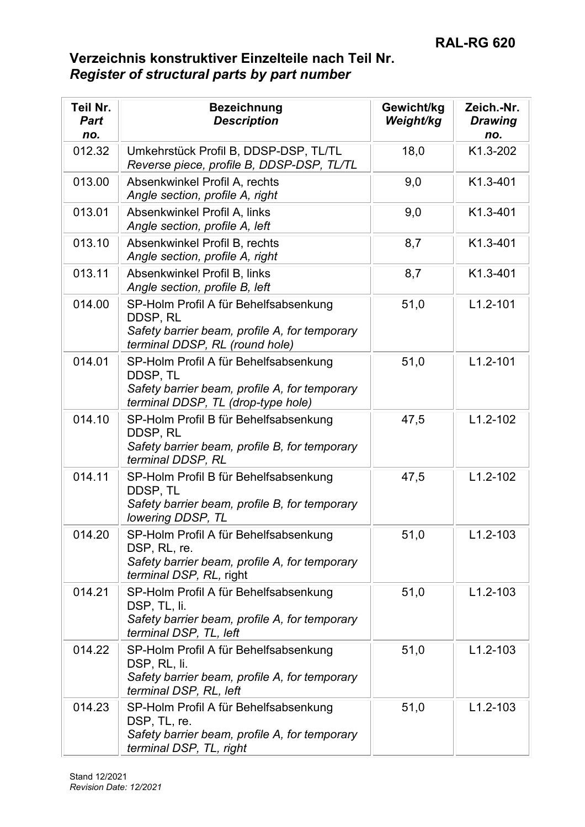| Teil Nr.<br><b>Part</b><br>no. | <b>Bezeichnung</b><br><b>Description</b>                                                                                                 | Gewicht/kg<br>Weight/kg | Zeich.-Nr.<br><b>Drawing</b><br>no. |
|--------------------------------|------------------------------------------------------------------------------------------------------------------------------------------|-------------------------|-------------------------------------|
| 012.32                         | Umkehrstück Profil B, DDSP-DSP, TL/TL<br>Reverse piece, profile B, DDSP-DSP, TL/TL                                                       | 18,0                    | K1.3-202                            |
| 013.00                         | Absenkwinkel Profil A, rechts<br>Angle section, profile A, right                                                                         | 9,0                     | K1.3-401                            |
| 013.01                         | Absenkwinkel Profil A, links<br>Angle section, profile A, left                                                                           | 9,0                     | K1.3-401                            |
| 013.10                         | Absenkwinkel Profil B, rechts<br>Angle section, profile A, right                                                                         | 8,7                     | K1.3-401                            |
| 013.11                         | Absenkwinkel Profil B, links<br>Angle section, profile B, left                                                                           | 8,7                     | K1.3-401                            |
| 014.00                         | SP-Holm Profil A für Behelfsabsenkung<br>DDSP, RL<br>Safety barrier beam, profile A, for temporary<br>terminal DDSP, RL (round hole)     | 51,0                    | $L1.2 - 101$                        |
| 014.01                         | SP-Holm Profil A für Behelfsabsenkung<br>DDSP, TL<br>Safety barrier beam, profile A, for temporary<br>terminal DDSP, TL (drop-type hole) | 51,0                    | $L1.2 - 101$                        |
| 014.10                         | SP-Holm Profil B für Behelfsabsenkung<br>DDSP, RL<br>Safety barrier beam, profile B, for temporary<br>terminal DDSP, RL                  | 47,5                    | $L1.2 - 102$                        |
| 014.11                         | SP-Holm Profil B für Behelfsabsenkung<br>DDSP, TL<br>Safety barrier beam, profile B, for temporary<br>lowering DDSP, TL                  | 47,5                    | $L1.2 - 102$                        |
| 014.20                         | SP-Holm Profil A für Behelfsabsenkung<br>DSP, RL, re.<br>Safety barrier beam, profile A, for temporary<br><i>terminal DSP, RL, right</i> | 51,0                    | $L1.2 - 103$                        |
| 014.21                         | SP-Holm Profil A für Behelfsabsenkung<br>DSP, TL, li.<br>Safety barrier beam, profile A, for temporary<br>terminal DSP, TL, left         | 51,0                    | $L1.2 - 103$                        |
| 014.22                         | SP-Holm Profil A für Behelfsabsenkung<br>DSP, RL, li.<br>Safety barrier beam, profile A, for temporary<br>terminal DSP, RL, left         | 51,0                    | $L1.2 - 103$                        |
| 014.23                         | SP-Holm Profil A für Behelfsabsenkung<br>DSP, TL, re.<br>Safety barrier beam, profile A, for temporary<br>terminal DSP, TL, right        | 51,0                    | $L1.2 - 103$                        |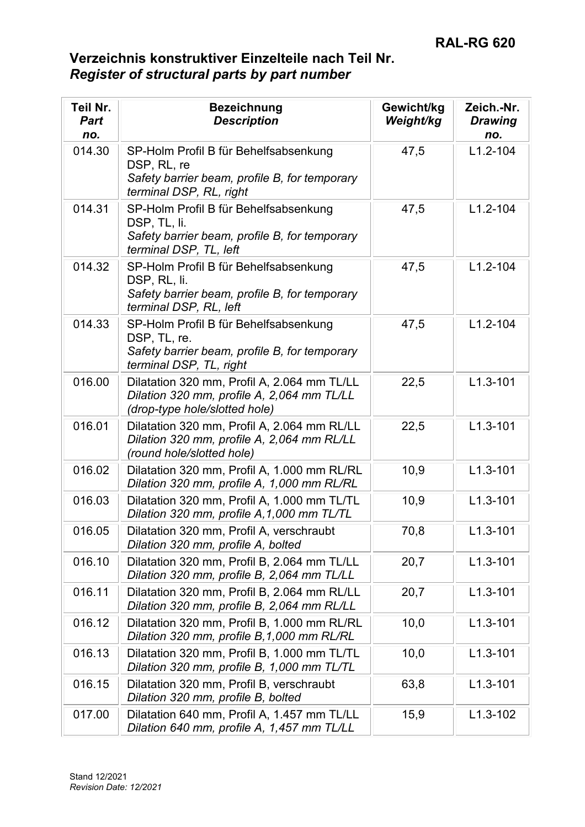| Teil Nr.<br><b>Part</b><br>no. | <b>Bezeichnung</b><br><b>Description</b>                                                                                          | Gewicht/kg<br>Weight/kg | Zeich.-Nr.<br><b>Drawing</b><br>no. |
|--------------------------------|-----------------------------------------------------------------------------------------------------------------------------------|-------------------------|-------------------------------------|
| 014.30                         | SP-Holm Profil B für Behelfsabsenkung<br>DSP, RL, re<br>Safety barrier beam, profile B, for temporary<br>terminal DSP, RL, right  | 47,5                    | $L1.2 - 104$                        |
| 014.31                         | SP-Holm Profil B für Behelfsabsenkung<br>DSP, TL, li.<br>Safety barrier beam, profile B, for temporary<br>terminal DSP, TL, left  | 47,5                    | $L1.2 - 104$                        |
| 014.32                         | SP-Holm Profil B für Behelfsabsenkung<br>DSP, RL, li.<br>Safety barrier beam, profile B, for temporary<br>terminal DSP, RL, left  | 47,5                    | $L1.2 - 104$                        |
| 014.33                         | SP-Holm Profil B für Behelfsabsenkung<br>DSP, TL, re.<br>Safety barrier beam, profile B, for temporary<br>terminal DSP, TL, right | 47,5                    | $L1.2 - 104$                        |
| 016.00                         | Dilatation 320 mm, Profil A, 2.064 mm TL/LL<br>Dilation 320 mm, profile A, 2,064 mm TL/LL<br>(drop-type hole/slotted hole)        | 22,5                    | $L1.3 - 101$                        |
| 016.01                         | Dilatation 320 mm, Profil A, 2.064 mm RL/LL<br>Dilation 320 mm, profile A, 2,064 mm RL/LL<br>(round hole/slotted hole)            | 22,5                    | $L1.3 - 101$                        |
| 016.02                         | Dilatation 320 mm, Profil A, 1.000 mm RL/RL<br>Dilation 320 mm, profile A, 1,000 mm RL/RL                                         | 10,9                    | $L1.3 - 101$                        |
| 016.03                         | Dilatation 320 mm, Profil A, 1.000 mm TL/TL<br>Dilation 320 mm, profile A, 1,000 mm TL/TL                                         | 10,9                    | $L1.3 - 101$                        |
| 016.05                         | Dilatation 320 mm, Profil A, verschraubt<br>Dilation 320 mm, profile A, bolted                                                    | 70,8                    | $L1.3 - 101$                        |
| 016.10                         | Dilatation 320 mm, Profil B, 2.064 mm TL/LL<br>Dilation 320 mm, profile B, 2,064 mm TL/LL                                         | 20,7                    | $L1.3 - 101$                        |
| 016.11                         | Dilatation 320 mm, Profil B, 2.064 mm RL/LL<br>Dilation 320 mm, profile B, 2,064 mm RL/LL                                         | 20,7                    | $L1.3 - 101$                        |
| 016.12                         | Dilatation 320 mm, Profil B, 1.000 mm RL/RL<br>Dilation 320 mm, profile B, 1,000 mm RL/RL                                         | 10,0                    | $L1.3 - 101$                        |
| 016.13                         | Dilatation 320 mm, Profil B, 1.000 mm TL/TL<br>Dilation 320 mm, profile B, 1,000 mm TL/TL                                         | 10,0                    | $L1.3 - 101$                        |
| 016.15                         | Dilatation 320 mm, Profil B, verschraubt<br>Dilation 320 mm, profile B, bolted                                                    | 63,8                    | $L1.3 - 101$                        |
| 017.00                         | Dilatation 640 mm, Profil A, 1.457 mm TL/LL<br>Dilation 640 mm, profile A, 1,457 mm TL/LL                                         | 15,9                    | $L1.3 - 102$                        |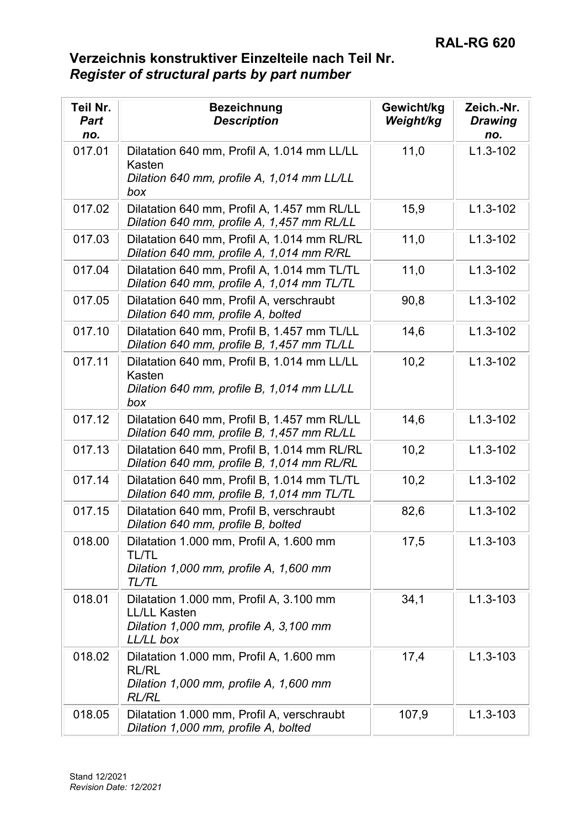| Teil Nr.<br><b>Part</b><br>no. | <b>Bezeichnung</b><br><b>Description</b>                                                                              | Gewicht/kg<br>Weight/kg | Zeich.-Nr.<br><b>Drawing</b><br>no. |
|--------------------------------|-----------------------------------------------------------------------------------------------------------------------|-------------------------|-------------------------------------|
| 017.01                         | Dilatation 640 mm, Profil A, 1.014 mm LL/LL<br>Kasten<br>Dilation 640 mm, profile A, 1,014 mm LL/LL<br>box            | 11,0                    | $L1.3 - 102$                        |
| 017.02                         | Dilatation 640 mm, Profil A, 1.457 mm RL/LL<br>Dilation 640 mm, profile A, 1,457 mm RL/LL                             | 15,9                    | $L1.3 - 102$                        |
| 017.03                         | Dilatation 640 mm, Profil A, 1.014 mm RL/RL<br>Dilation 640 mm, profile A, 1,014 mm R/RL                              | 11,0                    | $L1.3 - 102$                        |
| 017.04                         | Dilatation 640 mm, Profil A, 1.014 mm TL/TL<br>Dilation 640 mm, profile A, 1,014 mm TL/TL                             | 11,0                    | $L1.3 - 102$                        |
| 017.05                         | Dilatation 640 mm, Profil A, verschraubt<br>Dilation 640 mm, profile A, bolted                                        | 90,8                    | $L1.3 - 102$                        |
| 017.10                         | Dilatation 640 mm, Profil B, 1.457 mm TL/LL<br>Dilation 640 mm, profile B, 1,457 mm TL/LL                             | 14,6                    | $L1.3 - 102$                        |
| 017.11                         | Dilatation 640 mm, Profil B, 1.014 mm LL/LL<br>Kasten<br>Dilation 640 mm, profile B, 1,014 mm LL/LL<br>box            | 10,2                    | $L1.3 - 102$                        |
| 017.12                         | Dilatation 640 mm, Profil B, 1.457 mm RL/LL<br>Dilation 640 mm, profile B, 1,457 mm RL/LL                             | 14,6                    | $L1.3 - 102$                        |
| 017.13                         | Dilatation 640 mm, Profil B, 1.014 mm RL/RL<br>Dilation 640 mm, profile B, 1,014 mm RL/RL                             | 10,2                    | $L1.3 - 102$                        |
| 017.14                         | Dilatation 640 mm, Profil B, 1.014 mm TL/TL<br>Dilation 640 mm, profile B, 1,014 mm TL/TL                             | 10,2                    | $L1.3 - 102$                        |
| 017.15                         | Dilatation 640 mm, Profil B, verschraubt<br>Dilation 640 mm, profile B, bolted                                        | 82,6                    | $L1.3 - 102$                        |
| 018.00                         | Dilatation 1.000 mm, Profil A, 1.600 mm<br><b>TL/TL</b><br>Dilation 1,000 mm, profile A, 1,600 mm<br>TL/TL            | 17,5                    | L1.3-103                            |
| 018.01                         | Dilatation 1.000 mm, Profil A, 3.100 mm<br><b>LL/LL Kasten</b><br>Dilation 1,000 mm, profile A, 3,100 mm<br>LL/LL box | 34,1                    | $L1.3 - 103$                        |
| 018.02                         | Dilatation 1.000 mm, Profil A, 1.600 mm<br><b>RL/RL</b><br>Dilation 1,000 mm, profile A, 1,600 mm<br><b>RL/RL</b>     | 17,4                    | $L1.3 - 103$                        |
| 018.05                         | Dilatation 1.000 mm, Profil A, verschraubt<br>Dilation 1,000 mm, profile A, bolted                                    | 107,9                   | $L1.3 - 103$                        |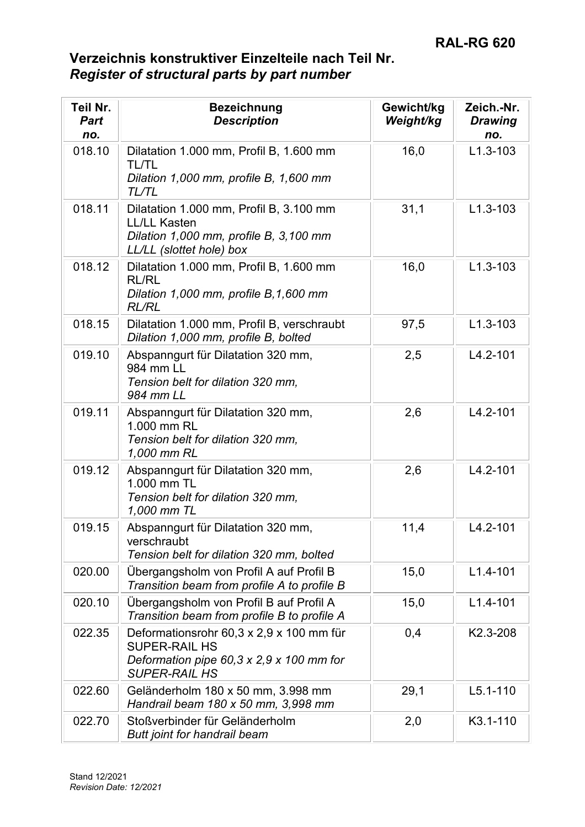| Teil Nr.<br><b>Part</b><br>no. | <b>Bezeichnung</b><br><b>Description</b>                                                                                                         | Gewicht/kg<br>Weight/kg | Zeich.-Nr.<br><b>Drawing</b><br>no. |
|--------------------------------|--------------------------------------------------------------------------------------------------------------------------------------------------|-------------------------|-------------------------------------|
| 018.10                         | Dilatation 1.000 mm, Profil B, 1.600 mm<br><b>TL/TL</b><br>Dilation 1,000 mm, profile B, 1,600 mm<br>TL/TL                                       | 16,0                    | $L1.3 - 103$                        |
| 018.11                         | Dilatation 1.000 mm, Profil B, 3.100 mm<br><b>LL/LL Kasten</b><br>Dilation 1,000 mm, profile B, 3,100 mm<br>LL/LL (slottet hole) box             | 31,1                    | $L1.3 - 103$                        |
| 018.12                         | Dilatation 1.000 mm, Profil B, 1.600 mm<br><b>RL/RL</b><br>Dilation 1,000 mm, profile B, 1,600 mm<br><b>RL/RL</b>                                | 16,0                    | $L1.3 - 103$                        |
| 018.15                         | Dilatation 1.000 mm, Profil B, verschraubt<br>Dilation 1,000 mm, profile B, bolted                                                               | 97,5                    | $L1.3 - 103$                        |
| 019.10                         | Abspanngurt für Dilatation 320 mm,<br>984 mm LL<br>Tension belt for dilation 320 mm,<br>984 mm LL                                                | 2,5                     | $L4.2 - 101$                        |
| 019.11                         | Abspanngurt für Dilatation 320 mm,<br>1.000 mm RL<br>Tension belt for dilation 320 mm,<br>1,000 mm RL                                            | 2,6                     | $L4.2 - 101$                        |
| 019.12                         | Abspanngurt für Dilatation 320 mm,<br>1.000 mm TL<br>Tension belt for dilation 320 mm,<br>1,000 mm TL                                            | 2,6                     | $L4.2 - 101$                        |
| 019.15                         | Abspanngurt für Dilatation 320 mm,<br>verschraubt<br>Tension belt for dilation 320 mm, bolted                                                    | 11,4                    | $L4.2 - 101$                        |
| 020.00                         | Übergangsholm von Profil A auf Profil B<br>Transition beam from profile A to profile B                                                           | 15,0                    | $L1.4 - 101$                        |
| 020.10                         | Übergangsholm von Profil B auf Profil A<br>Transition beam from profile B to profile A                                                           | 15,0                    | $L1.4 - 101$                        |
| 022.35                         | Deformationsrohr 60,3 x 2,9 x 100 mm für<br><b>SUPER-RAIL HS</b><br>Deformation pipe $60,3 \times 2,9 \times 100$ mm for<br><b>SUPER-RAIL HS</b> | 0,4                     | K2.3-208                            |
| 022.60                         | Geländerholm 180 x 50 mm, 3.998 mm<br>Handrail beam 180 x 50 mm, 3,998 mm                                                                        | 29,1                    | $L5.1 - 110$                        |
| 022.70                         | Stoßverbinder für Geländerholm<br>Butt joint for handrail beam                                                                                   | 2,0                     | K3.1-110                            |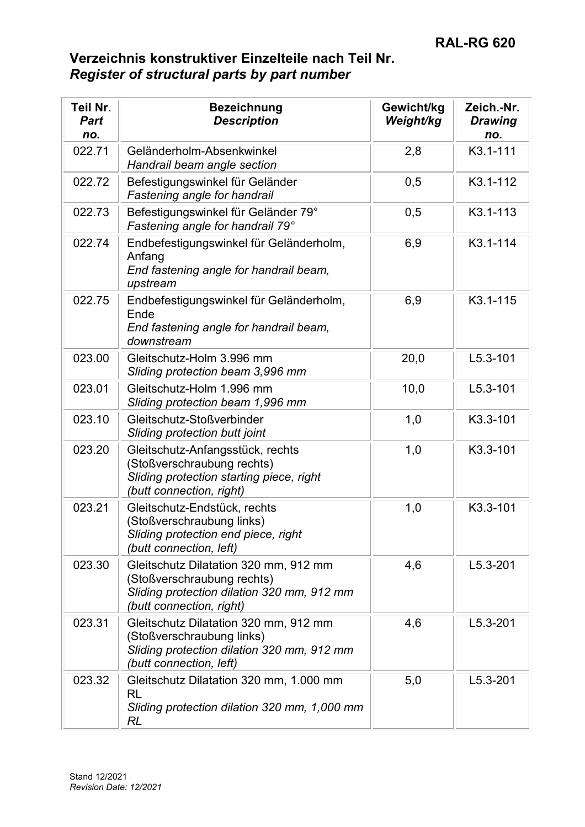| Teil Nr.<br><b>Part</b><br>no. | <b>Bezeichnung</b><br><b>Description</b>                                                                                                      | Gewicht/kg<br>Weight/kg | Zeich.-Nr.<br><b>Drawing</b><br>no. |
|--------------------------------|-----------------------------------------------------------------------------------------------------------------------------------------------|-------------------------|-------------------------------------|
| 022.71                         | Geländerholm-Absenkwinkel<br>Handrail beam angle section                                                                                      | 2,8                     | K3.1-111                            |
| 022.72                         | Befestigungswinkel für Geländer<br>Fastening angle for handrail                                                                               | 0,5                     | K3.1-112                            |
| 022.73                         | Befestigungswinkel für Geländer 79°<br>Fastening angle for handrail 79°                                                                       | 0,5                     | K3.1-113                            |
| 022.74                         | Endbefestigungswinkel für Geländerholm,<br>Anfang<br>End fastening angle for handrail beam,<br>upstream                                       | 6,9                     | K3.1-114                            |
| 022.75                         | Endbefestigungswinkel für Geländerholm,<br>Ende<br>End fastening angle for handrail beam,<br>downstream                                       | 6,9                     | K3.1-115                            |
| 023.00                         | Gleitschutz-Holm 3.996 mm<br>Sliding protection beam 3,996 mm                                                                                 | 20,0                    | $L5.3 - 101$                        |
| 023.01                         | Gleitschutz-Holm 1.996 mm<br>Sliding protection beam 1,996 mm                                                                                 | 10,0                    | $L5.3 - 101$                        |
| 023.10                         | Gleitschutz-Stoßverbinder<br>Sliding protection butt joint                                                                                    | 1,0                     | K3.3-101                            |
| 023.20                         | Gleitschutz-Anfangsstück, rechts<br>(Stoßverschraubung rechts)<br>Sliding protection starting piece, right<br>(butt connection, right)        | 1,0                     | K3.3-101                            |
| 023.21                         | Gleitschutz-Endstück, rechts<br>(Stoßverschraubung links)<br>Sliding protection end piece, right<br>(butt connection, left)                   | 1,0                     | K3.3-101                            |
| 023.30                         | Gleitschutz Dilatation 320 mm, 912 mm<br>(Stoßverschraubung rechts)<br>Sliding protection dilation 320 mm, 912 mm<br>(butt connection, right) | 4,6                     | $L5.3 - 201$                        |
| 023.31                         | Gleitschutz Dilatation 320 mm, 912 mm<br>(Stoßverschraubung links)<br>Sliding protection dilation 320 mm, 912 mm<br>(butt connection, left)   | 4,6                     | $L5.3 - 201$                        |
| 023.32                         | Gleitschutz Dilatation 320 mm, 1.000 mm<br><b>RL</b><br>Sliding protection dilation 320 mm, 1,000 mm<br>RL                                    | 5,0                     | L5.3-201                            |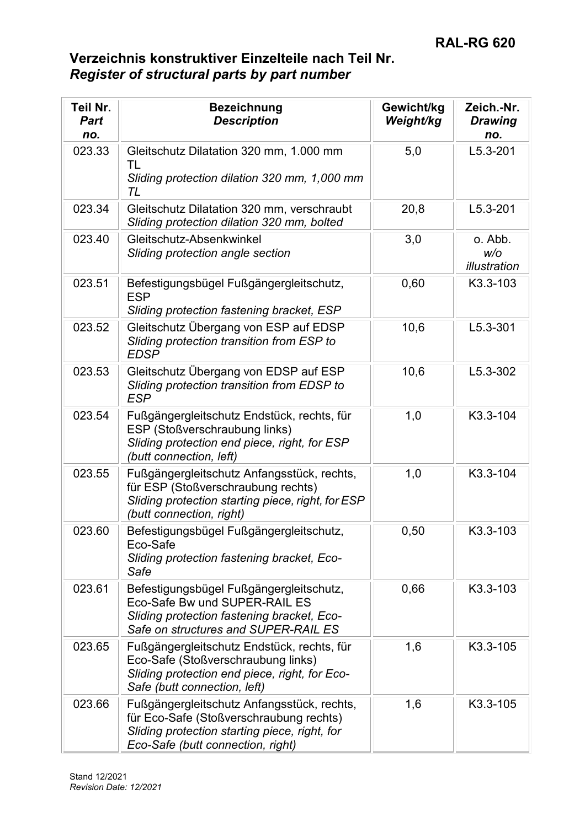| Teil Nr.<br>Part<br>no. | <b>Bezeichnung</b><br><b>Description</b>                                                                                                                                    | Gewicht/kg<br>Weight/kg | Zeich.-Nr.<br><b>Drawing</b><br>no. |
|-------------------------|-----------------------------------------------------------------------------------------------------------------------------------------------------------------------------|-------------------------|-------------------------------------|
| 023.33                  | Gleitschutz Dilatation 320 mm, 1.000 mm<br>TL<br>Sliding protection dilation 320 mm, 1,000 mm<br>TL                                                                         | 5,0                     | $L5.3 - 201$                        |
| 023.34                  | Gleitschutz Dilatation 320 mm, verschraubt<br>Sliding protection dilation 320 mm, bolted                                                                                    | 20,8                    | $L5.3 - 201$                        |
| 023.40                  | Gleitschutz-Absenkwinkel<br>Sliding protection angle section                                                                                                                | 3,0                     | o. Abb.<br>W/O<br>illustration      |
| 023.51                  | Befestigungsbügel Fußgängergleitschutz,<br><b>ESP</b><br>Sliding protection fastening bracket, ESP                                                                          | 0,60                    | K3.3-103                            |
| 023.52                  | Gleitschutz Übergang von ESP auf EDSP<br>Sliding protection transition from ESP to<br><b>EDSP</b>                                                                           | 10,6                    | L5.3-301                            |
| 023.53                  | Gleitschutz Übergang von EDSP auf ESP<br>Sliding protection transition from EDSP to<br><b>ESP</b>                                                                           | 10,6                    | L5.3-302                            |
| 023.54                  | Fußgängergleitschutz Endstück, rechts, für<br>ESP (Stoßverschraubung links)<br>Sliding protection end piece, right, for ESP<br>(butt connection, left)                      | 1,0                     | K3.3-104                            |
| 023.55                  | Fußgängergleitschutz Anfangsstück, rechts,<br>für ESP (Stoßverschraubung rechts)<br>Sliding protection starting piece, right, for ESP<br>(butt connection, right)           | 1,0                     | K3.3-104                            |
| 023.60                  | Befestigungsbügel Fußgängergleitschutz,<br>Eco-Safe<br>Sliding protection fastening bracket, Eco-<br>Safe                                                                   | 0,50                    | K3.3-103                            |
| 023.61                  | Befestigungsbügel Fußgängergleitschutz,<br>Eco-Safe Bw und SUPER-RAIL ES<br>Sliding protection fastening bracket, Eco-<br>Safe on structures and SUPER-RAIL ES              | 0,66                    | K3.3-103                            |
| 023.65                  | Fußgängergleitschutz Endstück, rechts, für<br>Eco-Safe (Stoßverschraubung links)<br>Sliding protection end piece, right, for Eco-<br>Safe (butt connection, left)           | 1,6                     | K3.3-105                            |
| 023.66                  | Fußgängergleitschutz Anfangsstück, rechts,<br>für Eco-Safe (Stoßverschraubung rechts)<br>Sliding protection starting piece, right, for<br>Eco-Safe (butt connection, right) | 1,6                     | K3.3-105                            |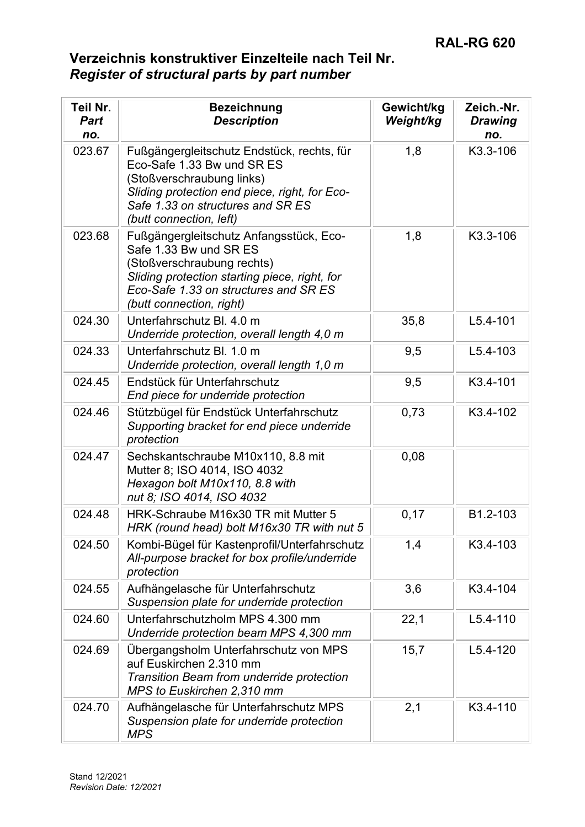| Teil Nr.<br><b>Part</b><br>no. | <b>Bezeichnung</b><br><b>Description</b>                                                                                                                                                                               | Gewicht/kg<br>Weight/kg | Zeich.-Nr.<br><b>Drawing</b><br>no. |
|--------------------------------|------------------------------------------------------------------------------------------------------------------------------------------------------------------------------------------------------------------------|-------------------------|-------------------------------------|
| 023.67                         | Fußgängergleitschutz Endstück, rechts, für<br>Eco-Safe 1.33 Bw und SR ES<br>(Stoßverschraubung links)<br>Sliding protection end piece, right, for Eco-<br>Safe 1.33 on structures and SR ES<br>(butt connection, left) | 1,8                     | K3.3-106                            |
| 023.68                         | Fußgängergleitschutz Anfangsstück, Eco-<br>Safe 1.33 Bw und SR ES<br>(Stoßverschraubung rechts)<br>Sliding protection starting piece, right, for<br>Eco-Safe 1.33 on structures and SR ES<br>(butt connection, right)  | 1,8                     | K3.3-106                            |
| 024.30                         | Unterfahrschutz Bl. 4.0 m<br>Underride protection, overall length 4,0 m                                                                                                                                                | 35,8                    | $L5.4 - 101$                        |
| 024.33                         | Unterfahrschutz Bl. 1.0 m<br>Underride protection, overall length 1,0 m                                                                                                                                                | 9,5                     | $L5.4 - 103$                        |
| 024.45                         | Endstück für Unterfahrschutz<br>End piece for underride protection                                                                                                                                                     | 9,5                     | K3.4-101                            |
| 024.46                         | Stützbügel für Endstück Unterfahrschutz<br>Supporting bracket for end piece underride<br>protection                                                                                                                    | 0,73                    | K3.4-102                            |
| 024.47                         | Sechskantschraube M10x110, 8.8 mit<br>Mutter 8; ISO 4014, ISO 4032<br>Hexagon bolt M10x110, 8.8 with<br>nut 8; ISO 4014, ISO 4032                                                                                      | 0,08                    |                                     |
| 024.48                         | HRK-Schraube M16x30 TR mit Mutter 5<br>HRK (round head) bolt M16x30 TR with nut 5                                                                                                                                      | 0,17                    | B1.2-103                            |
| 024.50                         | Kombi-Bügel für Kastenprofil/Unterfahrschutz<br>All-purpose bracket for box profile/underride<br>protection                                                                                                            | 1,4                     | K3.4-103                            |
| 024.55                         | Aufhängelasche für Unterfahrschutz<br>Suspension plate for underride protection                                                                                                                                        | 3,6                     | K3.4-104                            |
| 024.60                         | Unterfahrschutzholm MPS 4.300 mm<br>Underride protection beam MPS 4,300 mm                                                                                                                                             | 22,1                    | $L5.4 - 110$                        |
| 024.69                         | Übergangsholm Unterfahrschutz von MPS<br>auf Euskirchen 2.310 mm<br>Transition Beam from underride protection<br>MPS to Euskirchen 2,310 mm                                                                            | 15,7                    | $L5.4 - 120$                        |
| 024.70                         | Aufhängelasche für Unterfahrschutz MPS<br>Suspension plate for underride protection<br><b>MPS</b>                                                                                                                      | 2,1                     | K3.4-110                            |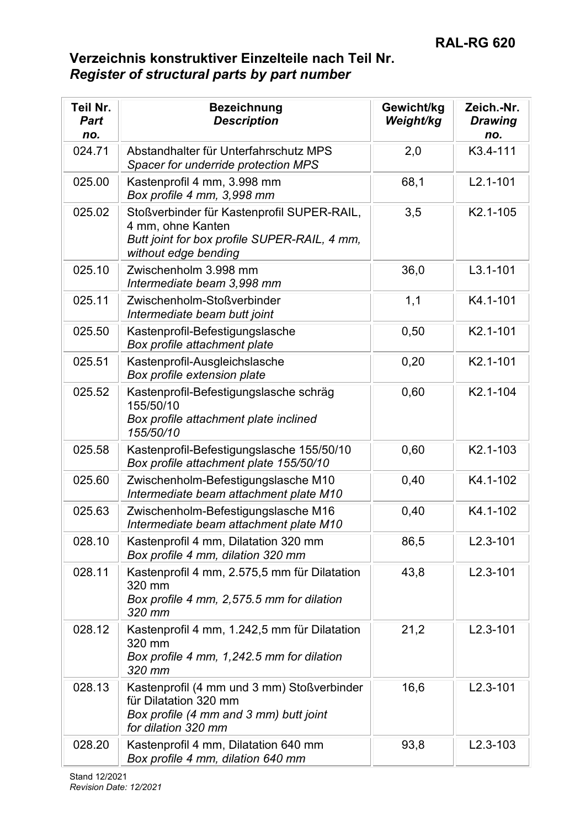| Teil Nr.<br><b>Part</b><br>no. | <b>Bezeichnung</b><br><b>Description</b>                                                                                                | Gewicht/kg<br>Weight/kg | Zeich.-Nr.<br><b>Drawing</b><br>no. |
|--------------------------------|-----------------------------------------------------------------------------------------------------------------------------------------|-------------------------|-------------------------------------|
| 024.71                         | Abstandhalter für Unterfahrschutz MPS<br>Spacer for underride protection MPS                                                            | 2,0                     | K3.4-111                            |
| 025.00                         | Kastenprofil 4 mm, 3.998 mm<br>Box profile 4 mm, 3,998 mm                                                                               | 68,1                    | $L2.1 - 101$                        |
| 025.02                         | Stoßverbinder für Kastenprofil SUPER-RAIL,<br>4 mm, ohne Kanten<br>Butt joint for box profile SUPER-RAIL, 4 mm,<br>without edge bending | 3,5                     | K2.1-105                            |
| 025.10                         | Zwischenholm 3.998 mm<br>Intermediate beam 3,998 mm                                                                                     | 36,0                    | $L3.1 - 101$                        |
| 025.11                         | Zwischenholm-Stoßverbinder<br>Intermediate beam butt joint                                                                              | 1,1                     | K4.1-101                            |
| 025.50                         | Kastenprofil-Befestigungslasche<br>Box profile attachment plate                                                                         | 0,50                    | K2.1-101                            |
| 025.51                         | Kastenprofil-Ausgleichslasche<br>Box profile extension plate                                                                            | 0,20                    | K2.1-101                            |
| 025.52                         | Kastenprofil-Befestigungslasche schräg<br>155/50/10<br>Box profile attachment plate inclined<br>155/50/10                               | 0,60                    | K2.1-104                            |
| 025.58                         | Kastenprofil-Befestigungslasche 155/50/10<br>Box profile attachment plate 155/50/10                                                     | 0,60                    | K2.1-103                            |
| 025.60                         | Zwischenholm-Befestigungslasche M10<br>Intermediate beam attachment plate M10                                                           | 0,40                    | K4.1-102                            |
| 025.63                         | Zwischenholm-Befestigungslasche M16<br>Intermediate beam attachment plate M10                                                           | 0,40                    | K4.1-102                            |
| 028.10                         | Kastenprofil 4 mm, Dilatation 320 mm<br>Box profile 4 mm, dilation 320 mm                                                               | 86,5                    | $L2.3 - 101$                        |
| 028.11                         | Kastenprofil 4 mm, 2.575,5 mm für Dilatation<br>320 mm<br>Box profile 4 mm, 2,575.5 mm for dilation<br>320 mm                           | 43,8                    | $L2.3 - 101$                        |
| 028.12                         | Kastenprofil 4 mm, 1.242,5 mm für Dilatation<br>320 mm<br>Box profile 4 mm, 1,242.5 mm for dilation<br>320 mm                           | 21,2                    | $L2.3 - 101$                        |
| 028.13                         | Kastenprofil (4 mm und 3 mm) Stoßverbinder<br>für Dilatation 320 mm<br>Box profile (4 mm and 3 mm) butt joint<br>for dilation 320 mm    | 16,6                    | $L2.3 - 101$                        |
| 028.20                         | Kastenprofil 4 mm, Dilatation 640 mm<br>Box profile 4 mm, dilation 640 mm                                                               | 93,8                    | $L2.3 - 103$                        |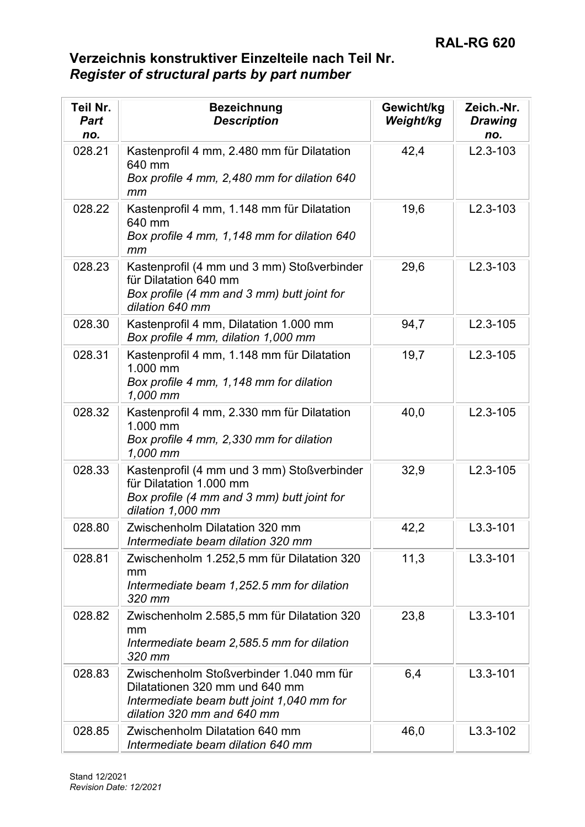| Teil Nr.<br><b>Part</b><br>no. | <b>Bezeichnung</b><br><b>Description</b>                                                                                                             | Gewicht/kg<br>Weight/kg | Zeich.-Nr.<br><b>Drawing</b><br>no. |
|--------------------------------|------------------------------------------------------------------------------------------------------------------------------------------------------|-------------------------|-------------------------------------|
| 028.21                         | Kastenprofil 4 mm, 2.480 mm für Dilatation<br>640 mm<br>Box profile 4 mm, 2,480 mm for dilation 640<br>mm                                            | 42,4                    | $L2.3 - 103$                        |
| 028.22                         | Kastenprofil 4 mm, 1.148 mm für Dilatation<br>640 mm<br>Box profile 4 mm, 1,148 mm for dilation 640<br>mm                                            | 19,6                    | $L2.3 - 103$                        |
| 028.23                         | Kastenprofil (4 mm und 3 mm) Stoßverbinder<br>für Dilatation 640 mm<br>Box profile (4 mm and 3 mm) butt joint for<br>dilation 640 mm                 | 29,6                    | $L2.3 - 103$                        |
| 028.30                         | Kastenprofil 4 mm, Dilatation 1.000 mm<br>Box profile 4 mm, dilation 1,000 mm                                                                        | 94,7                    | $L2.3 - 105$                        |
| 028.31                         | Kastenprofil 4 mm, 1.148 mm für Dilatation<br>1.000 mm<br>Box profile 4 mm, 1,148 mm for dilation<br>1,000 mm                                        | 19,7                    | $L2.3 - 105$                        |
| 028.32                         | Kastenprofil 4 mm, 2.330 mm für Dilatation<br>1.000 mm<br>Box profile 4 mm, 2,330 mm for dilation<br>1,000 mm                                        | 40,0                    | $L2.3 - 105$                        |
| 028.33                         | Kastenprofil (4 mm und 3 mm) Stoßverbinder<br>für Dilatation 1.000 mm<br>Box profile (4 mm and 3 mm) butt joint for<br>dilation 1,000 mm             | 32,9                    | $L2.3 - 105$                        |
| 028.80                         | Zwischenholm Dilatation 320 mm<br>Intermediate beam dilation 320 mm                                                                                  | 42,2                    | $L3.3 - 101$                        |
| 028.81                         | Zwischenholm 1.252,5 mm für Dilatation 320<br>mm<br>Intermediate beam 1,252.5 mm for dilation<br>320 mm                                              | 11,3                    | $L3.3 - 101$                        |
| 028.82                         | Zwischenholm 2.585,5 mm für Dilatation 320<br>mm<br>Intermediate beam 2,585.5 mm for dilation<br>320 mm                                              | 23,8                    | $L3.3 - 101$                        |
| 028.83                         | Zwischenholm Stoßverbinder 1.040 mm für<br>Dilatationen 320 mm und 640 mm<br>Intermediate beam butt joint 1,040 mm for<br>dilation 320 mm and 640 mm | 6,4                     | $L3.3 - 101$                        |
| 028.85                         | Zwischenholm Dilatation 640 mm<br>Intermediate beam dilation 640 mm                                                                                  | 46,0                    | $L3.3 - 102$                        |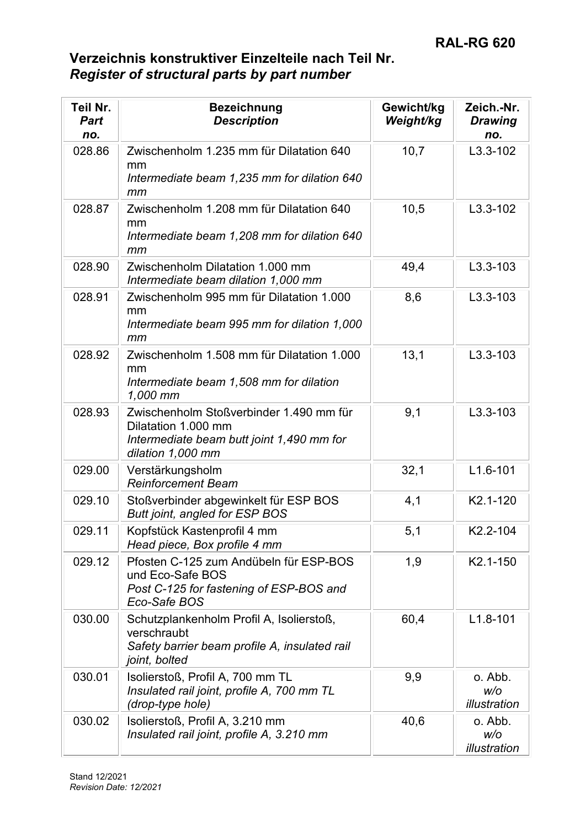| Teil Nr.<br><b>Part</b><br>no. | <b>Bezeichnung</b><br><b>Description</b>                                                                                         | Gewicht/kg<br>Weight/kg | Zeich.-Nr.<br><b>Drawing</b><br>no. |
|--------------------------------|----------------------------------------------------------------------------------------------------------------------------------|-------------------------|-------------------------------------|
| 028.86                         | Zwischenholm 1.235 mm für Dilatation 640<br>mm<br>Intermediate beam 1,235 mm for dilation 640<br>mm                              | 10,7                    | $L3.3 - 102$                        |
| 028.87                         | Zwischenholm 1.208 mm für Dilatation 640<br>mm<br>Intermediate beam 1,208 mm for dilation 640<br>mm                              | 10,5                    | $L3.3 - 102$                        |
| 028.90                         | Zwischenholm Dilatation 1.000 mm<br>Intermediate beam dilation 1,000 mm                                                          | 49,4                    | $L3.3 - 103$                        |
| 028.91                         | Zwischenholm 995 mm für Dilatation 1.000<br>mm<br>Intermediate beam 995 mm for dilation 1,000<br>mm                              | 8,6                     | $L3.3 - 103$                        |
| 028.92                         | Zwischenholm 1.508 mm für Dilatation 1.000<br>mm<br>Intermediate beam 1,508 mm for dilation<br>1,000 mm                          | 13,1                    | $L3.3 - 103$                        |
| 028.93                         | Zwischenholm Stoßverbinder 1.490 mm für<br>Dilatation 1.000 mm<br>Intermediate beam butt joint 1,490 mm for<br>dilation 1,000 mm | 9,1                     | $L3.3 - 103$                        |
| 029.00                         | Verstärkungsholm<br><b>Reinforcement Beam</b>                                                                                    | 32,1                    | $L1.6 - 101$                        |
| 029.10                         | Stoßverbinder abgewinkelt für ESP BOS<br>Butt joint, angled for ESP BOS                                                          | 4,1                     | K2.1-120                            |
| 029.11                         | Kopfstück Kastenprofil 4 mm<br>Head piece, Box profile 4 mm                                                                      | 5,1                     | K2.2-104                            |
| 029.12                         | Pfosten C-125 zum Andübeln für ESP-BOS<br>und Eco-Safe BOS<br>Post C-125 for fastening of ESP-BOS and<br>Eco-Safe BOS            | 1,9                     | K2.1-150                            |
| 030.00                         | Schutzplankenholm Profil A, Isolierstoß,<br>verschraubt<br>Safety barrier beam profile A, insulated rail<br>joint, bolted        | 60,4                    | $L1.8 - 101$                        |
| 030.01                         | Isolierstoß, Profil A, 700 mm TL<br>Insulated rail joint, profile A, 700 mm TL<br>(drop-type hole)                               | 9,9                     | o. Abb.<br>W/O<br>illustration      |
| 030.02                         | Isolierstoß, Profil A, 3.210 mm<br>Insulated rail joint, profile A, 3.210 mm                                                     | 40,6                    | o. Abb.<br>W/O<br>illustration      |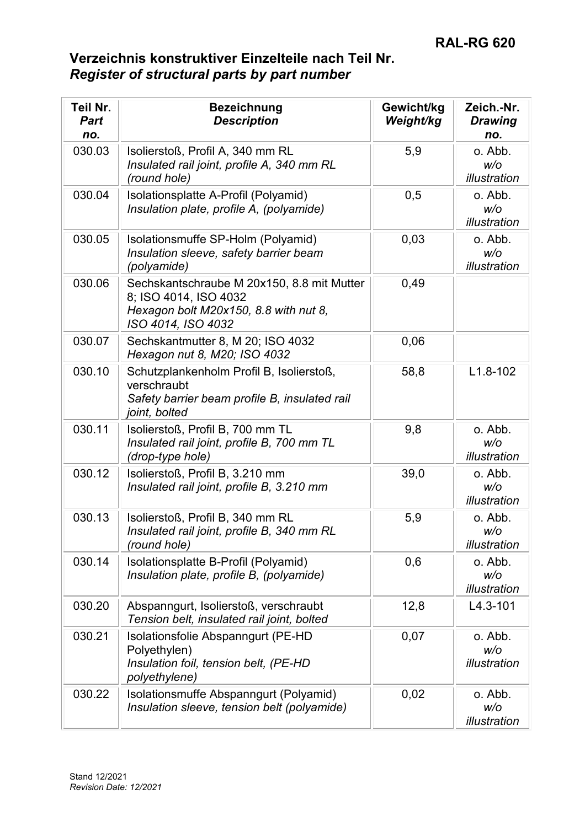| Teil Nr.<br><b>Part</b><br>no. | <b>Bezeichnung</b><br><b>Description</b>                                                                                           | Gewicht/kg<br>Weight/kg | Zeich.-Nr.<br><b>Drawing</b><br>no. |
|--------------------------------|------------------------------------------------------------------------------------------------------------------------------------|-------------------------|-------------------------------------|
| 030.03                         | Isolierstoß, Profil A, 340 mm RL<br>Insulated rail joint, profile A, 340 mm RL<br>(round hole)                                     | 5,9                     | o. Abb.<br>W/O<br>illustration      |
| 030.04                         | Isolationsplatte A-Profil (Polyamid)<br>Insulation plate, profile A, (polyamide)                                                   | 0,5                     | o. Abb.<br>W/O<br>illustration      |
| 030.05                         | Isolationsmuffe SP-Holm (Polyamid)<br>Insulation sleeve, safety barrier beam<br>(polyamide)                                        | 0,03                    | o. Abb.<br>W/O<br>illustration      |
| 030.06                         | Sechskantschraube M 20x150, 8.8 mit Mutter<br>8; ISO 4014, ISO 4032<br>Hexagon bolt M20x150, 8.8 with nut 8,<br>ISO 4014, ISO 4032 | 0,49                    |                                     |
| 030.07                         | Sechskantmutter 8, M 20; ISO 4032<br>Hexagon nut 8, M20; ISO 4032                                                                  | 0,06                    |                                     |
| 030.10                         | Schutzplankenholm Profil B, Isolierstoß,<br>verschraubt<br>Safety barrier beam profile B, insulated rail<br>joint, bolted          | 58,8                    | $L1.8 - 102$                        |
| 030.11                         | Isolierstoß, Profil B, 700 mm TL<br>Insulated rail joint, profile B, 700 mm TL<br>(drop-type hole)                                 | 9,8                     | o. Abb.<br>W/O<br>illustration      |
| 030.12                         | Isolierstoß, Profil B, 3.210 mm<br>Insulated rail joint, profile B, 3.210 mm                                                       | 39,0                    | o. Abb.<br>W/O<br>illustration      |
| 030.13                         | Isolierstoß, Profil B, 340 mm RL<br>Insulated rail joint, profile B, 340 mm RL<br>(round hole)                                     | 5,9                     | o. Abb.<br>w/o<br>illustration      |
| 030.14                         | Isolationsplatte B-Profil (Polyamid)<br>Insulation plate, profile B, (polyamide)                                                   | 0,6                     | o. Abb.<br>W/O<br>illustration      |
| 030.20                         | Abspanngurt, Isolierstoß, verschraubt<br>Tension belt, insulated rail joint, bolted                                                | 12,8                    | $L4.3 - 101$                        |
| 030.21                         | Isolationsfolie Abspanngurt (PE-HD<br>Polyethylen)<br>Insulation foil, tension belt, (PE-HD<br>polyethylene)                       | 0,07                    | o. Abb.<br>W/O<br>illustration      |
| 030.22                         | Isolationsmuffe Abspanngurt (Polyamid)<br>Insulation sleeve, tension belt (polyamide)                                              | 0,02                    | o. Abb.<br>W/O<br>illustration      |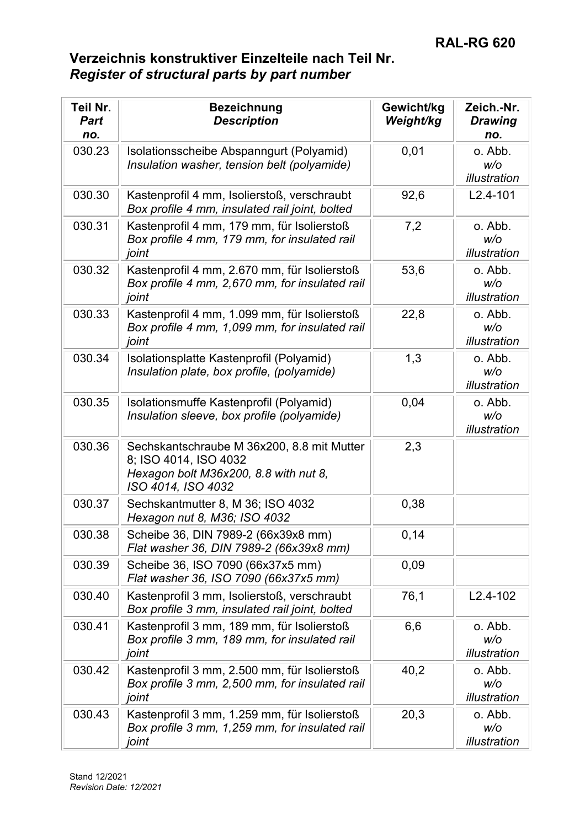| Teil Nr.<br><b>Part</b><br>no. | <b>Bezeichnung</b><br><b>Description</b>                                                                                           | Gewicht/kg<br>Weight/kg | Zeich.-Nr.<br><b>Drawing</b><br>no. |
|--------------------------------|------------------------------------------------------------------------------------------------------------------------------------|-------------------------|-------------------------------------|
| 030.23                         | Isolationsscheibe Abspanngurt (Polyamid)<br>Insulation washer, tension belt (polyamide)                                            | 0,01                    | o. Abb.<br>W/O<br>illustration      |
| 030.30                         | Kastenprofil 4 mm, Isolierstoß, verschraubt<br>Box profile 4 mm, insulated rail joint, bolted                                      | 92,6                    | $L2.4 - 101$                        |
| 030.31                         | Kastenprofil 4 mm, 179 mm, für Isolierstoß<br>Box profile 4 mm, 179 mm, for insulated rail<br>joint                                | 7,2                     | o. Abb.<br>W/O<br>illustration      |
| 030.32                         | Kastenprofil 4 mm, 2.670 mm, für Isolierstoß<br>Box profile 4 mm, 2,670 mm, for insulated rail<br>joint                            | 53,6                    | o. Abb.<br>W/O<br>illustration      |
| 030.33                         | Kastenprofil 4 mm, 1.099 mm, für Isolierstoß<br>Box profile 4 mm, 1,099 mm, for insulated rail<br>joint                            | 22,8                    | o. Abb.<br>W/O<br>illustration      |
| 030.34                         | Isolationsplatte Kastenprofil (Polyamid)<br>Insulation plate, box profile, (polyamide)                                             | 1,3                     | o. Abb.<br>W/O<br>illustration      |
| 030.35                         | Isolationsmuffe Kastenprofil (Polyamid)<br>Insulation sleeve, box profile (polyamide)                                              | 0,04                    | o. Abb.<br>W/O<br>illustration      |
| 030.36                         | Sechskantschraube M 36x200, 8.8 mit Mutter<br>8; ISO 4014, ISO 4032<br>Hexagon bolt M36x200, 8.8 with nut 8,<br>ISO 4014, ISO 4032 | 2,3                     |                                     |
| 030.37                         | Sechskantmutter 8, M 36; ISO 4032<br>Hexagon nut 8, M36; ISO 4032                                                                  | 0,38                    |                                     |
| 030.38                         | Scheibe 36, DIN 7989-2 (66x39x8 mm)<br>Flat washer 36, DIN 7989-2 (66x39x8 mm)                                                     | 0,14                    |                                     |
| 030.39                         | Scheibe 36, ISO 7090 (66x37x5 mm)<br>Flat washer 36, ISO 7090 (66x37x5 mm)                                                         | 0,09                    |                                     |
| 030.40                         | Kastenprofil 3 mm, Isolierstoß, verschraubt<br>Box profile 3 mm, insulated rail joint, bolted                                      | 76,1                    | $L2.4 - 102$                        |
| 030.41                         | Kastenprofil 3 mm, 189 mm, für Isolierstoß<br>Box profile 3 mm, 189 mm, for insulated rail<br>joint                                | 6,6                     | o. Abb.<br>W/O<br>illustration      |
| 030.42                         | Kastenprofil 3 mm, 2.500 mm, für Isolierstoß<br>Box profile 3 mm, 2,500 mm, for insulated rail<br>joint                            | 40,2                    | o. Abb.<br>w/o<br>illustration      |
| 030.43                         | Kastenprofil 3 mm, 1.259 mm, für Isolierstoß<br>Box profile 3 mm, 1,259 mm, for insulated rail<br>joint                            | 20,3                    | o. Abb.<br>W/O<br>illustration      |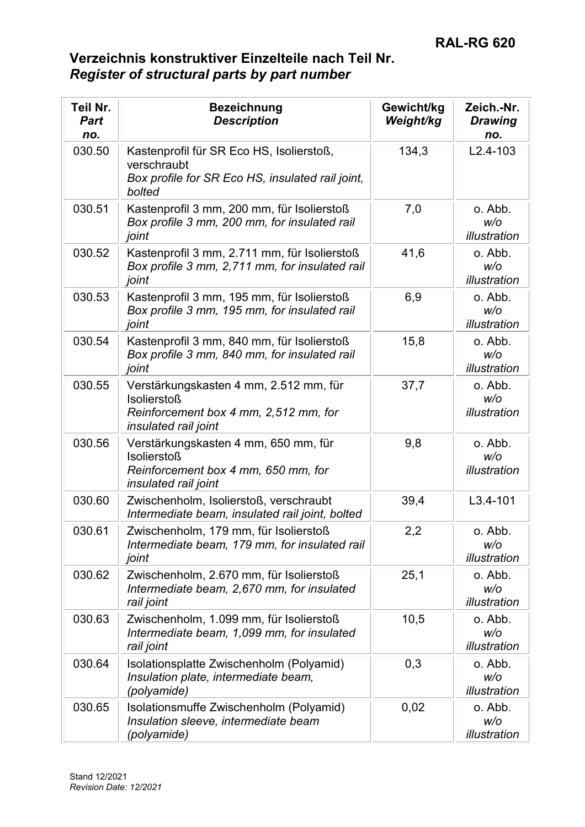| Teil Nr.<br><b>Part</b><br>no. | <b>Bezeichnung</b><br><b>Description</b>                                                                                             | Gewicht/kg<br>Weight/kg | Zeich.-Nr.<br><b>Drawing</b><br>no. |
|--------------------------------|--------------------------------------------------------------------------------------------------------------------------------------|-------------------------|-------------------------------------|
| 030.50                         | Kastenprofil für SR Eco HS, Isolierstoß,<br>verschraubt<br>Box profile for SR Eco HS, insulated rail joint,<br>bolted                | 134,3                   | $L2.4 - 103$                        |
| 030.51                         | Kastenprofil 3 mm, 200 mm, für Isolierstoß<br>Box profile 3 mm, 200 mm, for insulated rail<br>joint                                  | 7,0                     | o. Abb.<br>W/O<br>illustration      |
| 030.52                         | Kastenprofil 3 mm, 2.711 mm, für Isolierstoß<br>Box profile 3 mm, 2,711 mm, for insulated rail<br>joint                              | 41,6                    | o. Abb.<br>W/O<br>illustration      |
| 030.53                         | Kastenprofil 3 mm, 195 mm, für Isolierstoß<br>Box profile 3 mm, 195 mm, for insulated rail<br>joint                                  | 6,9                     | o. Abb.<br>W/O<br>illustration      |
| 030.54                         | Kastenprofil 3 mm, 840 mm, für Isolierstoß<br>Box profile 3 mm, 840 mm, for insulated rail<br>joint                                  | 15,8                    | o. Abb.<br>W/O<br>illustration      |
| 030.55                         | Verstärkungskasten 4 mm, 2.512 mm, für<br><b>Isolierstoß</b><br>Reinforcement box 4 mm, 2,512 mm, for<br><i>insulated rail joint</i> | 37,7                    | o. Abb.<br>W/O<br>illustration      |
| 030.56                         | Verstärkungskasten 4 mm, 650 mm, für<br><b>Isolierstoß</b><br>Reinforcement box 4 mm, 650 mm, for<br>insulated rail joint            | 9,8                     | o. Abb.<br>W/O<br>illustration      |
| 030.60                         | Zwischenholm, Isolierstoß, verschraubt<br>Intermediate beam, insulated rail joint, bolted                                            | 39,4                    | $L3.4 - 101$                        |
| 030.61                         | Zwischenholm, 179 mm, für Isolierstoß<br>Intermediate beam, 179 mm, for insulated rail<br>joint                                      | 2,2                     | o. Abb.<br>W/O<br>illustration      |
| 030.62                         | Zwischenholm, 2.670 mm, für Isolierstoß<br>Intermediate beam, 2,670 mm, for insulated<br>rail joint                                  | 25,1                    | o. Abb.<br>w/o<br>illustration      |
| 030.63                         | Zwischenholm, 1.099 mm, für Isolierstoß<br>Intermediate beam, 1,099 mm, for insulated<br>rail joint                                  | 10,5                    | o. Abb.<br>W/O<br>illustration      |
| 030.64                         | Isolationsplatte Zwischenholm (Polyamid)<br>Insulation plate, intermediate beam,<br>(polyamide)                                      | 0,3                     | o. Abb.<br>W/O<br>illustration      |
| 030.65                         | Isolationsmuffe Zwischenholm (Polyamid)<br>Insulation sleeve, intermediate beam<br>(polyamide)                                       | 0,02                    | o. Abb.<br>W/O<br>illustration      |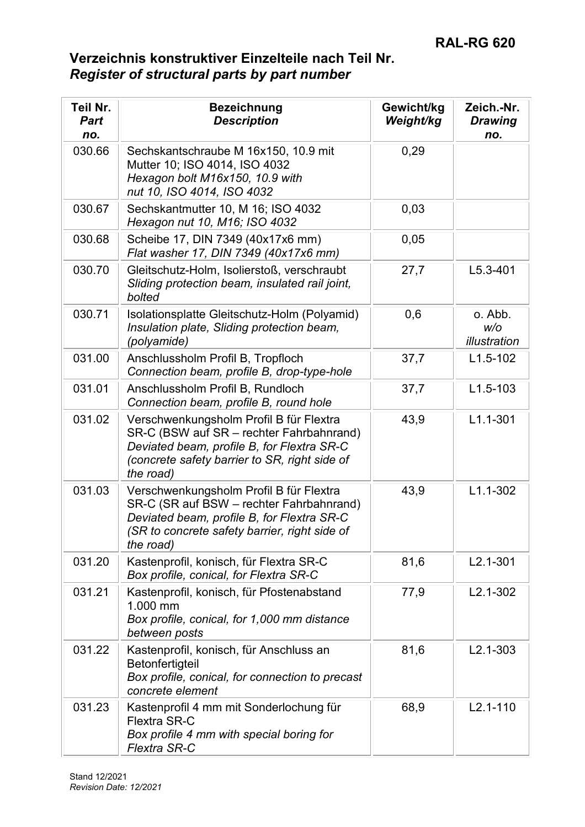| Teil Nr.<br><b>Part</b><br>no. | <b>Bezeichnung</b><br><b>Description</b>                                                                                                                                                        | Gewicht/kg<br>Weight/kg | Zeich.-Nr.<br><b>Drawing</b><br>no. |
|--------------------------------|-------------------------------------------------------------------------------------------------------------------------------------------------------------------------------------------------|-------------------------|-------------------------------------|
| 030.66                         | Sechskantschraube M 16x150, 10.9 mit<br>Mutter 10; ISO 4014, ISO 4032<br>Hexagon bolt M16x150, 10.9 with<br>nut 10, ISO 4014, ISO 4032                                                          | 0,29                    |                                     |
| 030.67                         | Sechskantmutter 10, M 16; ISO 4032<br>Hexagon nut 10, M16; ISO 4032                                                                                                                             | 0,03                    |                                     |
| 030.68                         | Scheibe 17, DIN 7349 (40x17x6 mm)<br>Flat washer 17, DIN 7349 (40x17x6 mm)                                                                                                                      | 0,05                    |                                     |
| 030.70                         | Gleitschutz-Holm, Isolierstoß, verschraubt<br>Sliding protection beam, insulated rail joint,<br>bolted                                                                                          | 27,7                    | $L5.3 - 401$                        |
| 030.71                         | Isolationsplatte Gleitschutz-Holm (Polyamid)<br>Insulation plate, Sliding protection beam,<br>(polyamide)                                                                                       | 0,6                     | o. Abb.<br>W/O<br>illustration      |
| 031.00                         | Anschlussholm Profil B, Tropfloch<br>Connection beam, profile B, drop-type-hole                                                                                                                 | 37,7                    | $L1.5 - 102$                        |
| 031.01                         | Anschlussholm Profil B, Rundloch<br>Connection beam, profile B, round hole                                                                                                                      | 37,7                    | $L1.5 - 103$                        |
| 031.02                         | Verschwenkungsholm Profil B für Flextra<br>SR-C (BSW auf SR - rechter Fahrbahnrand)<br>Deviated beam, profile B, for Flextra SR-C<br>(concrete safety barrier to SR, right side of<br>the road) | 43,9                    | $L1.1 - 301$                        |
| 031.03                         | Verschwenkungsholm Profil B für Flextra<br>SR-C (SR auf BSW - rechter Fahrbahnrand)<br>Deviated beam, profile B, for Flextra SR-C<br>(SR to concrete safety barrier, right side of<br>the road) | 43,9                    | $L1.1 - 302$                        |
| 031.20                         | Kastenprofil, konisch, für Flextra SR-C<br>Box profile, conical, for Flextra SR-C                                                                                                               | 81,6                    | $L2.1 - 301$                        |
| 031.21                         | Kastenprofil, konisch, für Pfostenabstand<br>1.000 mm<br>Box profile, conical, for 1,000 mm distance<br>between posts                                                                           | 77,9                    | $L2.1 - 302$                        |
| 031.22                         | Kastenprofil, konisch, für Anschluss an<br>Betonfertigteil<br>Box profile, conical, for connection to precast<br>concrete element                                                               | 81,6                    | $L2.1 - 303$                        |
| 031.23                         | Kastenprofil 4 mm mit Sonderlochung für<br>Flextra SR-C<br>Box profile 4 mm with special boring for<br><b>Flextra SR-C</b>                                                                      | 68,9                    | $L2.1 - 110$                        |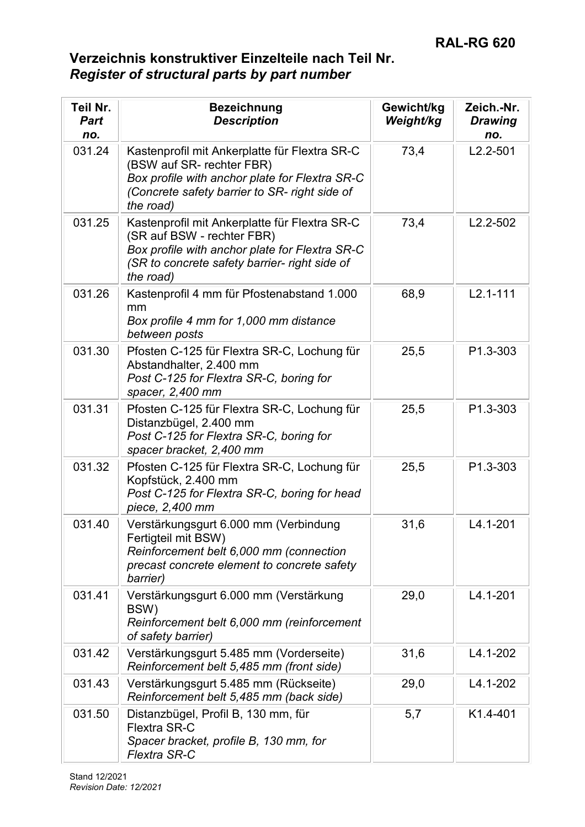| Teil Nr.<br><b>Part</b><br>no. | <b>Bezeichnung</b><br><b>Description</b>                                                                                                                                                    | Gewicht/kg<br>Weight/kg | Zeich.-Nr.<br><b>Drawing</b><br>no. |
|--------------------------------|---------------------------------------------------------------------------------------------------------------------------------------------------------------------------------------------|-------------------------|-------------------------------------|
| 031.24                         | Kastenprofil mit Ankerplatte für Flextra SR-C<br>(BSW auf SR- rechter FBR)<br>Box profile with anchor plate for Flextra SR-C<br>(Concrete safety barrier to SR- right side of<br>the road)  | 73,4                    | $L2.2 - 501$                        |
| 031.25                         | Kastenprofil mit Ankerplatte für Flextra SR-C<br>(SR auf BSW - rechter FBR)<br>Box profile with anchor plate for Flextra SR-C<br>(SR to concrete safety barrier- right side of<br>the road) | 73,4                    | $L2.2 - 502$                        |
| 031.26                         | Kastenprofil 4 mm für Pfostenabstand 1.000<br>mm<br>Box profile 4 mm for 1,000 mm distance<br>between posts                                                                                 | 68,9                    | $L2.1 - 111$                        |
| 031.30                         | Pfosten C-125 für Flextra SR-C, Lochung für<br>Abstandhalter, 2.400 mm<br>Post C-125 for Flextra SR-C, boring for<br>spacer, 2,400 mm                                                       | 25,5                    | P1.3-303                            |
| 031.31                         | Pfosten C-125 für Flextra SR-C, Lochung für<br>Distanzbügel, 2.400 mm<br>Post C-125 for Flextra SR-C, boring for<br>spacer bracket, 2,400 mm                                                | 25,5                    | P1.3-303                            |
| 031.32                         | Pfosten C-125 für Flextra SR-C, Lochung für<br>Kopfstück, 2.400 mm<br>Post C-125 for Flextra SR-C, boring for head<br>piece, 2,400 mm                                                       | 25,5                    | P1.3-303                            |
| 031.40                         | Verstärkungsgurt 6.000 mm (Verbindung<br>Fertigteil mit BSW)<br>Reinforcement belt 6,000 mm (connection<br>precast concrete element to concrete safety<br>barrier)                          | 31,6                    | L4.1-201                            |
| 031.41                         | Verstärkungsgurt 6.000 mm (Verstärkung<br>BSW)<br>Reinforcement belt 6,000 mm (reinforcement<br>of safety barrier)                                                                          | 29,0                    | $L4.1 - 201$                        |
| 031.42                         | Verstärkungsgurt 5.485 mm (Vorderseite)<br>Reinforcement belt 5,485 mm (front side)                                                                                                         | 31,6                    | L4.1-202                            |
| 031.43                         | Verstärkungsgurt 5.485 mm (Rückseite)<br>Reinforcement belt 5,485 mm (back side)                                                                                                            | 29,0                    | L4.1-202                            |
| 031.50                         | Distanzbügel, Profil B, 130 mm, für<br><b>Flextra SR-C</b><br>Spacer bracket, profile B, 130 mm, for<br><b>Flextra SR-C</b>                                                                 | 5,7                     | K1.4-401                            |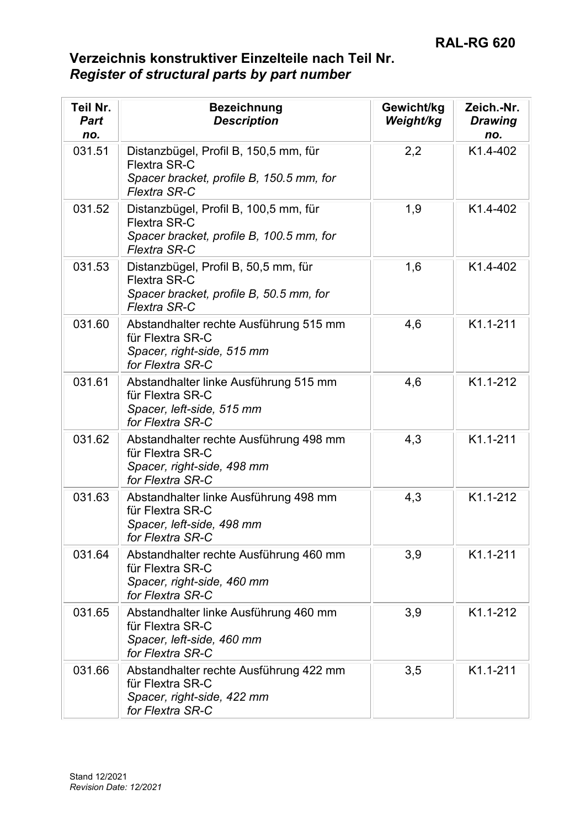| Teil Nr.<br>Part<br>no. | <b>Bezeichnung</b><br><b>Description</b>                                                                                        | Gewicht/kg<br>Weight/kg | Zeich.-Nr.<br><b>Drawing</b><br>no. |
|-------------------------|---------------------------------------------------------------------------------------------------------------------------------|-------------------------|-------------------------------------|
| 031.51                  | Distanzbügel, Profil B, 150,5 mm, für<br><b>Flextra SR-C</b><br>Spacer bracket, profile B, 150.5 mm, for<br><b>Flextra SR-C</b> | 2,2                     | K1.4-402                            |
| 031.52                  | Distanzbügel, Profil B, 100,5 mm, für<br>Flextra SR-C<br>Spacer bracket, profile B, 100.5 mm, for<br><b>Flextra SR-C</b>        | 1,9                     | K1.4-402                            |
| 031.53                  | Distanzbügel, Profil B, 50,5 mm, für<br><b>Flextra SR-C</b><br>Spacer bracket, profile B, 50.5 mm, for<br><b>Flextra SR-C</b>   | 1,6                     | K1.4-402                            |
| 031.60                  | Abstandhalter rechte Ausführung 515 mm<br>für Flextra SR-C<br>Spacer, right-side, 515 mm<br>for Flextra SR-C                    | 4,6                     | K1.1-211                            |
| 031.61                  | Abstandhalter linke Ausführung 515 mm<br>für Flextra SR-C<br>Spacer, left-side, 515 mm<br>for Flextra SR-C                      | 4,6                     | K1.1-212                            |
| 031.62                  | Abstandhalter rechte Ausführung 498 mm<br>für Flextra SR-C<br>Spacer, right-side, 498 mm<br>for Flextra SR-C                    | 4,3                     | K1.1-211                            |
| 031.63                  | Abstandhalter linke Ausführung 498 mm<br>für Flextra SR-C<br>Spacer, left-side, 498 mm<br>for Flextra SR-C                      | 4,3                     | K1.1-212                            |
| 031.64                  | Abstandhalter rechte Ausführung 460 mm<br>für Flextra SR-C<br>Spacer, right-side, 460 mm<br>for Flextra SR-C                    | 3,9                     | K1.1-211                            |
| 031.65                  | Abstandhalter linke Ausführung 460 mm<br>für Flextra SR-C<br>Spacer, left-side, 460 mm<br>for Flextra SR-C                      | 3,9                     | K1.1-212                            |
| 031.66                  | Abstandhalter rechte Ausführung 422 mm<br>für Flextra SR-C<br>Spacer, right-side, 422 mm<br>for Flextra SR-C                    | 3,5                     | K1.1-211                            |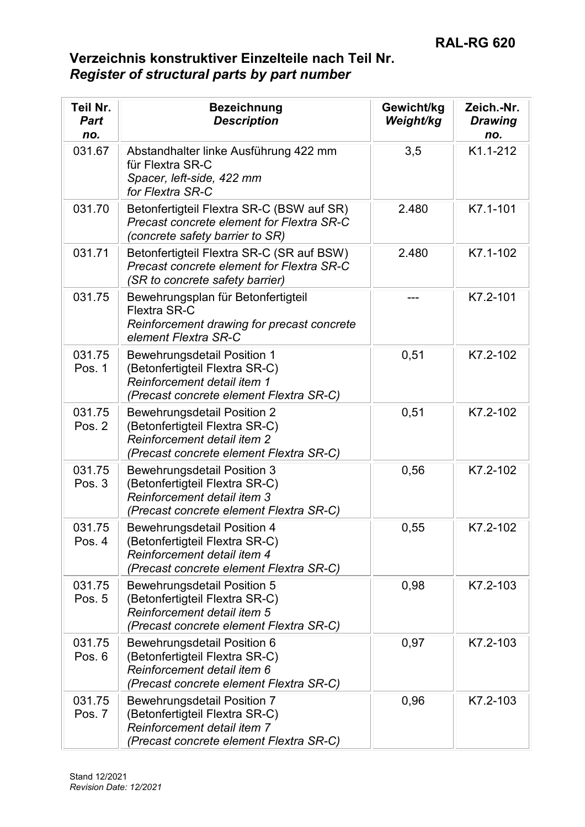| Teil Nr.<br><b>Part</b><br>no. | <b>Bezeichnung</b><br><b>Description</b>                                                                                                       | Gewicht/kg<br>Weight/kg | Zeich.-Nr.<br><b>Drawing</b><br>no. |
|--------------------------------|------------------------------------------------------------------------------------------------------------------------------------------------|-------------------------|-------------------------------------|
| 031.67                         | Abstandhalter linke Ausführung 422 mm<br>für Flextra SR-C<br>Spacer, left-side, 422 mm<br>for Flextra SR-C                                     | 3,5                     | K1.1-212                            |
| 031.70                         | Betonfertigteil Flextra SR-C (BSW auf SR)<br>Precast concrete element for Flextra SR-C<br>(concrete safety barrier to SR)                      | 2.480                   | K7.1-101                            |
| 031.71                         | Betonfertigteil Flextra SR-C (SR auf BSW)<br>Precast concrete element for Flextra SR-C<br>(SR to concrete safety barrier)                      | 2.480                   | K7.1-102                            |
| 031.75                         | Bewehrungsplan für Betonfertigteil<br><b>Flextra SR-C</b><br>Reinforcement drawing for precast concrete<br>element Flextra SR-C                |                         | K7.2-101                            |
| 031.75<br>Pos. 1               | <b>Bewehrungsdetail Position 1</b><br>(Betonfertigteil Flextra SR-C)<br>Reinforcement detail item 1<br>(Precast concrete element Flextra SR-C) | 0,51                    | K7.2-102                            |
| 031.75<br>Pos. 2               | <b>Bewehrungsdetail Position 2</b><br>(Betonfertigteil Flextra SR-C)<br>Reinforcement detail item 2<br>(Precast concrete element Flextra SR-C) | 0,51                    | K7.2-102                            |
| 031.75<br>Pos. 3               | <b>Bewehrungsdetail Position 3</b><br>(Betonfertigteil Flextra SR-C)<br>Reinforcement detail item 3<br>(Precast concrete element Flextra SR-C) | 0,56                    | K7.2-102                            |
| 031.75<br>Pos. 4               | <b>Bewehrungsdetail Position 4</b><br>(Betonfertigteil Flextra SR-C)<br>Reinforcement detail item 4<br>(Precast concrete element Flextra SR-C) | 0,55                    | K7.2-102                            |
| 031.75<br>Pos. 5               | <b>Bewehrungsdetail Position 5</b><br>(Betonfertigteil Flextra SR-C)<br>Reinforcement detail item 5<br>(Precast concrete element Flextra SR-C) | 0,98                    | K7.2-103                            |
| 031.75<br>Pos. 6               | Bewehrungsdetail Position 6<br>(Betonfertigteil Flextra SR-C)<br>Reinforcement detail item 6<br>(Precast concrete element Flextra SR-C)        | 0,97                    | K7.2-103                            |
| 031.75<br>Pos. 7               | <b>Bewehrungsdetail Position 7</b><br>(Betonfertigteil Flextra SR-C)<br>Reinforcement detail item 7<br>(Precast concrete element Flextra SR-C) | 0,96                    | K7.2-103                            |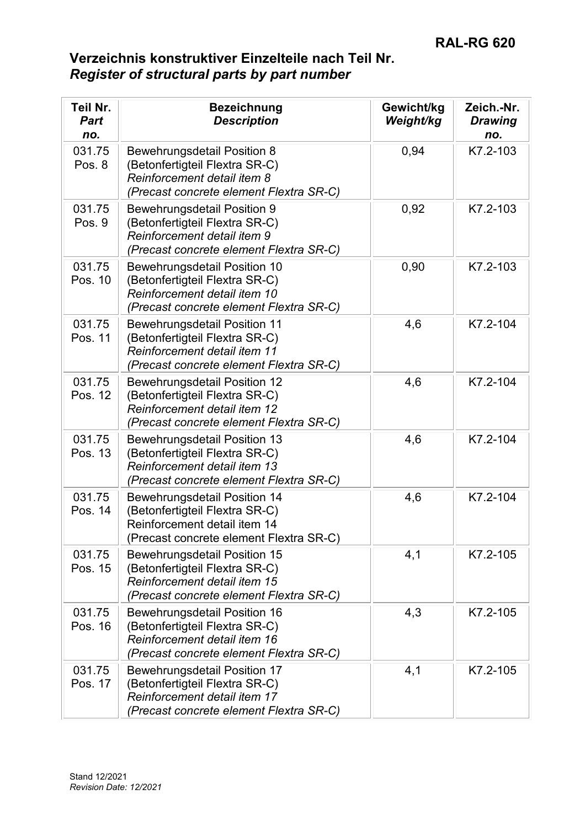| Teil Nr.<br><b>Part</b><br>no. | <b>Bezeichnung</b><br><b>Description</b>                                                                                                         | Gewicht/kg<br>Weight/kg | Zeich.-Nr.<br><b>Drawing</b><br>no. |
|--------------------------------|--------------------------------------------------------------------------------------------------------------------------------------------------|-------------------------|-------------------------------------|
| 031.75<br>Pos. 8               | <b>Bewehrungsdetail Position 8</b><br>(Betonfertigteil Flextra SR-C)<br>Reinforcement detail item 8<br>(Precast concrete element Flextra SR-C)   | 0,94                    | K7.2-103                            |
| 031.75<br>Pos. 9               | <b>Bewehrungsdetail Position 9</b><br>(Betonfertigteil Flextra SR-C)<br>Reinforcement detail item 9<br>(Precast concrete element Flextra SR-C)   | 0,92                    | K7.2-103                            |
| 031.75<br>Pos. 10              | Bewehrungsdetail Position 10<br>(Betonfertigteil Flextra SR-C)<br>Reinforcement detail item 10<br>(Precast concrete element Flextra SR-C)        | 0,90                    | K7.2-103                            |
| 031.75<br>Pos. 11              | <b>Bewehrungsdetail Position 11</b><br>(Betonfertigteil Flextra SR-C)<br>Reinforcement detail item 11<br>(Precast concrete element Flextra SR-C) | 4,6                     | K7.2-104                            |
| 031.75<br>Pos. 12              | <b>Bewehrungsdetail Position 12</b><br>(Betonfertigteil Flextra SR-C)<br>Reinforcement detail item 12<br>(Precast concrete element Flextra SR-C) | 4,6                     | K7.2-104                            |
| 031.75<br>Pos. 13              | <b>Bewehrungsdetail Position 13</b><br>(Betonfertigteil Flextra SR-C)<br>Reinforcement detail item 13<br>(Precast concrete element Flextra SR-C) | 4,6                     | K7.2-104                            |
| 031.75<br>Pos. 14              | <b>Bewehrungsdetail Position 14</b><br>(Betonfertigteil Flextra SR-C)<br>Reinforcement detail item 14<br>(Precast concrete element Flextra SR-C) | 4,6                     | K7.2-104                            |
| 031.75<br>Pos. 15              | Bewehrungsdetail Position 15<br>(Betonfertigteil Flextra SR-C)<br>Reinforcement detail item 15<br>(Precast concrete element Flextra SR-C)        | 4,1                     | K7.2-105                            |
| 031.75<br>Pos. 16              | Bewehrungsdetail Position 16<br>(Betonfertigteil Flextra SR-C)<br>Reinforcement detail item 16<br>(Precast concrete element Flextra SR-C)        | 4,3                     | K7.2-105                            |
| 031.75<br>Pos. 17              | <b>Bewehrungsdetail Position 17</b><br>(Betonfertigteil Flextra SR-C)<br>Reinforcement detail item 17<br>(Precast concrete element Flextra SR-C) | 4,1                     | K7.2-105                            |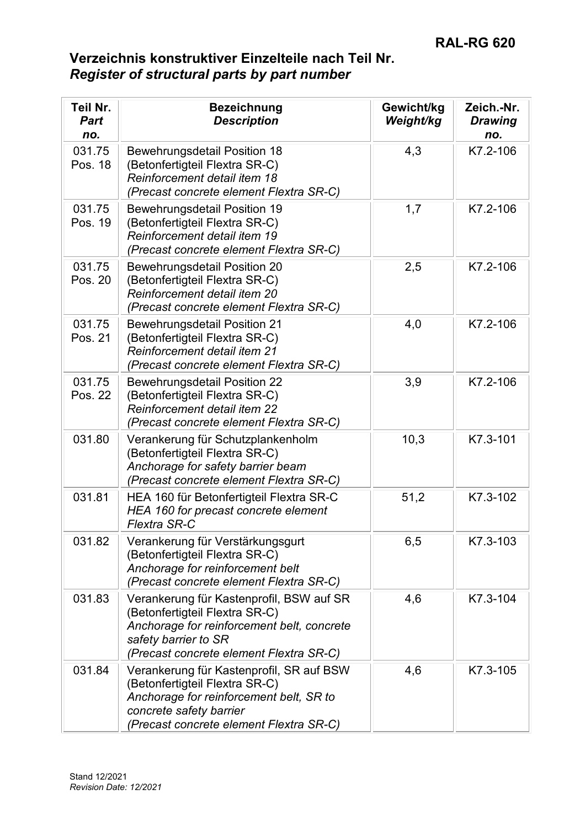| <b>Teil Nr.</b><br><b>Part</b><br>no. | <b>Bezeichnung</b><br><b>Description</b>                                                                                                                                                    | Gewicht/kg<br>Weight/kg | Zeich.-Nr.<br><b>Drawing</b><br>no. |
|---------------------------------------|---------------------------------------------------------------------------------------------------------------------------------------------------------------------------------------------|-------------------------|-------------------------------------|
| 031.75<br>Pos. 18                     | <b>Bewehrungsdetail Position 18</b><br>(Betonfertigteil Flextra SR-C)<br>Reinforcement detail item 18<br>(Precast concrete element Flextra SR-C)                                            | 4,3                     | K7.2-106                            |
| 031.75<br>Pos. 19                     | <b>Bewehrungsdetail Position 19</b><br>(Betonfertigteil Flextra SR-C)<br>Reinforcement detail item 19<br>(Precast concrete element Flextra SR-C)                                            | 1,7                     | K7.2-106                            |
| 031.75<br>Pos. 20                     | <b>Bewehrungsdetail Position 20</b><br>(Betonfertigteil Flextra SR-C)<br>Reinforcement detail item 20<br>(Precast concrete element Flextra SR-C)                                            | 2,5                     | K7.2-106                            |
| 031.75<br>Pos. 21                     | <b>Bewehrungsdetail Position 21</b><br>(Betonfertigteil Flextra SR-C)<br>Reinforcement detail item 21<br>(Precast concrete element Flextra SR-C)                                            | 4,0                     | K7.2-106                            |
| 031.75<br>Pos. 22                     | <b>Bewehrungsdetail Position 22</b><br>(Betonfertigteil Flextra SR-C)<br>Reinforcement detail item 22<br>(Precast concrete element Flextra SR-C)                                            | 3,9                     | K7.2-106                            |
| 031.80                                | Verankerung für Schutzplankenholm<br>(Betonfertigteil Flextra SR-C)<br>Anchorage for safety barrier beam<br>(Precast concrete element Flextra SR-C)                                         | 10,3                    | K7.3-101                            |
| 031.81                                | HEA 160 für Betonfertigteil Flextra SR-C<br>HEA 160 for precast concrete element<br>Flextra SR-C                                                                                            | 51,2                    | K7.3-102                            |
| 031.82                                | Verankerung für Verstärkungsgurt<br>(Betonfertigteil Flextra SR-C)<br>Anchorage for reinforcement belt<br>(Precast concrete element Flextra SR-C)                                           | 6,5                     | K7.3-103                            |
| 031.83                                | Verankerung für Kastenprofil, BSW auf SR<br>(Betonfertigteil Flextra SR-C)<br>Anchorage for reinforcement belt, concrete<br>safety barrier to SR<br>(Precast concrete element Flextra SR-C) | 4,6                     | K7.3-104                            |
| 031.84                                | Verankerung für Kastenprofil, SR auf BSW<br>(Betonfertigteil Flextra SR-C)<br>Anchorage for reinforcement belt, SR to<br>concrete safety barrier<br>(Precast concrete element Flextra SR-C) | 4,6                     | K7.3-105                            |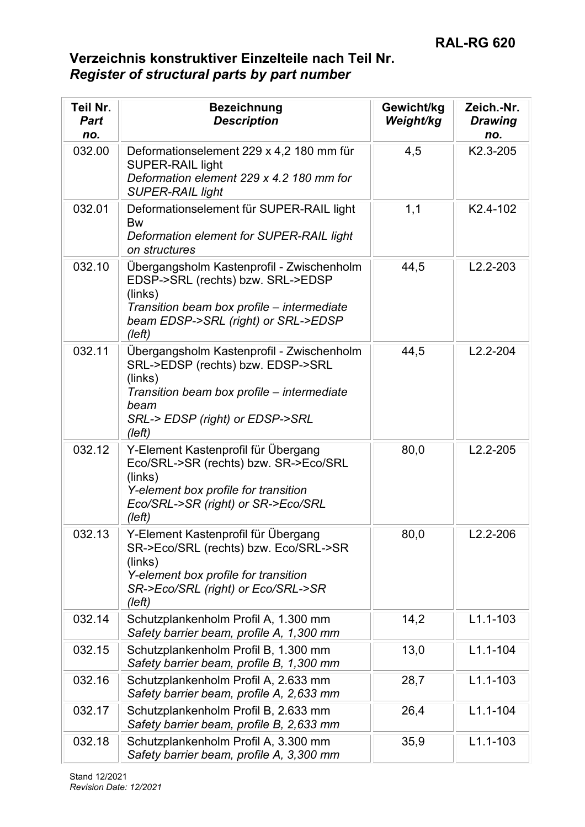| Teil Nr.<br><b>Part</b><br>no. | <b>Bezeichnung</b><br><b>Description</b>                                                                                                                                                              | Gewicht/kg<br>Weight/kg | Zeich.-Nr.<br><b>Drawing</b><br>no. |
|--------------------------------|-------------------------------------------------------------------------------------------------------------------------------------------------------------------------------------------------------|-------------------------|-------------------------------------|
| 032.00                         | Deformationselement 229 x 4,2 180 mm für<br><b>SUPER-RAIL light</b><br>Deformation element 229 x 4.2 180 mm for<br><b>SUPER-RAIL light</b>                                                            | 4,5                     | K2.3-205                            |
| 032.01                         | Deformationselement für SUPER-RAIL light<br><b>Bw</b><br>Deformation element for SUPER-RAIL light<br>on structures                                                                                    | 1,1                     | K2.4-102                            |
| 032.10                         | Übergangsholm Kastenprofil - Zwischenholm<br>EDSP->SRL (rechts) bzw. SRL->EDSP<br>(links)<br>Transition beam box profile – intermediate<br>beam EDSP->SRL (right) or SRL->EDSP<br>(left)              | 44,5                    | $L2.2 - 203$                        |
| 032.11                         | Übergangsholm Kastenprofil - Zwischenholm<br>SRL->EDSP (rechts) bzw. EDSP->SRL<br>(links)<br>Transition beam box profile – intermediate<br>beam<br>SRL-> EDSP (right) or EDSP->SRL<br>$(\text{left})$ | 44,5                    | $L2.2 - 204$                        |
| 032.12                         | Y-Element Kastenprofil für Übergang<br>Eco/SRL->SR (rechts) bzw. SR->Eco/SRL<br>(links)<br>Y-element box profile for transition<br>Eco/SRL->SR (right) or SR->Eco/SRL<br>(left)                       | 80,0                    | $L2.2 - 205$                        |
| 032.13                         | Y-Element Kastenprofil für Übergang<br>SR->Eco/SRL (rechts) bzw. Eco/SRL->SR<br>(links)<br>Y-element box profile for transition<br>SR->Eco/SRL (right) or Eco/SRL->SR<br>(left)                       | 80,0                    | $L2.2 - 206$                        |
| 032.14                         | Schutzplankenholm Profil A, 1.300 mm<br>Safety barrier beam, profile A, 1,300 mm                                                                                                                      | 14,2                    | $L1.1 - 103$                        |
| 032.15                         | Schutzplankenholm Profil B, 1.300 mm<br>Safety barrier beam, profile B, 1,300 mm                                                                                                                      | 13,0                    | $L1.1 - 104$                        |
| 032.16                         | Schutzplankenholm Profil A, 2.633 mm<br>Safety barrier beam, profile A, 2,633 mm                                                                                                                      | 28,7                    | $L1.1 - 103$                        |
| 032.17                         | Schutzplankenholm Profil B, 2.633 mm<br>Safety barrier beam, profile B, 2,633 mm                                                                                                                      | 26,4                    | $L1.1 - 104$                        |
| 032.18                         | Schutzplankenholm Profil A, 3.300 mm<br>Safety barrier beam, profile A, 3,300 mm                                                                                                                      | 35,9                    | $L1.1 - 103$                        |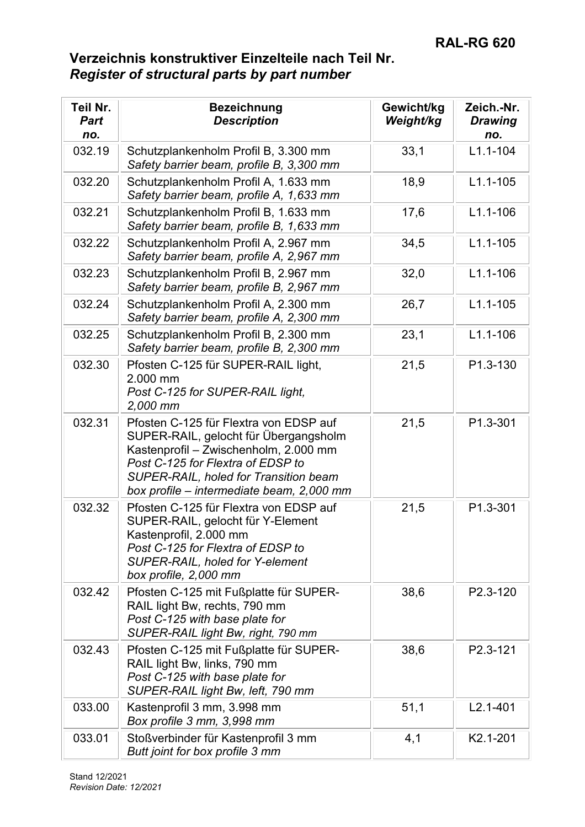| Teil Nr.<br><b>Part</b><br>no. | <b>Bezeichnung</b><br><b>Description</b>                                                                                                                                                                                                                   | Gewicht/kg<br>Weight/kg | Zeich.-Nr.<br><b>Drawing</b><br>no. |
|--------------------------------|------------------------------------------------------------------------------------------------------------------------------------------------------------------------------------------------------------------------------------------------------------|-------------------------|-------------------------------------|
| 032.19                         | Schutzplankenholm Profil B, 3.300 mm<br>Safety barrier beam, profile B, 3,300 mm                                                                                                                                                                           | 33,1                    | $L1.1 - 104$                        |
| 032.20                         | Schutzplankenholm Profil A, 1.633 mm<br>Safety barrier beam, profile A, 1,633 mm                                                                                                                                                                           | 18,9                    | $L1.1 - 105$                        |
| 032.21                         | Schutzplankenholm Profil B, 1.633 mm<br>Safety barrier beam, profile B, 1,633 mm                                                                                                                                                                           | 17,6                    | $L1.1 - 106$                        |
| 032.22                         | Schutzplankenholm Profil A, 2.967 mm<br>Safety barrier beam, profile A, 2,967 mm                                                                                                                                                                           | 34,5                    | $L1.1 - 105$                        |
| 032.23                         | Schutzplankenholm Profil B, 2.967 mm<br>Safety barrier beam, profile B, 2,967 mm                                                                                                                                                                           | 32,0                    | $L1.1 - 106$                        |
| 032.24                         | Schutzplankenholm Profil A, 2.300 mm<br>Safety barrier beam, profile A, 2,300 mm                                                                                                                                                                           | 26,7                    | $L1.1 - 105$                        |
| 032.25                         | Schutzplankenholm Profil B, 2.300 mm<br>Safety barrier beam, profile B, 2,300 mm                                                                                                                                                                           | 23,1                    | $L1.1 - 106$                        |
| 032.30                         | Pfosten C-125 für SUPER-RAIL light,<br>2.000 mm<br>Post C-125 for SUPER-RAIL light,<br>2,000 mm                                                                                                                                                            | 21,5                    | P1.3-130                            |
| 032.31                         | Pfosten C-125 für Flextra von EDSP auf<br>SUPER-RAIL, gelocht für Übergangsholm<br>Kastenprofil - Zwischenholm, 2.000 mm<br>Post C-125 for Flextra of EDSP to<br><b>SUPER-RAIL, holed for Transition beam</b><br>box profile - intermediate beam, 2,000 mm | 21,5                    | P1.3-301                            |
| 032.32                         | Pfosten C-125 für Flextra von EDSP auf<br>SUPER-RAIL, gelocht für Y-Element<br>Kastenprofil, 2.000 mm<br>Post C-125 for Flextra of EDSP to<br><b>SUPER-RAIL, holed for Y-element</b><br>box profile, 2,000 mm                                              | 21,5                    | P1.3-301                            |
| 032.42                         | Pfosten C-125 mit Fußplatte für SUPER-<br>RAIL light Bw, rechts, 790 mm<br>Post C-125 with base plate for<br>SUPER-RAIL light Bw, right, 790 mm                                                                                                            | 38,6                    | P2.3-120                            |
| 032.43                         | Pfosten C-125 mit Fußplatte für SUPER-<br>RAIL light Bw, links, 790 mm<br>Post C-125 with base plate for<br>SUPER-RAIL light Bw, left, 790 mm                                                                                                              | 38,6                    | P2.3-121                            |
| 033.00                         | Kastenprofil 3 mm, 3.998 mm<br>Box profile 3 mm, 3,998 mm                                                                                                                                                                                                  | 51,1                    | $L2.1 - 401$                        |
| 033.01                         | Stoßverbinder für Kastenprofil 3 mm<br>Butt joint for box profile 3 mm                                                                                                                                                                                     | 4,1                     | K2.1-201                            |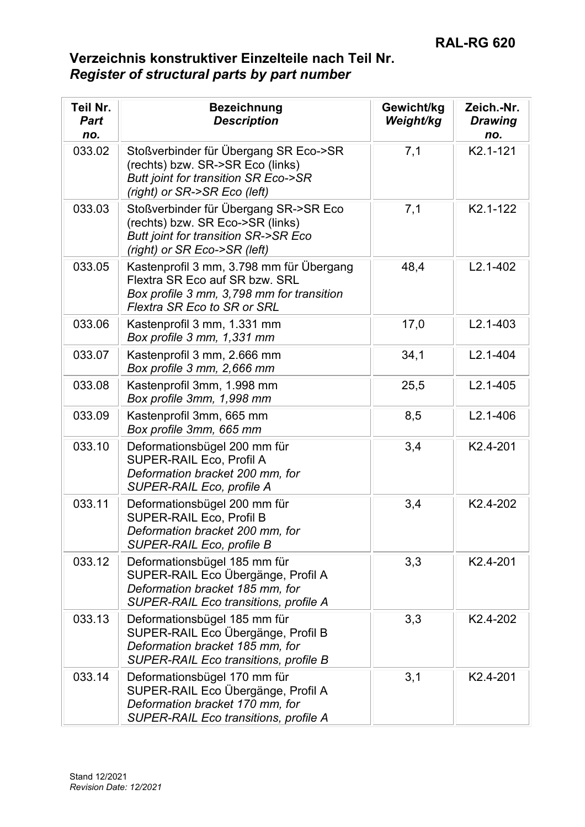| <b>Teil Nr.</b><br><b>Part</b><br>no. | <b>Bezeichnung</b><br><b>Description</b>                                                                                                               | Gewicht/kg<br>Weight/kg | Zeich.-Nr.<br><b>Drawing</b><br>no. |
|---------------------------------------|--------------------------------------------------------------------------------------------------------------------------------------------------------|-------------------------|-------------------------------------|
| 033.02                                | Stoßverbinder für Übergang SR Eco->SR<br>(rechts) bzw. SR->SR Eco (links)<br>Butt joint for transition SR Eco->SR<br>(right) or SR->SR Eco (left)      | 7,1                     | K2.1-121                            |
| 033.03                                | Stoßverbinder für Übergang SR->SR Eco<br>(rechts) bzw. SR Eco->SR (links)<br>Butt joint for transition SR->SR Eco<br>(right) or SR Eco->SR (left)      | 7,1                     | K2.1-122                            |
| 033.05                                | Kastenprofil 3 mm, 3.798 mm für Übergang<br>Flextra SR Eco auf SR bzw. SRL<br>Box profile 3 mm, 3,798 mm for transition<br>Flextra SR Eco to SR or SRL | 48,4                    | $L2.1 - 402$                        |
| 033.06                                | Kastenprofil 3 mm, 1.331 mm<br>Box profile 3 mm, 1,331 mm                                                                                              | 17,0                    | $L2.1 - 403$                        |
| 033.07                                | Kastenprofil 3 mm, 2.666 mm<br>Box profile 3 mm, 2,666 mm                                                                                              | 34,1                    | $L2.1 - 404$                        |
| 033.08                                | Kastenprofil 3mm, 1.998 mm<br>Box profile 3mm, 1,998 mm                                                                                                | 25,5                    | $L2.1 - 405$                        |
| 033.09                                | Kastenprofil 3mm, 665 mm<br>Box profile 3mm, 665 mm                                                                                                    | 8,5                     | $L2.1 - 406$                        |
| 033.10                                | Deformationsbügel 200 mm für<br>SUPER-RAIL Eco, Profil A<br>Deformation bracket 200 mm, for<br>SUPER-RAIL Eco, profile A                               | 3,4                     | K2.4-201                            |
| 033.11                                | Deformationsbügel 200 mm für<br>SUPER-RAIL Eco, Profil B<br>Deformation bracket 200 mm, for<br>SUPER-RAIL Eco, profile B                               | 3,4                     | K <sub>2.4</sub> -202               |
| 033.12                                | Deformationsbügel 185 mm für<br>SUPER-RAIL Eco Übergänge, Profil A<br>Deformation bracket 185 mm, for<br>SUPER-RAIL Eco transitions, profile A         | 3,3                     | K2.4-201                            |
| 033.13                                | Deformationsbügel 185 mm für<br>SUPER-RAIL Eco Übergänge, Profil B<br>Deformation bracket 185 mm, for<br>SUPER-RAIL Eco transitions, profile B         | 3,3                     | K2.4-202                            |
| 033.14                                | Deformationsbügel 170 mm für<br>SUPER-RAIL Eco Übergänge, Profil A<br>Deformation bracket 170 mm, for<br>SUPER-RAIL Eco transitions, profile A         | 3,1                     | K <sub>2.4</sub> -201               |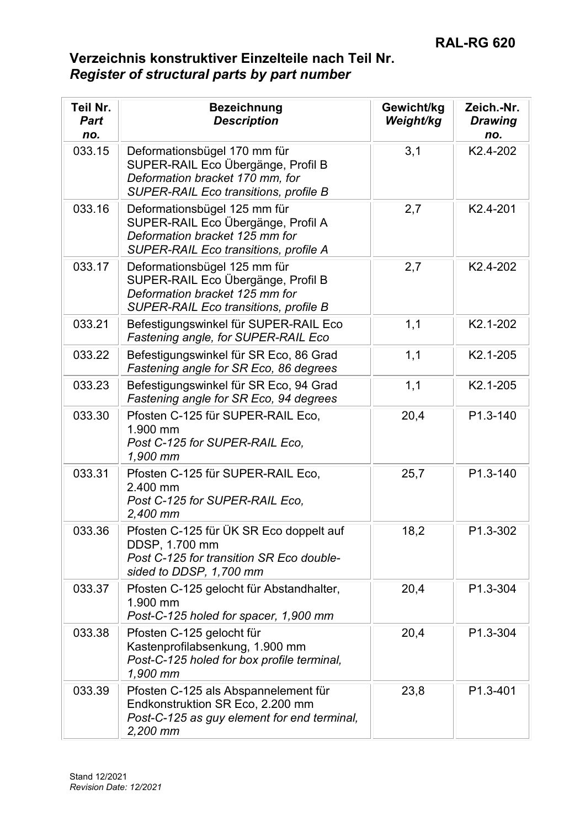| Teil Nr.<br><b>Part</b><br>no. | <b>Bezeichnung</b><br><b>Description</b>                                                                                                       | Gewicht/kg<br>Weight/kg | Zeich.-Nr.<br><b>Drawing</b><br>no. |
|--------------------------------|------------------------------------------------------------------------------------------------------------------------------------------------|-------------------------|-------------------------------------|
| 033.15                         | Deformationsbügel 170 mm für<br>SUPER-RAIL Eco Übergänge, Profil B<br>Deformation bracket 170 mm, for<br>SUPER-RAIL Eco transitions, profile B | 3,1                     | K2.4-202                            |
| 033.16                         | Deformationsbügel 125 mm für<br>SUPER-RAIL Eco Übergänge, Profil A<br>Deformation bracket 125 mm for<br>SUPER-RAIL Eco transitions, profile A  | 2,7                     | K2.4-201                            |
| 033.17                         | Deformationsbügel 125 mm für<br>SUPER-RAIL Eco Übergänge, Profil B<br>Deformation bracket 125 mm for<br>SUPER-RAIL Eco transitions, profile B  | 2,7                     | K2.4-202                            |
| 033.21                         | Befestigungswinkel für SUPER-RAIL Eco<br>Fastening angle, for SUPER-RAIL Eco                                                                   | 1,1                     | K2.1-202                            |
| 033.22                         | Befestigungswinkel für SR Eco, 86 Grad<br>Fastening angle for SR Eco, 86 degrees                                                               | 1,1                     | K2.1-205                            |
| 033.23                         | Befestigungswinkel für SR Eco, 94 Grad<br>Fastening angle for SR Eco, 94 degrees                                                               | 1,1                     | K2.1-205                            |
| 033.30                         | Pfosten C-125 für SUPER-RAIL Eco,<br>1.900 mm<br>Post C-125 for SUPER-RAIL Eco,<br>1,900 mm                                                    | 20,4                    | P1.3-140                            |
| 033.31                         | Pfosten C-125 für SUPER-RAIL Eco,<br>2.400 mm<br>Post C-125 for SUPER-RAIL Eco,<br>2,400 mm                                                    | 25,7                    | P1.3-140                            |
| 033.36                         | Pfosten C-125 für ÜK SR Eco doppelt auf<br>DDSP, 1.700 mm<br>Post C-125 for transition SR Eco double-<br>sided to DDSP, 1,700 mm               | 18,2                    | P1.3-302                            |
| 033.37                         | Pfosten C-125 gelocht für Abstandhalter,<br>1.900 mm<br>Post-C-125 holed for spacer, 1,900 mm                                                  | 20,4                    | P1.3-304                            |
| 033.38                         | Pfosten C-125 gelocht für<br>Kastenprofilabsenkung, 1.900 mm<br>Post-C-125 holed for box profile terminal,<br>1,900 mm                         | 20,4                    | P1.3-304                            |
| 033.39                         | Pfosten C-125 als Abspannelement für<br>Endkonstruktion SR Eco, 2.200 mm<br>Post-C-125 as guy element for end terminal,<br>2,200 mm            | 23,8                    | P1.3-401                            |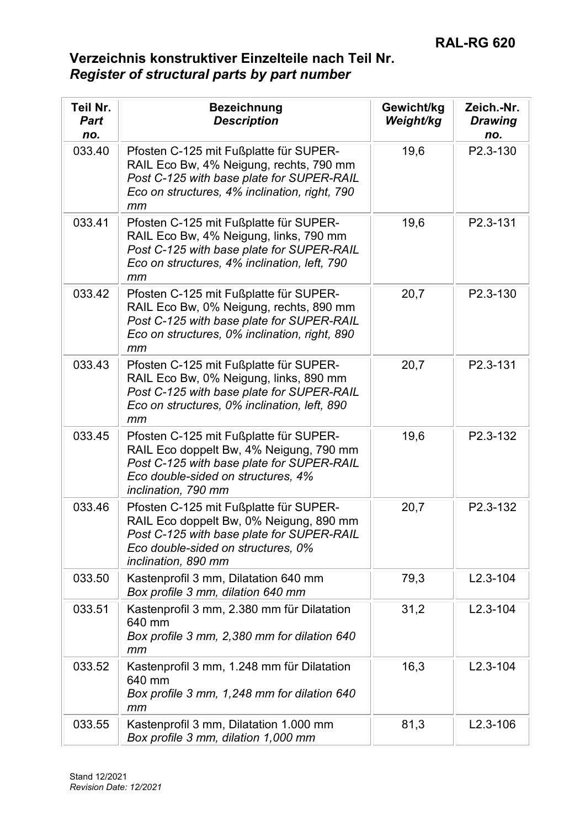| Teil Nr.<br><b>Part</b><br>no. | <b>Bezeichnung</b><br><b>Description</b>                                                                                                                                                    | Gewicht/kg<br>Weight/kg | Zeich.-Nr.<br><b>Drawing</b><br>no. |
|--------------------------------|---------------------------------------------------------------------------------------------------------------------------------------------------------------------------------------------|-------------------------|-------------------------------------|
| 033.40                         | Pfosten C-125 mit Fußplatte für SUPER-<br>RAIL Eco Bw, 4% Neigung, rechts, 790 mm<br>Post C-125 with base plate for SUPER-RAIL<br>Eco on structures, 4% inclination, right, 790<br>mm       | 19,6                    | P2.3-130                            |
| 033.41                         | Pfosten C-125 mit Fußplatte für SUPER-<br>RAIL Eco Bw, 4% Neigung, links, 790 mm<br>Post C-125 with base plate for SUPER-RAIL<br>Eco on structures, 4% inclination, left, 790<br>mm         | 19,6                    | P2.3-131                            |
| 033.42                         | Pfosten C-125 mit Fußplatte für SUPER-<br>RAIL Eco Bw, 0% Neigung, rechts, 890 mm<br>Post C-125 with base plate for SUPER-RAIL<br>Eco on structures, 0% inclination, right, 890<br>mm       | 20,7                    | P2.3-130                            |
| 033.43                         | Pfosten C-125 mit Fußplatte für SUPER-<br>RAIL Eco Bw, 0% Neigung, links, 890 mm<br>Post C-125 with base plate for SUPER-RAIL<br>Eco on structures, 0% inclination, left, 890<br>mm         | 20,7                    | P2.3-131                            |
| 033.45                         | Pfosten C-125 mit Fußplatte für SUPER-<br>RAIL Eco doppelt Bw, 4% Neigung, 790 mm<br>Post C-125 with base plate for SUPER-RAIL<br>Eco double-sided on structures, 4%<br>inclination, 790 mm | 19,6                    | P2.3-132                            |
| 033.46                         | Pfosten C-125 mit Fußplatte für SUPER-<br>RAIL Eco doppelt Bw, 0% Neigung, 890 mm<br>Post C-125 with base plate for SUPER-RAIL<br>Eco double-sided on structures, 0%<br>inclination, 890 mm | 20,7                    | P2.3-132                            |
| 033.50                         | Kastenprofil 3 mm, Dilatation 640 mm<br>Box profile 3 mm, dilation 640 mm                                                                                                                   | 79,3                    | $L2.3 - 104$                        |
| 033.51                         | Kastenprofil 3 mm, 2.380 mm für Dilatation<br>640 mm<br>Box profile 3 mm, 2,380 mm for dilation 640<br>mm                                                                                   | 31,2                    | $L2.3 - 104$                        |
| 033.52                         | Kastenprofil 3 mm, 1.248 mm für Dilatation<br>640 mm<br>Box profile 3 mm, 1,248 mm for dilation 640<br>mm                                                                                   | 16,3                    | $L2.3 - 104$                        |
| 033.55                         | Kastenprofil 3 mm, Dilatation 1.000 mm<br>Box profile 3 mm, dilation 1,000 mm                                                                                                               | 81,3                    | $L2.3 - 106$                        |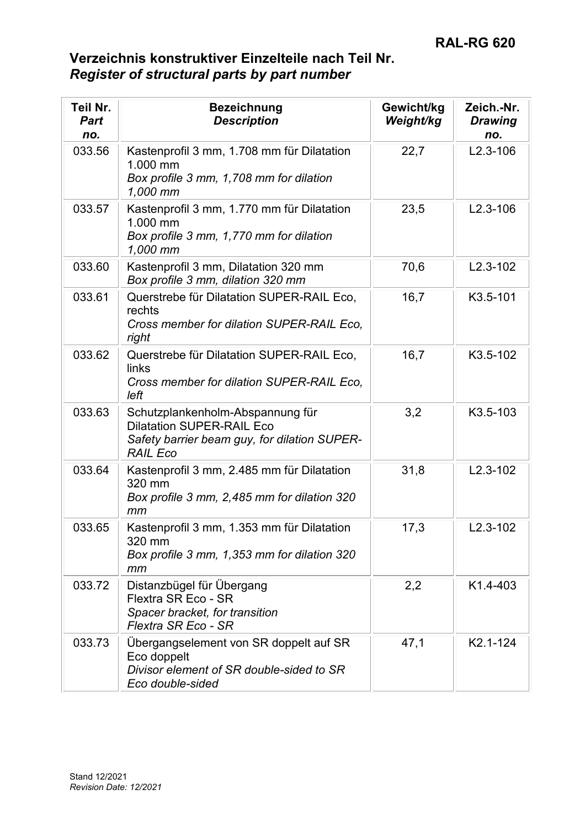| Teil Nr.<br><b>Part</b><br>no. | <b>Bezeichnung</b><br><b>Description</b>                                                                                                | Gewicht/kg<br>Weight/kg | Zeich.-Nr.<br><b>Drawing</b><br>no. |
|--------------------------------|-----------------------------------------------------------------------------------------------------------------------------------------|-------------------------|-------------------------------------|
| 033.56                         | Kastenprofil 3 mm, 1.708 mm für Dilatation<br>1.000 mm<br>Box profile 3 mm, 1,708 mm for dilation<br>1,000 mm                           | 22,7                    | $L2.3 - 106$                        |
| 033.57                         | Kastenprofil 3 mm, 1.770 mm für Dilatation<br>1.000 mm<br>Box profile 3 mm, 1,770 mm for dilation<br>1,000 mm                           | 23,5                    | $L2.3 - 106$                        |
| 033.60                         | Kastenprofil 3 mm, Dilatation 320 mm<br>Box profile 3 mm, dilation 320 mm                                                               | 70,6                    | $L2.3 - 102$                        |
| 033.61                         | Querstrebe für Dilatation SUPER-RAIL Eco,<br>rechts<br>Cross member for dilation SUPER-RAIL Eco.<br>right                               | 16,7                    | K3.5-101                            |
| 033.62                         | Querstrebe für Dilatation SUPER-RAIL Eco,<br>links<br>Cross member for dilation SUPER-RAIL Eco,<br>left                                 | 16,7                    | K3.5-102                            |
| 033.63                         | Schutzplankenholm-Abspannung für<br><b>Dilatation SUPER-RAIL Eco</b><br>Safety barrier beam guy, for dilation SUPER-<br><b>RAIL Eco</b> | 3,2                     | K3.5-103                            |
| 033.64                         | Kastenprofil 3 mm, 2.485 mm für Dilatation<br>320 mm<br>Box profile 3 mm, 2,485 mm for dilation 320<br>mm                               | 31,8                    | $L2.3 - 102$                        |
| 033.65                         | Kastenprofil 3 mm, 1.353 mm für Dilatation<br>320 mm<br>Box profile 3 mm, 1,353 mm for dilation 320<br>mm                               | 17,3                    | $L2.3 - 102$                        |
| 033.72                         | Distanzbügel für Übergang<br>Flextra SR Eco - SR<br>Spacer bracket, for transition<br>Flextra SR Eco - SR                               | 2,2                     | K <sub>1</sub> .4-403               |
| 033.73                         | Übergangselement von SR doppelt auf SR<br>Eco doppelt<br>Divisor element of SR double-sided to SR<br>Eco double-sided                   | 47,1                    | K <sub>2.1</sub> -124               |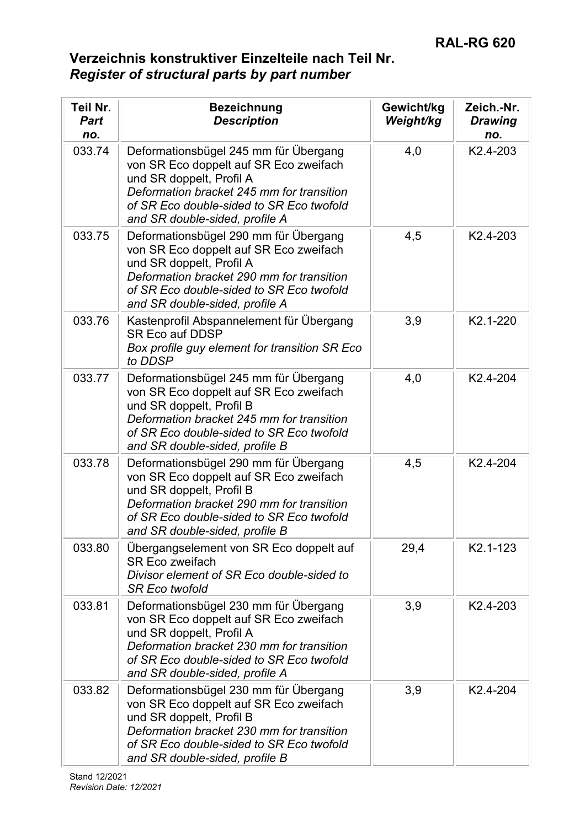| Teil Nr.<br><b>Part</b><br>no. | <b>Bezeichnung</b><br><b>Description</b>                                                                                                                                                                                               | Gewicht/kg<br>Weight/kg | Zeich.-Nr.<br><b>Drawing</b><br>no. |
|--------------------------------|----------------------------------------------------------------------------------------------------------------------------------------------------------------------------------------------------------------------------------------|-------------------------|-------------------------------------|
| 033.74                         | Deformationsbügel 245 mm für Übergang<br>von SR Eco doppelt auf SR Eco zweifach<br>und SR doppelt, Profil A<br>Deformation bracket 245 mm for transition<br>of SR Eco double-sided to SR Eco twofold<br>and SR double-sided, profile A | 4,0                     | K2.4-203                            |
| 033.75                         | Deformationsbügel 290 mm für Übergang<br>von SR Eco doppelt auf SR Eco zweifach<br>und SR doppelt, Profil A<br>Deformation bracket 290 mm for transition<br>of SR Eco double-sided to SR Eco twofold<br>and SR double-sided, profile A | 4,5                     | K <sub>2.4</sub> -203               |
| 033.76                         | Kastenprofil Abspannelement für Übergang<br><b>SR Eco auf DDSP</b><br>Box profile guy element for transition SR Eco<br>to DDSP                                                                                                         | 3,9                     | K2.1-220                            |
| 033.77                         | Deformationsbügel 245 mm für Übergang<br>von SR Eco doppelt auf SR Eco zweifach<br>und SR doppelt, Profil B<br>Deformation bracket 245 mm for transition<br>of SR Eco double-sided to SR Eco twofold<br>and SR double-sided, profile B | 4,0                     | K2.4-204                            |
| 033.78                         | Deformationsbügel 290 mm für Übergang<br>von SR Eco doppelt auf SR Eco zweifach<br>und SR doppelt, Profil B<br>Deformation bracket 290 mm for transition<br>of SR Eco double-sided to SR Eco twofold<br>and SR double-sided, profile B | 4,5                     | K2.4-204                            |
| 033.80                         | Übergangselement von SR Eco doppelt auf<br><b>SR Eco zweifach</b><br>Divisor element of SR Eco double-sided to<br><b>SR Eco twofold</b>                                                                                                | 29,4                    | K2.1-123                            |
| 033.81                         | Deformationsbügel 230 mm für Übergang<br>von SR Eco doppelt auf SR Eco zweifach<br>und SR doppelt, Profil A<br>Deformation bracket 230 mm for transition<br>of SR Eco double-sided to SR Eco twofold<br>and SR double-sided, profile A | 3,9                     | K <sub>2.4</sub> -203               |
| 033.82                         | Deformationsbügel 230 mm für Übergang<br>von SR Eco doppelt auf SR Eco zweifach<br>und SR doppelt, Profil B<br>Deformation bracket 230 mm for transition<br>of SR Eco double-sided to SR Eco twofold<br>and SR double-sided, profile B | 3,9                     | K <sub>2.4</sub> -204               |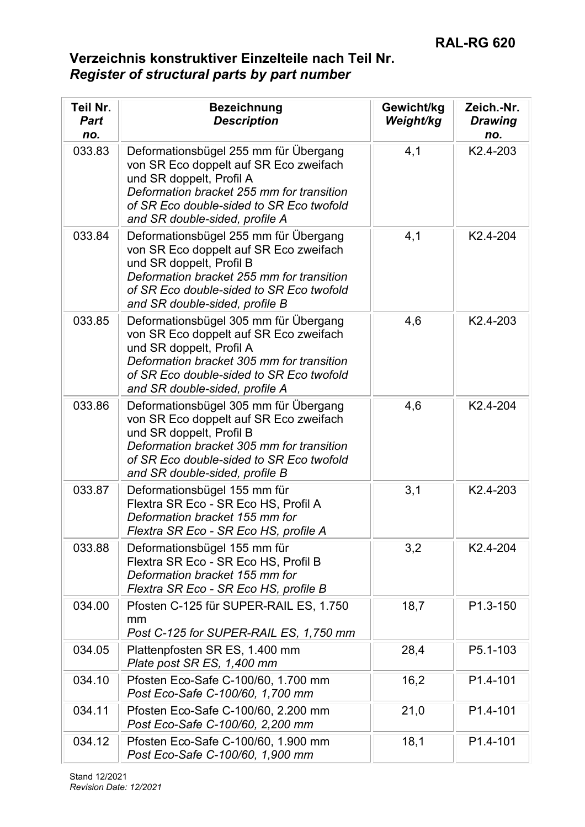| Teil Nr.<br><b>Part</b><br>no. | <b>Bezeichnung</b><br><b>Description</b>                                                                                                                                                                                               | Gewicht/kg<br>Weight/kg | Zeich.-Nr.<br><b>Drawing</b><br>no. |
|--------------------------------|----------------------------------------------------------------------------------------------------------------------------------------------------------------------------------------------------------------------------------------|-------------------------|-------------------------------------|
| 033.83                         | Deformationsbügel 255 mm für Übergang<br>von SR Eco doppelt auf SR Eco zweifach<br>und SR doppelt, Profil A<br>Deformation bracket 255 mm for transition<br>of SR Eco double-sided to SR Eco twofold<br>and SR double-sided, profile A | 4,1                     | K2.4-203                            |
| 033.84                         | Deformationsbügel 255 mm für Übergang<br>von SR Eco doppelt auf SR Eco zweifach<br>und SR doppelt, Profil B<br>Deformation bracket 255 mm for transition<br>of SR Eco double-sided to SR Eco twofold<br>and SR double-sided, profile B | 4,1                     | K2.4-204                            |
| 033.85                         | Deformationsbügel 305 mm für Übergang<br>von SR Eco doppelt auf SR Eco zweifach<br>und SR doppelt, Profil A<br>Deformation bracket 305 mm for transition<br>of SR Eco double-sided to SR Eco twofold<br>and SR double-sided, profile A | 4,6                     | K <sub>2</sub> .4-203               |
| 033.86                         | Deformationsbügel 305 mm für Übergang<br>von SR Eco doppelt auf SR Eco zweifach<br>und SR doppelt, Profil B<br>Deformation bracket 305 mm for transition<br>of SR Eco double-sided to SR Eco twofold<br>and SR double-sided, profile B | 4,6                     | K2.4-204                            |
| 033.87                         | Deformationsbügel 155 mm für<br>Flextra SR Eco - SR Eco HS, Profil A<br>Deformation bracket 155 mm for<br>Flextra SR Eco - SR Eco HS, profile A                                                                                        | 3,1                     | K2.4-203                            |
| 033.88                         | Deformationsbügel 155 mm für<br>Flextra SR Eco - SR Eco HS, Profil B<br>Deformation bracket 155 mm for<br>Flextra SR Eco - SR Eco HS, profile B                                                                                        | 3,2                     | K <sub>2.4</sub> -204               |
| 034.00                         | Pfosten C-125 für SUPER-RAIL ES, 1.750<br>mm<br>Post C-125 for SUPER-RAIL ES, 1,750 mm                                                                                                                                                 | 18,7                    | P1.3-150                            |
| 034.05                         | Plattenpfosten SR ES, 1.400 mm<br>Plate post SR ES, 1,400 mm                                                                                                                                                                           | 28,4                    | P5.1-103                            |
| 034.10                         | Pfosten Eco-Safe C-100/60, 1.700 mm<br>Post Eco-Safe C-100/60, 1,700 mm                                                                                                                                                                | 16,2                    | P <sub>1.4</sub> -101               |
| 034.11                         | Pfosten Eco-Safe C-100/60, 2.200 mm<br>Post Eco-Safe C-100/60, 2,200 mm                                                                                                                                                                | 21,0                    | P1.4-101                            |
| 034.12                         | Pfosten Eco-Safe C-100/60, 1.900 mm<br>Post Eco-Safe C-100/60, 1,900 mm                                                                                                                                                                | 18,1                    | P1.4-101                            |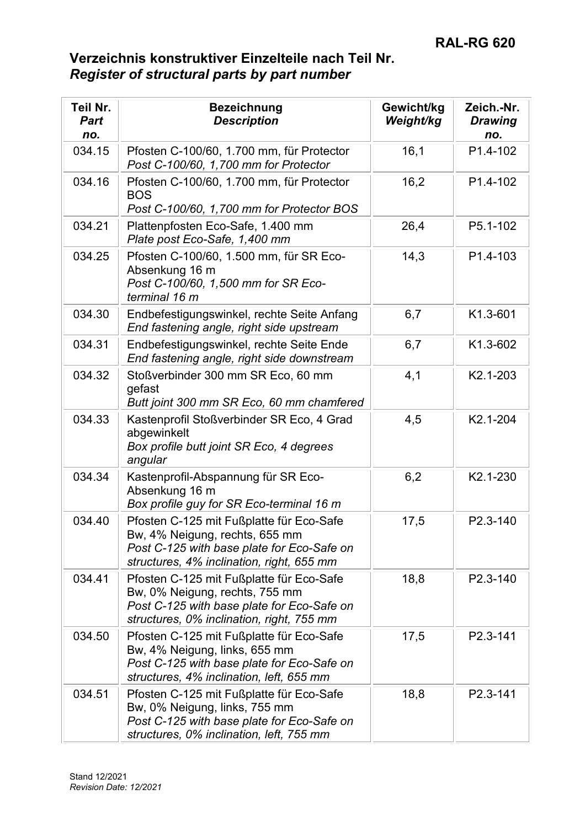| Teil Nr.<br><b>Part</b><br>no. | <b>Bezeichnung</b><br><b>Description</b>                                                                                                                              | Gewicht/kg<br>Weight/kg | Zeich.-Nr.<br><b>Drawing</b><br>no. |
|--------------------------------|-----------------------------------------------------------------------------------------------------------------------------------------------------------------------|-------------------------|-------------------------------------|
| 034.15                         | Pfosten C-100/60, 1.700 mm, für Protector<br>Post C-100/60, 1,700 mm for Protector                                                                                    | 16,1                    | P1.4-102                            |
| 034.16                         | Pfosten C-100/60, 1.700 mm, für Protector<br><b>BOS</b><br>Post C-100/60, 1,700 mm for Protector BOS                                                                  | 16,2                    | P1.4-102                            |
| 034.21                         | Plattenpfosten Eco-Safe, 1.400 mm<br>Plate post Eco-Safe, 1,400 mm                                                                                                    | 26,4                    | P5.1-102                            |
| 034.25                         | Pfosten C-100/60, 1.500 mm, für SR Eco-<br>Absenkung 16 m<br>Post C-100/60, 1,500 mm for SR Eco-<br>terminal 16 m                                                     | 14,3                    | P1.4-103                            |
| 034.30                         | Endbefestigungswinkel, rechte Seite Anfang<br>End fastening angle, right side upstream                                                                                | 6,7                     | K1.3-601                            |
| 034.31                         | Endbefestigungswinkel, rechte Seite Ende<br>End fastening angle, right side downstream                                                                                | 6,7                     | K1.3-602                            |
| 034.32                         | Stoßverbinder 300 mm SR Eco, 60 mm<br>gefast<br>Butt joint 300 mm SR Eco, 60 mm chamfered                                                                             | 4,1                     | K2.1-203                            |
| 034.33                         | Kastenprofil Stoßverbinder SR Eco, 4 Grad<br>abgewinkelt<br>Box profile butt joint SR Eco, 4 degrees<br>angular                                                       | 4,5                     | K2.1-204                            |
| 034.34                         | Kastenprofil-Abspannung für SR Eco-<br>Absenkung 16 m<br>Box profile guy for SR Eco-terminal 16 m                                                                     | 6,2                     | K2.1-230                            |
| 034.40                         | Pfosten C-125 mit Fußplatte für Eco-Safe<br>Bw, 4% Neigung, rechts, 655 mm<br>Post C-125 with base plate for Eco-Safe on<br>structures, 4% inclination, right, 655 mm | 17,5                    | P2.3-140                            |
| 034.41                         | Pfosten C-125 mit Fußplatte für Eco-Safe<br>Bw, 0% Neigung, rechts, 755 mm<br>Post C-125 with base plate for Eco-Safe on<br>structures, 0% inclination, right, 755 mm | 18,8                    | P2.3-140                            |
| 034.50                         | Pfosten C-125 mit Fußplatte für Eco-Safe<br>Bw, 4% Neigung, links, 655 mm<br>Post C-125 with base plate for Eco-Safe on<br>structures, 4% inclination, left, 655 mm   | 17,5                    | P2.3-141                            |
| 034.51                         | Pfosten C-125 mit Fußplatte für Eco-Safe<br>Bw, 0% Neigung, links, 755 mm<br>Post C-125 with base plate for Eco-Safe on<br>structures, 0% inclination, left, 755 mm   | 18,8                    | P2.3-141                            |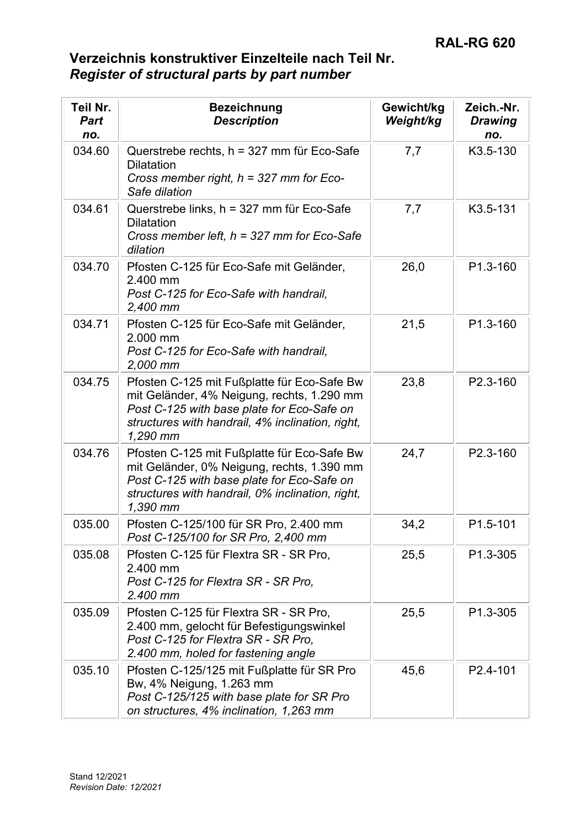| Teil Nr.<br><b>Part</b><br>no. | <b>Bezeichnung</b><br><b>Description</b>                                                                                                                                                                | Gewicht/kg<br>Weight/kg | Zeich.-Nr.<br><b>Drawing</b><br>no. |
|--------------------------------|---------------------------------------------------------------------------------------------------------------------------------------------------------------------------------------------------------|-------------------------|-------------------------------------|
| 034.60                         | Querstrebe rechts, h = 327 mm für Eco-Safe<br><b>Dilatation</b><br>Cross member right, $h = 327$ mm for Eco-<br>Safe dilation                                                                           | 7,7                     | K3.5-130                            |
| 034.61                         | Querstrebe links, h = 327 mm für Eco-Safe<br><b>Dilatation</b><br>Cross member left, $h = 327$ mm for Eco-Safe<br>dilation                                                                              | 7,7                     | K3.5-131                            |
| 034.70                         | Pfosten C-125 für Eco-Safe mit Geländer,<br>2.400 mm<br>Post C-125 for Eco-Safe with handrail,<br>2,400 mm                                                                                              | 26,0                    | P1.3-160                            |
| 034.71                         | Pfosten C-125 für Eco-Safe mit Geländer,<br>2.000 mm<br>Post C-125 for Eco-Safe with handrail.<br>2,000 mm                                                                                              | 21,5                    | P1.3-160                            |
| 034.75                         | Pfosten C-125 mit Fußplatte für Eco-Safe Bw<br>mit Geländer, 4% Neigung, rechts, 1.290 mm<br>Post C-125 with base plate for Eco-Safe on<br>structures with handrail, 4% inclination, right,<br>1,290 mm | 23,8                    | P2.3-160                            |
| 034.76                         | Pfosten C-125 mit Fußplatte für Eco-Safe Bw<br>mit Geländer, 0% Neigung, rechts, 1.390 mm<br>Post C-125 with base plate for Eco-Safe on<br>structures with handrail, 0% inclination, right,<br>1,390 mm | 24,7                    | P2.3-160                            |
| 035.00                         | Pfosten C-125/100 für SR Pro, 2.400 mm<br>Post C-125/100 for SR Pro, 2,400 mm                                                                                                                           | 34,2                    | P1.5-101                            |
| 035.08                         | Pfosten C-125 für Flextra SR - SR Pro,<br>2.400 mm<br>Post C-125 for Flextra SR - SR Pro.<br>2.400 mm                                                                                                   | 25,5                    | P1.3-305                            |
| 035.09                         | Pfosten C-125 für Flextra SR - SR Pro,<br>2.400 mm, gelocht für Befestigungswinkel<br>Post C-125 for Flextra SR - SR Pro,<br>2.400 mm, holed for fastening angle                                        | 25,5                    | P1.3-305                            |
| 035.10                         | Pfosten C-125/125 mit Fußplatte für SR Pro<br>Bw, 4% Neigung, 1.263 mm<br>Post C-125/125 with base plate for SR Pro<br>on structures, 4% inclination, 1,263 mm                                          | 45,6                    | P2.4-101                            |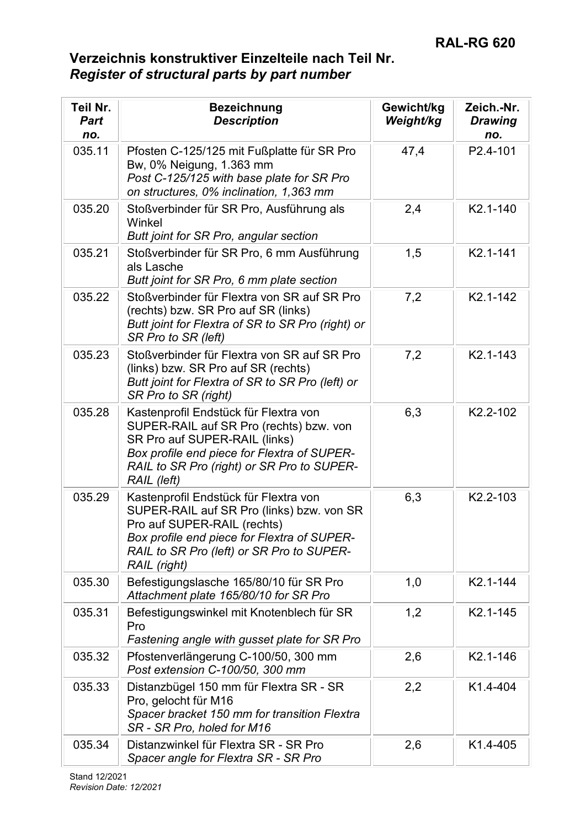| Teil Nr.<br><b>Part</b><br>no. | <b>Bezeichnung</b><br><b>Description</b>                                                                                                                                                                                      | Gewicht/kg<br>Weight/kg | Zeich.-Nr.<br><b>Drawing</b><br>no. |
|--------------------------------|-------------------------------------------------------------------------------------------------------------------------------------------------------------------------------------------------------------------------------|-------------------------|-------------------------------------|
| 035.11                         | Pfosten C-125/125 mit Fußplatte für SR Pro<br>Bw, 0% Neigung, 1.363 mm<br>Post C-125/125 with base plate for SR Pro<br>on structures, 0% inclination, 1,363 mm                                                                | 47,4                    | P2.4-101                            |
| 035.20                         | Stoßverbinder für SR Pro, Ausführung als<br>Winkel<br>Butt joint for SR Pro, angular section                                                                                                                                  | 2,4                     | K2.1-140                            |
| 035.21                         | Stoßverbinder für SR Pro, 6 mm Ausführung<br>als Lasche<br>Butt joint for SR Pro, 6 mm plate section                                                                                                                          | 1,5                     | K2.1-141                            |
| 035.22                         | Stoßverbinder für Flextra von SR auf SR Pro<br>(rechts) bzw. SR Pro auf SR (links)<br>Butt joint for Flextra of SR to SR Pro (right) or<br>SR Pro to SR (left)                                                                | 7,2                     | K2.1-142                            |
| 035.23                         | Stoßverbinder für Flextra von SR auf SR Pro<br>(links) bzw. SR Pro auf SR (rechts)<br>Butt joint for Flextra of SR to SR Pro (left) or<br>SR Pro to SR (right)                                                                | 7,2                     | K2.1-143                            |
| 035.28                         | Kastenprofil Endstück für Flextra von<br>SUPER-RAIL auf SR Pro (rechts) bzw. von<br>SR Pro auf SUPER-RAIL (links)<br>Box profile end piece for Flextra of SUPER-<br>RAIL to SR Pro (right) or SR Pro to SUPER-<br>RAIL (left) | 6,3                     | K2.2-102                            |
| 035.29                         | Kastenprofil Endstück für Flextra von<br>SUPER-RAIL auf SR Pro (links) bzw. von SR<br>Pro auf SUPER-RAIL (rechts)<br>Box profile end piece for Flextra of SUPER-<br>RAIL to SR Pro (left) or SR Pro to SUPER-<br>RAIL (right) | 6,3                     | K2.2-103                            |
| 035.30                         | Befestigungslasche 165/80/10 für SR Pro<br>Attachment plate 165/80/10 for SR Pro                                                                                                                                              | 1,0                     | K2.1-144                            |
| 035.31                         | Befestigungswinkel mit Knotenblech für SR<br>Pro<br>Fastening angle with gusset plate for SR Pro                                                                                                                              | 1,2                     | K2.1-145                            |
| 035.32                         | Pfostenverlängerung C-100/50, 300 mm<br>Post extension C-100/50, 300 mm                                                                                                                                                       | 2,6                     | K2.1-146                            |
| 035.33                         | Distanzbügel 150 mm für Flextra SR - SR<br>Pro, gelocht für M16<br>Spacer bracket 150 mm for transition Flextra<br>SR - SR Pro, holed for M16                                                                                 | 2,2                     | K1.4-404                            |
| 035.34                         | Distanzwinkel für Flextra SR - SR Pro<br>Spacer angle for Flextra SR - SR Pro                                                                                                                                                 | 2,6                     | K <sub>1.4</sub> -405               |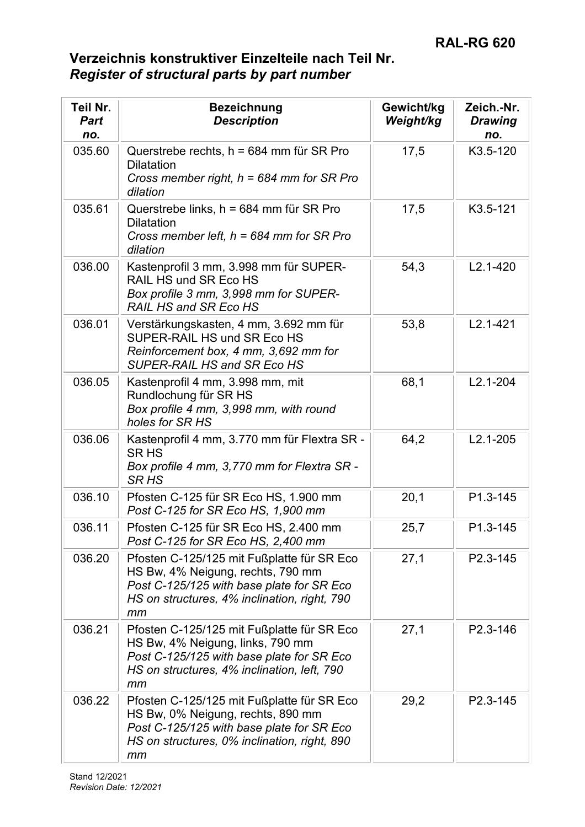| Teil Nr.<br><b>Part</b><br>no. | <b>Bezeichnung</b><br><b>Description</b>                                                                                                                                           | Gewicht/kg<br>Weight/kg | Zeich.-Nr.<br><b>Drawing</b><br>no. |
|--------------------------------|------------------------------------------------------------------------------------------------------------------------------------------------------------------------------------|-------------------------|-------------------------------------|
| 035.60                         | Querstrebe rechts, h = 684 mm für SR Pro<br><b>Dilatation</b><br>Cross member right, $h = 684$ mm for SR Pro<br>dilation                                                           | 17,5                    | K3.5-120                            |
| 035.61                         | Querstrebe links, h = 684 mm für SR Pro<br><b>Dilatation</b><br>Cross member left, $h = 684$ mm for SR Pro<br>dilation                                                             | 17,5                    | K3.5-121                            |
| 036.00                         | Kastenprofil 3 mm, 3.998 mm für SUPER-<br>RAIL HS und SR Eco HS<br>Box profile 3 mm, 3,998 mm for SUPER-<br><b>RAIL HS and SR Eco HS</b>                                           | 54,3                    | $L2.1 - 420$                        |
| 036.01                         | Verstärkungskasten, 4 mm, 3.692 mm für<br>SUPER-RAIL HS und SR Eco HS<br>Reinforcement box, 4 mm, 3,692 mm for<br>SUPER-RAIL HS and SR Eco HS                                      | 53,8                    | $L2.1 - 421$                        |
| 036.05                         | Kastenprofil 4 mm, 3.998 mm, mit<br>Rundlochung für SR HS<br>Box profile 4 mm, 3,998 mm, with round<br>holes for SR HS                                                             | 68,1                    | $L2.1 - 204$                        |
| 036.06                         | Kastenprofil 4 mm, 3.770 mm für Flextra SR -<br><b>SRHS</b><br>Box profile 4 mm, 3,770 mm for Flextra SR -<br><b>SR HS</b>                                                         | 64,2                    | $L2.1 - 205$                        |
| 036.10                         | Pfosten C-125 für SR Eco HS, 1.900 mm<br>Post C-125 for SR Eco HS, 1,900 mm                                                                                                        | 20,1                    | P1.3-145                            |
| 036.11                         | Pfosten C-125 für SR Eco HS, 2.400 mm<br>Post C-125 for SR Eco HS, 2,400 mm                                                                                                        | 25,7                    | P1.3-145                            |
| 036.20                         | Pfosten C-125/125 mit Fußplatte für SR Eco<br>HS Bw, 4% Neigung, rechts, 790 mm<br>Post C-125/125 with base plate for SR Eco<br>HS on structures, 4% inclination, right, 790<br>mm | 27,1                    | P2.3-145                            |
| 036.21                         | Pfosten C-125/125 mit Fußplatte für SR Eco<br>HS Bw, 4% Neigung, links, 790 mm<br>Post C-125/125 with base plate for SR Eco<br>HS on structures, 4% inclination, left, 790<br>mm   | 27,1                    | P2.3-146                            |
| 036.22                         | Pfosten C-125/125 mit Fußplatte für SR Eco<br>HS Bw, 0% Neigung, rechts, 890 mm<br>Post C-125/125 with base plate for SR Eco<br>HS on structures, 0% inclination, right, 890<br>mm | 29,2                    | P2.3-145                            |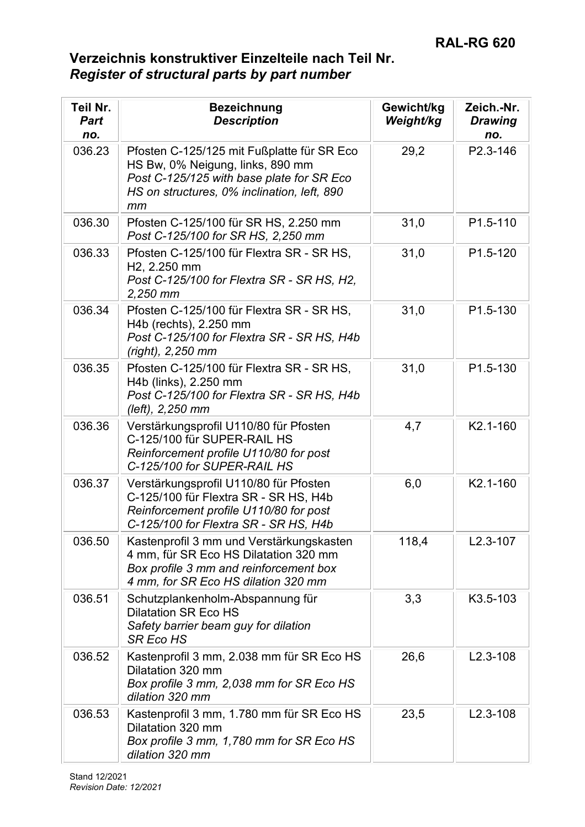| Teil Nr.<br><b>Part</b><br>no. | <b>Bezeichnung</b><br><b>Description</b>                                                                                                                                         | Gewicht/kg<br>Weight/kg | Zeich.-Nr.<br><b>Drawing</b><br>no. |
|--------------------------------|----------------------------------------------------------------------------------------------------------------------------------------------------------------------------------|-------------------------|-------------------------------------|
| 036.23                         | Pfosten C-125/125 mit Fußplatte für SR Eco<br>HS Bw, 0% Neigung, links, 890 mm<br>Post C-125/125 with base plate for SR Eco<br>HS on structures, 0% inclination, left, 890<br>mm | 29,2                    | P2.3-146                            |
| 036.30                         | Pfosten C-125/100 für SR HS, 2.250 mm<br>Post C-125/100 for SR HS, 2,250 mm                                                                                                      | 31,0                    | P1.5-110                            |
| 036.33                         | Pfosten C-125/100 für Flextra SR - SR HS,<br>H <sub>2</sub> , 2.250 mm<br>Post C-125/100 for Flextra SR - SR HS, H2,<br>$2,250$ mm                                               | 31,0                    | P1.5-120                            |
| 036.34                         | Pfosten C-125/100 für Flextra SR - SR HS,<br>H4b (rechts), 2.250 mm<br>Post C-125/100 for Flextra SR - SR HS, H4b<br>(right), 2,250 mm                                           | 31,0                    | P1.5-130                            |
| 036.35                         | Pfosten C-125/100 für Flextra SR - SR HS,<br>H4b (links), 2.250 mm<br>Post C-125/100 for Flextra SR - SR HS, H4b<br>(left), 2,250 mm                                             | 31,0                    | P1.5-130                            |
| 036.36                         | Verstärkungsprofil U110/80 für Pfosten<br>C-125/100 für SUPER-RAIL HS<br>Reinforcement profile U110/80 for post<br>C-125/100 for SUPER-RAIL HS                                   | 4,7                     | K2.1-160                            |
| 036.37                         | Verstärkungsprofil U110/80 für Pfosten<br>C-125/100 für Flextra SR - SR HS, H4b<br>Reinforcement profile U110/80 for post<br>C-125/100 for Flextra SR - SR HS, H4b               | 6,0                     | K2.1-160                            |
| 036.50                         | Kastenprofil 3 mm und Verstärkungskasten<br>4 mm, für SR Eco HS Dilatation 320 mm<br>Box profile 3 mm and reinforcement box<br>4 mm, for SR Eco HS dilation 320 mm               | 118,4                   | $L2.3 - 107$                        |
| 036.51                         | Schutzplankenholm-Abspannung für<br><b>Dilatation SR Eco HS</b><br>Safety barrier beam guy for dilation<br><b>SR Eco HS</b>                                                      | 3,3                     | K3.5-103                            |
| 036.52                         | Kastenprofil 3 mm, 2.038 mm für SR Eco HS<br>Dilatation 320 mm<br>Box profile 3 mm, 2,038 mm for SR Eco HS<br>dilation 320 mm                                                    | 26,6                    | $L2.3 - 108$                        |
| 036.53                         | Kastenprofil 3 mm, 1.780 mm für SR Eco HS<br>Dilatation 320 mm<br>Box profile 3 mm, 1,780 mm for SR Eco HS<br>dilation 320 mm                                                    | 23,5                    | $L2.3 - 108$                        |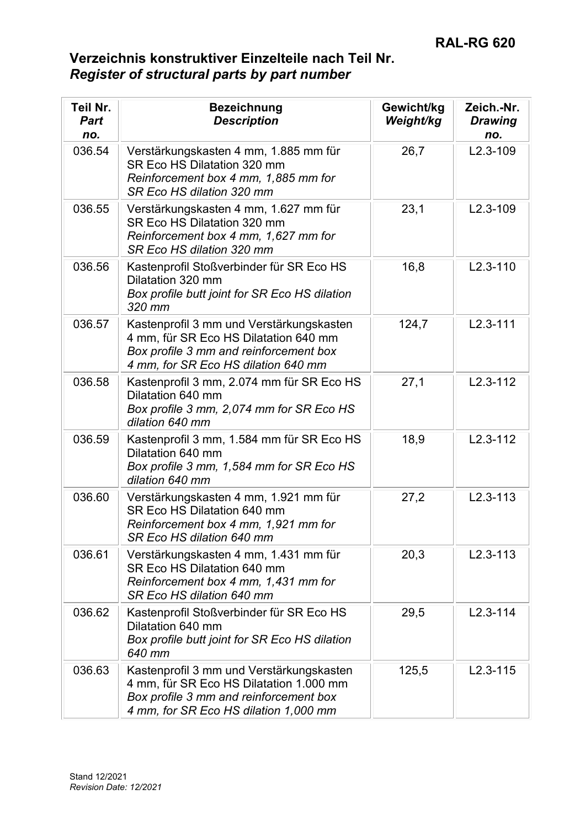| Teil Nr.<br><b>Part</b><br>no. | <b>Bezeichnung</b><br><b>Description</b>                                                                                                                               | Gewicht/kg<br>Weight/kg | Zeich.-Nr.<br><b>Drawing</b><br>no. |
|--------------------------------|------------------------------------------------------------------------------------------------------------------------------------------------------------------------|-------------------------|-------------------------------------|
| 036.54                         | Verstärkungskasten 4 mm, 1.885 mm für<br>SR Eco HS Dilatation 320 mm<br>Reinforcement box 4 mm, 1,885 mm for<br>SR Eco HS dilation 320 mm                              | 26,7                    | $L2.3 - 109$                        |
| 036.55                         | Verstärkungskasten 4 mm, 1.627 mm für<br>SR Eco HS Dilatation 320 mm<br>Reinforcement box 4 mm, 1,627 mm for<br>SR Eco HS dilation 320 mm                              | 23,1                    | $L2.3 - 109$                        |
| 036.56                         | Kastenprofil Stoßverbinder für SR Eco HS<br>Dilatation 320 mm<br>Box profile butt joint for SR Eco HS dilation<br>320 mm                                               | 16,8                    | $L2.3 - 110$                        |
| 036.57                         | Kastenprofil 3 mm und Verstärkungskasten<br>4 mm, für SR Eco HS Dilatation 640 mm<br>Box profile 3 mm and reinforcement box<br>4 mm, for SR Eco HS dilation 640 mm     | 124,7                   | $L2.3 - 111$                        |
| 036.58                         | Kastenprofil 3 mm, 2.074 mm für SR Eco HS<br>Dilatation 640 mm<br>Box profile 3 mm, 2,074 mm for SR Eco HS<br>dilation 640 mm                                          | 27,1                    | $L2.3 - 112$                        |
| 036.59                         | Kastenprofil 3 mm, 1.584 mm für SR Eco HS<br>Dilatation 640 mm<br>Box profile 3 mm, 1,584 mm for SR Eco HS<br>dilation 640 mm                                          | 18,9                    | $L2.3 - 112$                        |
| 036.60                         | Verstärkungskasten 4 mm, 1.921 mm für<br>SR Eco HS Dilatation 640 mm<br>Reinforcement box 4 mm, 1,921 mm for<br>SR Eco HS dilation 640 mm                              | 27,2                    | $L2.3 - 113$                        |
| 036.61                         | Verstärkungskasten 4 mm, 1.431 mm für<br>SR Eco HS Dilatation 640 mm<br>Reinforcement box 4 mm, 1,431 mm for<br>SR Eco HS dilation 640 mm                              | 20,3                    | $L2.3 - 113$                        |
| 036.62                         | Kastenprofil Stoßverbinder für SR Eco HS<br>Dilatation 640 mm<br>Box profile butt joint for SR Eco HS dilation<br>640 mm                                               | 29,5                    | $L2.3 - 114$                        |
| 036.63                         | Kastenprofil 3 mm und Verstärkungskasten<br>4 mm, für SR Eco HS Dilatation 1.000 mm<br>Box profile 3 mm and reinforcement box<br>4 mm, for SR Eco HS dilation 1,000 mm | 125,5                   | $L2.3 - 115$                        |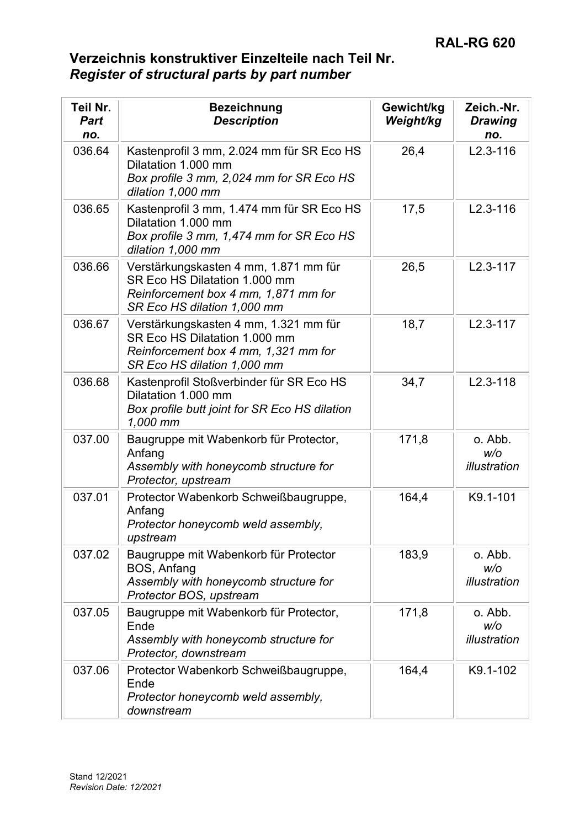| Teil Nr.<br><b>Part</b><br>no. | <b>Bezeichnung</b><br><b>Description</b>                                                                                                      | Gewicht/kg<br>Weight/kg | Zeich.-Nr.<br><b>Drawing</b><br>no. |
|--------------------------------|-----------------------------------------------------------------------------------------------------------------------------------------------|-------------------------|-------------------------------------|
| 036.64                         | Kastenprofil 3 mm, 2.024 mm für SR Eco HS<br>Dilatation 1.000 mm<br>Box profile 3 mm, 2,024 mm for SR Eco HS<br>dilation 1,000 mm             | 26,4                    | $L2.3 - 116$                        |
| 036.65                         | Kastenprofil 3 mm, 1.474 mm für SR Eco HS<br>Dilatation 1.000 mm<br>Box profile 3 mm, 1,474 mm for SR Eco HS<br>dilation 1,000 mm             | 17,5                    | $L2.3 - 116$                        |
| 036.66                         | Verstärkungskasten 4 mm, 1.871 mm für<br>SR Eco HS Dilatation 1.000 mm<br>Reinforcement box 4 mm, 1,871 mm for<br>SR Eco HS dilation 1,000 mm | 26,5                    | $L2.3 - 117$                        |
| 036.67                         | Verstärkungskasten 4 mm, 1.321 mm für<br>SR Eco HS Dilatation 1.000 mm<br>Reinforcement box 4 mm, 1,321 mm for<br>SR Eco HS dilation 1,000 mm | 18,7                    | $L2.3 - 117$                        |
| 036.68                         | Kastenprofil Stoßverbinder für SR Eco HS<br>Dilatation 1.000 mm<br>Box profile butt joint for SR Eco HS dilation<br>1,000 mm                  | 34,7                    | $L2.3 - 118$                        |
| 037.00                         | Baugruppe mit Wabenkorb für Protector,<br>Anfang<br>Assembly with honeycomb structure for<br>Protector, upstream                              | 171,8                   | o. Abb.<br>W/O<br>illustration      |
| 037.01                         | Protector Wabenkorb Schweißbaugruppe,<br>Anfang<br>Protector honeycomb weld assembly,<br>upstream                                             | 164,4                   | K9.1-101                            |
| 037.02                         | Baugruppe mit Wabenkorb für Protector<br>BOS, Anfang<br>Assembly with honeycomb structure for<br>Protector BOS, upstream                      | 183,9                   | o. Abb.<br>W/O<br>illustration      |
| 037.05                         | Baugruppe mit Wabenkorb für Protector,<br>Ende<br>Assembly with honeycomb structure for<br>Protector, downstream                              | 171,8                   | o. Abb.<br>W/O<br>illustration      |
| 037.06                         | Protector Wabenkorb Schweißbaugruppe,<br>Ende<br>Protector honeycomb weld assembly,<br>downstream                                             | 164,4                   | K9.1-102                            |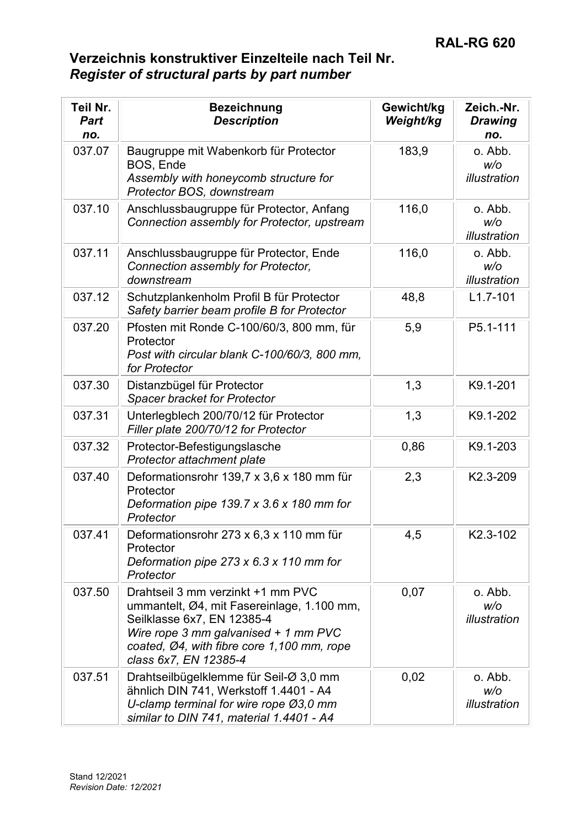| Teil Nr.<br><b>Part</b><br>no. | <b>Bezeichnung</b><br><b>Description</b>                                                                                                                                                                                     | Gewicht/kg<br>Weight/kg | Zeich.-Nr.<br><b>Drawing</b><br>no. |
|--------------------------------|------------------------------------------------------------------------------------------------------------------------------------------------------------------------------------------------------------------------------|-------------------------|-------------------------------------|
| 037.07                         | Baugruppe mit Wabenkorb für Protector<br>BOS, Ende<br>Assembly with honeycomb structure for<br>Protector BOS, downstream                                                                                                     | 183,9                   | o. Abb.<br>W/O<br>illustration      |
| 037.10                         | Anschlussbaugruppe für Protector, Anfang<br>Connection assembly for Protector, upstream                                                                                                                                      | 116,0                   | o. Abb.<br>W/O<br>illustration      |
| 037.11                         | Anschlussbaugruppe für Protector, Ende<br>Connection assembly for Protector,<br>downstream                                                                                                                                   | 116,0                   | o. Abb.<br>W/O<br>illustration      |
| 037.12                         | Schutzplankenholm Profil B für Protector<br>Safety barrier beam profile B for Protector                                                                                                                                      | 48,8                    | $L1.7 - 101$                        |
| 037.20                         | Pfosten mit Ronde C-100/60/3, 800 mm, für<br>Protector<br>Post with circular blank C-100/60/3, 800 mm,<br>for Protector                                                                                                      | 5,9                     | P5.1-111                            |
| 037.30                         | Distanzbügel für Protector<br><b>Spacer bracket for Protector</b>                                                                                                                                                            | 1,3                     | K9.1-201                            |
| 037.31                         | Unterlegblech 200/70/12 für Protector<br>Filler plate 200/70/12 for Protector                                                                                                                                                | 1,3                     | K9.1-202                            |
| 037.32                         | Protector-Befestigungslasche<br>Protector attachment plate                                                                                                                                                                   | 0,86                    | K9.1-203                            |
| 037.40                         | Deformationsrohr 139,7 x 3,6 x 180 mm für<br>Protector<br>Deformation pipe $139.7 \times 3.6 \times 180$ mm for<br>Protector                                                                                                 | 2,3                     | K2.3-209                            |
| 037.41                         | Deformationsrohr 273 x 6,3 x 110 mm für<br>Protector<br>Deformation pipe $273 \times 6.3 \times 110$ mm for<br>Protector                                                                                                     | 4,5                     | K2.3-102                            |
| 037.50                         | Drahtseil 3 mm verzinkt +1 mm PVC<br>ummantelt, Ø4, mit Fasereinlage, 1.100 mm,<br>Seilklasse 6x7, EN 12385-4<br>Wire rope 3 mm galvanised + 1 mm PVC<br>coated, Ø4, with fibre core 1,100 mm, rope<br>class 6x7, EN 12385-4 | 0,07                    | o. Abb.<br>W/O<br>illustration      |
| 037.51                         | Drahtseilbügelklemme für Seil-Ø 3,0 mm<br>ähnlich DIN 741, Werkstoff 1.4401 - A4<br>U-clamp terminal for wire rope Ø3,0 mm<br>similar to DIN 741, material 1.4401 - A4                                                       | 0,02                    | o. Abb.<br>W/O<br>illustration      |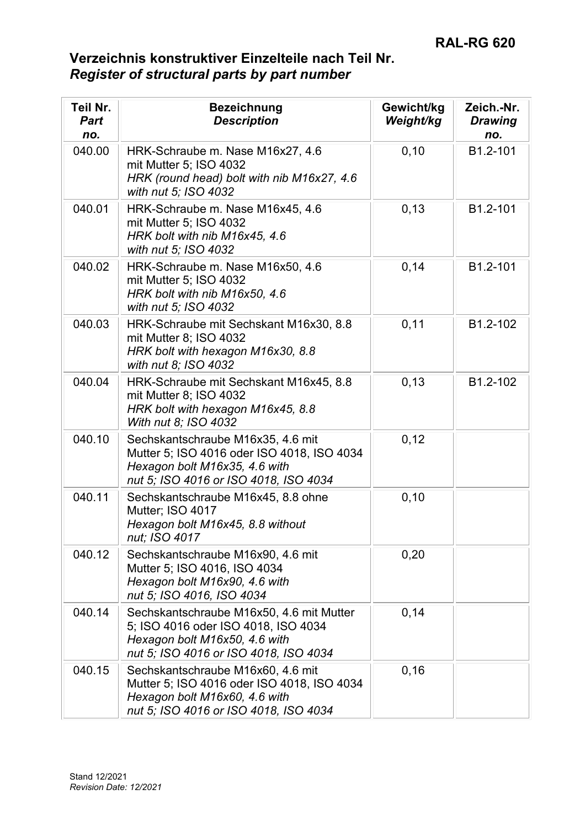| Teil Nr.<br>Part<br>no. | <b>Bezeichnung</b><br><b>Description</b>                                                                                                                  | Gewicht/kg<br>Weight/kg | Zeich.-Nr.<br><b>Drawing</b><br>no. |
|-------------------------|-----------------------------------------------------------------------------------------------------------------------------------------------------------|-------------------------|-------------------------------------|
| 040.00                  | HRK-Schraube m. Nase M16x27, 4.6<br>mit Mutter 5; ISO 4032<br>HRK (round head) bolt with nib M16x27, 4.6<br>with nut 5; ISO 4032                          | 0, 10                   | B1.2-101                            |
| 040.01                  | HRK-Schraube m. Nase M16x45, 4.6<br>mit Mutter 5; ISO 4032<br>HRK bolt with nib M16x45, 4.6<br>with nut 5; ISO 4032                                       | 0, 13                   | B1.2-101                            |
| 040.02                  | HRK-Schraube m. Nase M16x50, 4.6<br>mit Mutter 5; ISO 4032<br>HRK bolt with nib M16x50, 4.6<br>with nut 5; ISO 4032                                       | 0,14                    | B1.2-101                            |
| 040.03                  | HRK-Schraube mit Sechskant M16x30, 8.8<br>mit Mutter 8; ISO 4032<br>HRK bolt with hexagon M16x30, 8.8<br>with nut 8; ISO 4032                             | 0,11                    | B1.2-102                            |
| 040.04                  | HRK-Schraube mit Sechskant M16x45, 8.8<br>mit Mutter 8; ISO 4032<br>HRK bolt with hexagon M16x45, 8.8<br>With nut 8; ISO 4032                             | 0, 13                   | B1.2-102                            |
| 040.10                  | Sechskantschraube M16x35, 4.6 mit<br>Mutter 5; ISO 4016 oder ISO 4018, ISO 4034<br>Hexagon bolt M16x35, 4.6 with<br>nut 5; ISO 4016 or ISO 4018, ISO 4034 | 0,12                    |                                     |
| 040.11                  | Sechskantschraube M16x45, 8.8 ohne<br>Mutter; ISO 4017<br>Hexagon bolt M16x45, 8.8 without<br>nut; ISO 4017                                               | 0, 10                   |                                     |
| 040.12                  | Sechskantschraube M16x90, 4.6 mit<br>Mutter 5; ISO 4016, ISO 4034<br>Hexagon bolt M16x90, 4.6 with<br>nut 5; ISO 4016, ISO 4034                           | 0,20                    |                                     |
| 040.14                  | Sechskantschraube M16x50, 4.6 mit Mutter<br>5; ISO 4016 oder ISO 4018, ISO 4034<br>Hexagon bolt M16x50, 4.6 with<br>nut 5; ISO 4016 or ISO 4018, ISO 4034 | 0,14                    |                                     |
| 040.15                  | Sechskantschraube M16x60, 4.6 mit<br>Mutter 5; ISO 4016 oder ISO 4018, ISO 4034<br>Hexagon bolt M16x60, 4.6 with<br>nut 5; ISO 4016 or ISO 4018, ISO 4034 | 0, 16                   |                                     |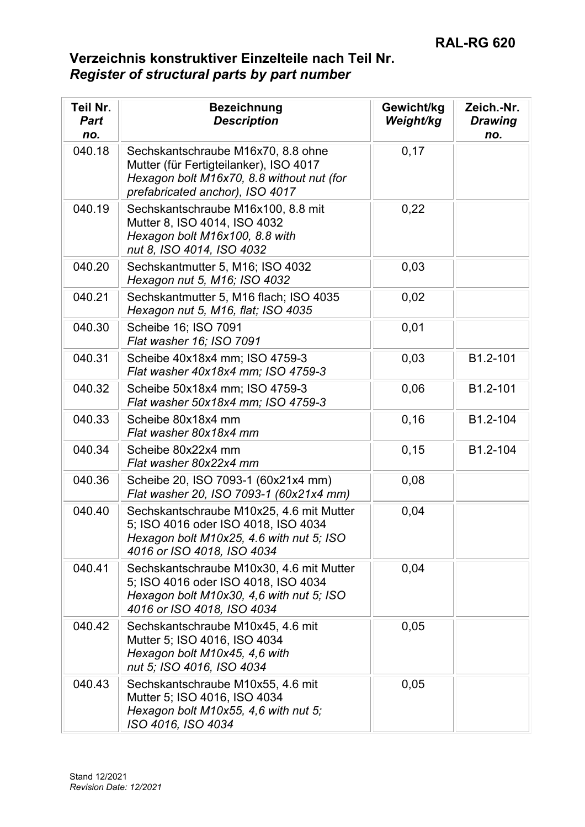| Teil Nr.<br><b>Part</b><br>no. | <b>Bezeichnung</b><br><b>Description</b>                                                                                                                     | Gewicht/kg<br>Weight/kg | Zeich.-Nr.<br><b>Drawing</b><br>no. |
|--------------------------------|--------------------------------------------------------------------------------------------------------------------------------------------------------------|-------------------------|-------------------------------------|
| 040.18                         | Sechskantschraube M16x70, 8.8 ohne<br>Mutter (für Fertigteilanker), ISO 4017<br>Hexagon bolt M16x70, 8.8 without nut (for<br>prefabricated anchor), ISO 4017 | 0,17                    |                                     |
| 040.19                         | Sechskantschraube M16x100, 8.8 mit<br>Mutter 8, ISO 4014, ISO 4032<br>Hexagon bolt M16x100, 8.8 with<br>nut 8, ISO 4014, ISO 4032                            | 0,22                    |                                     |
| 040.20                         | Sechskantmutter 5, M16; ISO 4032<br>Hexagon nut 5, M16; ISO 4032                                                                                             | 0,03                    |                                     |
| 040.21                         | Sechskantmutter 5, M16 flach; ISO 4035<br>Hexagon nut 5, M16, flat; ISO 4035                                                                                 | 0,02                    |                                     |
| 040.30                         | Scheibe 16; ISO 7091<br>Flat washer 16; ISO 7091                                                                                                             | 0,01                    |                                     |
| 040.31                         | Scheibe 40x18x4 mm; ISO 4759-3<br>Flat washer 40x18x4 mm; ISO 4759-3                                                                                         | 0,03                    | B1.2-101                            |
| 040.32                         | Scheibe 50x18x4 mm; ISO 4759-3<br>Flat washer 50x18x4 mm; ISO 4759-3                                                                                         | 0,06                    | B1.2-101                            |
| 040.33                         | Scheibe 80x18x4 mm<br>Flat washer 80x18x4 mm                                                                                                                 | 0, 16                   | B1.2-104                            |
| 040.34                         | Scheibe 80x22x4 mm<br>Flat washer 80x22x4 mm                                                                                                                 | 0, 15                   | B1.2-104                            |
| 040.36                         | Scheibe 20, ISO 7093-1 (60x21x4 mm)<br>Flat washer 20, ISO 7093-1 (60x21x4 mm)                                                                               | 0,08                    |                                     |
| 040.40                         | Sechskantschraube M10x25, 4.6 mit Mutter<br>5; ISO 4016 oder ISO 4018, ISO 4034<br>Hexagon bolt M10x25, 4.6 with nut 5; ISO<br>4016 or ISO 4018, ISO 4034    | 0,04                    |                                     |
| 040.41                         | Sechskantschraube M10x30, 4.6 mit Mutter<br>5; ISO 4016 oder ISO 4018, ISO 4034<br>Hexagon bolt M10x30, 4,6 with nut 5; ISO<br>4016 or ISO 4018, ISO 4034    | 0,04                    |                                     |
| 040.42                         | Sechskantschraube M10x45, 4.6 mit<br>Mutter 5; ISO 4016, ISO 4034<br>Hexagon bolt M10x45, 4,6 with<br>nut 5; ISO 4016, ISO 4034                              | 0,05                    |                                     |
| 040.43                         | Sechskantschraube M10x55, 4.6 mit<br>Mutter 5; ISO 4016, ISO 4034<br>Hexagon bolt M10x55, 4,6 with nut 5;<br>ISO 4016, ISO 4034                              | 0,05                    |                                     |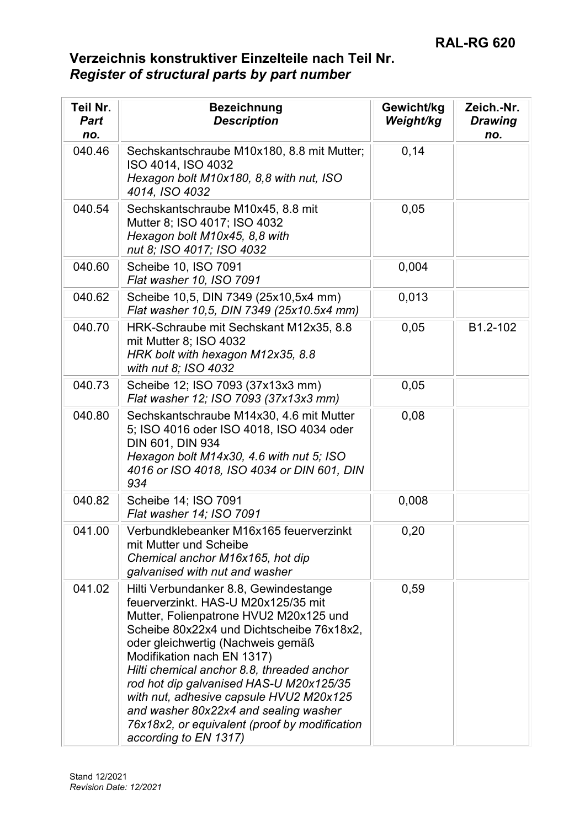| Teil Nr.<br><b>Part</b><br>no. | <b>Bezeichnung</b><br><b>Description</b>                                                                                                                                                                                                                                                                                                                                                                                                                                                      | Gewicht/kg<br>Weight/kg | Zeich.-Nr.<br><b>Drawing</b><br>no. |
|--------------------------------|-----------------------------------------------------------------------------------------------------------------------------------------------------------------------------------------------------------------------------------------------------------------------------------------------------------------------------------------------------------------------------------------------------------------------------------------------------------------------------------------------|-------------------------|-------------------------------------|
| 040.46                         | Sechskantschraube M10x180, 8.8 mit Mutter;<br>ISO 4014, ISO 4032<br>Hexagon bolt M10x180, 8,8 with nut, ISO<br>4014, ISO 4032                                                                                                                                                                                                                                                                                                                                                                 | 0,14                    |                                     |
| 040.54                         | Sechskantschraube M10x45, 8.8 mit<br>Mutter 8; ISO 4017; ISO 4032<br>Hexagon bolt M10x45, 8,8 with<br>nut 8; ISO 4017; ISO 4032                                                                                                                                                                                                                                                                                                                                                               | 0,05                    |                                     |
| 040.60                         | Scheibe 10, ISO 7091<br>Flat washer 10, ISO 7091                                                                                                                                                                                                                                                                                                                                                                                                                                              | 0,004                   |                                     |
| 040.62                         | Scheibe 10,5, DIN 7349 (25x10,5x4 mm)<br>Flat washer 10,5, DIN 7349 (25x10.5x4 mm)                                                                                                                                                                                                                                                                                                                                                                                                            | 0,013                   |                                     |
| 040.70                         | HRK-Schraube mit Sechskant M12x35, 8.8<br>mit Mutter 8; ISO 4032<br>HRK bolt with hexagon M12x35, 8.8<br>with nut 8; ISO 4032                                                                                                                                                                                                                                                                                                                                                                 | 0,05                    | B1.2-102                            |
| 040.73                         | Scheibe 12; ISO 7093 (37x13x3 mm)<br>Flat washer 12; ISO 7093 (37x13x3 mm)                                                                                                                                                                                                                                                                                                                                                                                                                    | 0,05                    |                                     |
| 040.80                         | Sechskantschraube M14x30, 4.6 mit Mutter<br>5; ISO 4016 oder ISO 4018, ISO 4034 oder<br>DIN 601, DIN 934<br>Hexagon bolt M14x30, 4.6 with nut 5; ISO<br>4016 or ISO 4018, ISO 4034 or DIN 601, DIN<br>934                                                                                                                                                                                                                                                                                     | 0,08                    |                                     |
| 040.82                         | Scheibe 14; ISO 7091<br>Flat washer 14; ISO 7091                                                                                                                                                                                                                                                                                                                                                                                                                                              | 0,008                   |                                     |
| 041.00                         | Verbundklebeanker M16x165 feuerverzinkt<br>mit Mutter und Scheibe<br>Chemical anchor M16x165, hot dip<br>galvanised with nut and washer                                                                                                                                                                                                                                                                                                                                                       | 0,20                    |                                     |
| 041.02                         | Hilti Verbundanker 8.8, Gewindestange<br>feuerverzinkt. HAS-U M20x125/35 mit<br>Mutter, Folienpatrone HVU2 M20x125 und<br>Scheibe 80x22x4 und Dichtscheibe 76x18x2,<br>oder gleichwertig (Nachweis gemäß<br>Modifikation nach EN 1317)<br>Hilti chemical anchor 8.8, threaded anchor<br>rod hot dip galvanised HAS-U M20x125/35<br>with nut, adhesive capsule HVU2 M20x125<br>and washer 80x22x4 and sealing washer<br>76x18x2, or equivalent (proof by modification<br>according to EN 1317) | 0,59                    |                                     |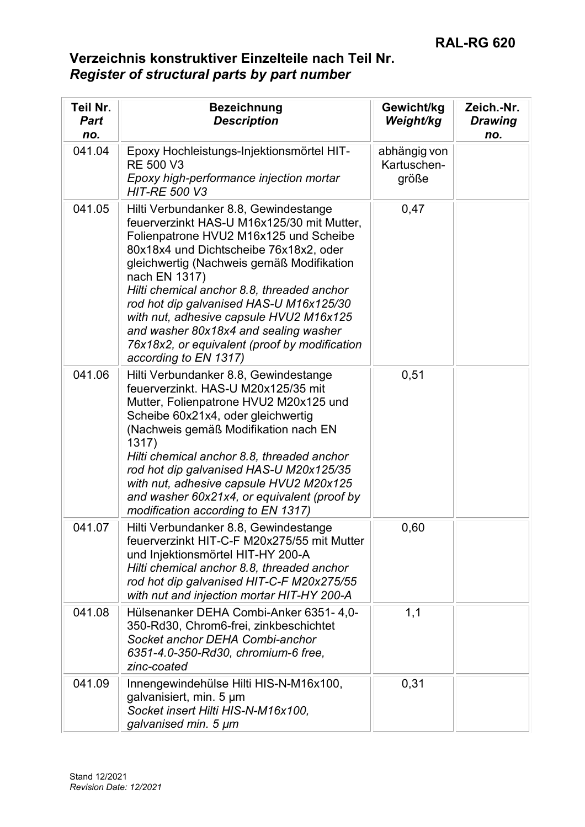| Teil Nr.<br><b>Part</b><br>no. | <b>Bezeichnung</b><br><b>Description</b>                                                                                                                                                                                                                                                                                                                                                                                                                                                     | Gewicht/kg<br>Weight/kg              | Zeich.-Nr.<br><b>Drawing</b><br>no. |
|--------------------------------|----------------------------------------------------------------------------------------------------------------------------------------------------------------------------------------------------------------------------------------------------------------------------------------------------------------------------------------------------------------------------------------------------------------------------------------------------------------------------------------------|--------------------------------------|-------------------------------------|
| 041.04                         | Epoxy Hochleistungs-Injektionsmörtel HIT-<br><b>RE 500 V3</b><br>Epoxy high-performance injection mortar<br><b>HIT-RE 500 V3</b>                                                                                                                                                                                                                                                                                                                                                             | abhängig von<br>Kartuschen-<br>größe |                                     |
| 041.05                         | Hilti Verbundanker 8.8, Gewindestange<br>feuerverzinkt HAS-U M16x125/30 mit Mutter,<br>Folienpatrone HVU2 M16x125 und Scheibe<br>80x18x4 und Dichtscheibe 76x18x2, oder<br>gleichwertig (Nachweis gemäß Modifikation<br>nach EN 1317)<br>Hilti chemical anchor 8.8, threaded anchor<br>rod hot dip galvanised HAS-U M16x125/30<br>with nut, adhesive capsule HVU2 M16x125<br>and washer 80x18x4 and sealing washer<br>76x18x2, or equivalent (proof by modification<br>according to EN 1317) | 0,47                                 |                                     |
| 041.06                         | Hilti Verbundanker 8.8, Gewindestange<br>feuerverzinkt. HAS-U M20x125/35 mit<br>Mutter, Folienpatrone HVU2 M20x125 und<br>Scheibe 60x21x4, oder gleichwertig<br>(Nachweis gemäß Modifikation nach EN<br>1317)<br>Hilti chemical anchor 8.8, threaded anchor<br>rod hot dip galvanised HAS-U M20x125/35<br>with nut, adhesive capsule HVU2 M20x125<br>and washer 60x21x4, or equivalent (proof by<br>modification according to EN 1317)                                                       | 0,51                                 |                                     |
| 041.07                         | Hilti Verbundanker 8.8, Gewindestange<br>feuerverzinkt HIT-C-F M20x275/55 mit Mutter<br>und Injektionsmörtel HIT-HY 200-A<br>Hilti chemical anchor 8.8, threaded anchor<br>rod hot dip galvanised HIT-C-F M20x275/55<br>with nut and injection mortar HIT-HY 200-A                                                                                                                                                                                                                           | 0,60                                 |                                     |
| 041.08                         | Hülsenanker DEHA Combi-Anker 6351-4,0-<br>350-Rd30, Chrom6-frei, zinkbeschichtet<br>Socket anchor DEHA Combi-anchor<br>6351-4.0-350-Rd30, chromium-6 free,<br>zinc-coated                                                                                                                                                                                                                                                                                                                    | 1,1                                  |                                     |
| 041.09                         | Innengewindehülse Hilti HIS-N-M16x100,<br>galvanisiert, min. 5 um<br>Socket insert Hilti HIS-N-M16x100,<br>galvanised min. 5 µm                                                                                                                                                                                                                                                                                                                                                              | 0,31                                 |                                     |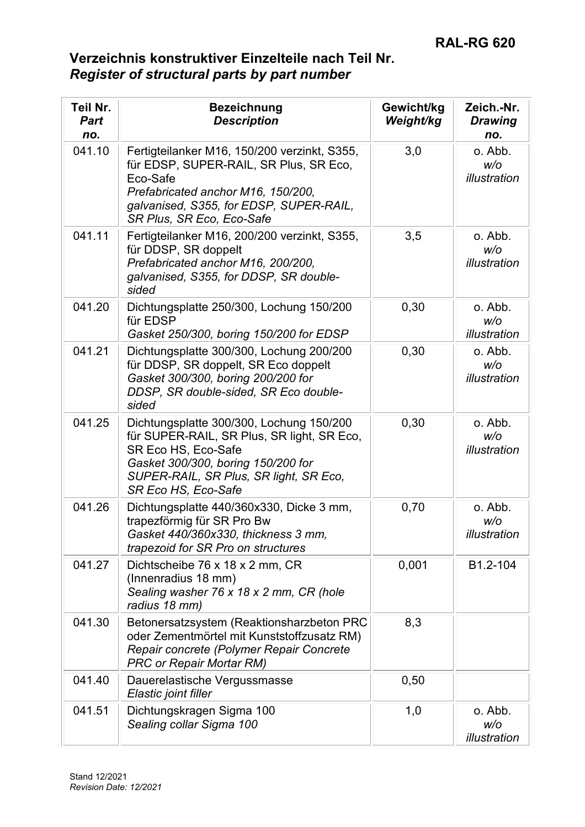| Teil Nr.<br><b>Part</b><br>no. | <b>Bezeichnung</b><br><b>Description</b>                                                                                                                                                                             | Gewicht/kg<br>Weight/kg | Zeich.-Nr.<br><b>Drawing</b><br>no. |
|--------------------------------|----------------------------------------------------------------------------------------------------------------------------------------------------------------------------------------------------------------------|-------------------------|-------------------------------------|
| 041.10                         | Fertigteilanker M16, 150/200 verzinkt, S355,<br>für EDSP, SUPER-RAIL, SR Plus, SR Eco,<br>Eco-Safe<br>Prefabricated anchor M16, 150/200,<br>galvanised, S355, for EDSP, SUPER-RAIL,<br>SR Plus, SR Eco, Eco-Safe     | 3,0                     | o. Abb.<br>W/O<br>illustration      |
| 041.11                         | Fertigteilanker M16, 200/200 verzinkt, S355,<br>für DDSP, SR doppelt<br>Prefabricated anchor M16, 200/200,<br>galvanised, S355, for DDSP, SR double-<br>sided                                                        | 3,5                     | o. Abb.<br>w/o<br>illustration      |
| 041.20                         | Dichtungsplatte 250/300, Lochung 150/200<br>für EDSP<br>Gasket 250/300, boring 150/200 for EDSP                                                                                                                      | 0,30                    | o. Abb.<br>W/O<br>illustration      |
| 041.21                         | Dichtungsplatte 300/300, Lochung 200/200<br>für DDSP, SR doppelt, SR Eco doppelt<br>Gasket 300/300, boring 200/200 for<br>DDSP, SR double-sided, SR Eco double-<br>sided                                             | 0,30                    | o. Abb.<br>W/O<br>illustration      |
| 041.25                         | Dichtungsplatte 300/300, Lochung 150/200<br>für SUPER-RAIL, SR Plus, SR light, SR Eco,<br>SR Eco HS, Eco-Safe<br>Gasket 300/300, boring 150/200 for<br>SUPER-RAIL, SR Plus, SR light, SR Eco,<br>SR Eco HS, Eco-Safe | 0,30                    | o. Abb.<br>W/O<br>illustration      |
| 041.26                         | Dichtungsplatte 440/360x330, Dicke 3 mm,<br>trapezförmig für SR Pro Bw<br>Gasket 440/360x330, thickness 3 mm,<br>trapezoid for SR Pro on structures                                                                  | 0,70                    | o. Abb.<br>W/O<br>illustration      |
| 041.27                         | Dichtscheibe 76 x 18 x 2 mm, CR<br>(Innenradius 18 mm)<br>Sealing washer 76 x 18 x 2 mm, CR (hole<br>radius 18 mm)                                                                                                   | 0,001                   | B1.2-104                            |
| 041.30                         | Betonersatzsystem (Reaktionsharzbeton PRC<br>oder Zementmörtel mit Kunststoffzusatz RM)<br>Repair concrete (Polymer Repair Concrete<br><b>PRC or Repair Mortar RM)</b>                                               | 8,3                     |                                     |
| 041.40                         | Dauerelastische Vergussmasse<br>Elastic joint filler                                                                                                                                                                 | 0,50                    |                                     |
| 041.51                         | Dichtungskragen Sigma 100<br>Sealing collar Sigma 100                                                                                                                                                                | 1,0                     | o. Abb.<br>w/o<br>illustration      |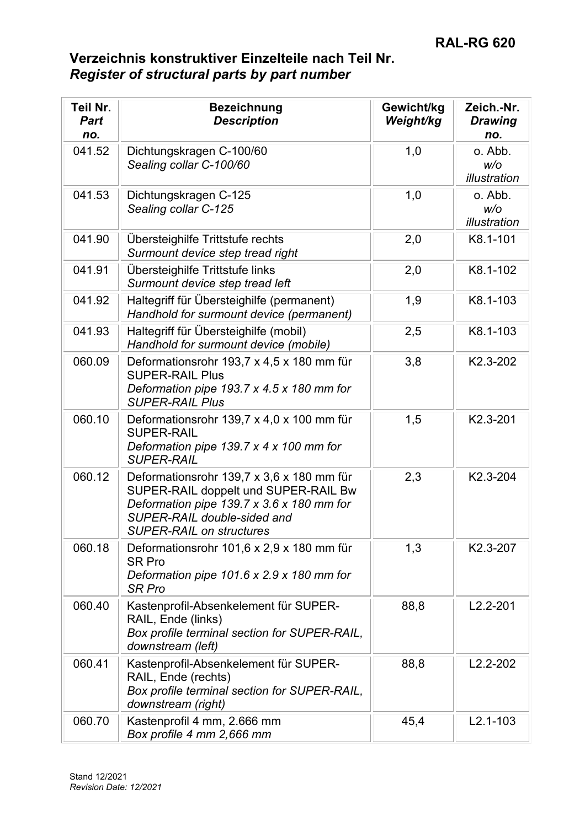| Teil Nr.<br><b>Part</b><br>no. | <b>Bezeichnung</b><br><b>Description</b>                                                                                                                                                         | Gewicht/kg<br>Weight/kg | Zeich.-Nr.<br><b>Drawing</b><br>no. |
|--------------------------------|--------------------------------------------------------------------------------------------------------------------------------------------------------------------------------------------------|-------------------------|-------------------------------------|
| 041.52                         | Dichtungskragen C-100/60<br>Sealing collar C-100/60                                                                                                                                              | 1,0                     | o. Abb.<br>W/O<br>illustration      |
| 041.53                         | Dichtungskragen C-125<br>Sealing collar C-125                                                                                                                                                    | 1,0                     | o. Abb.<br>W/O<br>illustration      |
| 041.90                         | Übersteighilfe Trittstufe rechts<br>Surmount device step tread right                                                                                                                             | 2,0                     | K8.1-101                            |
| 041.91                         | Übersteighilfe Trittstufe links<br>Surmount device step tread left                                                                                                                               | 2,0                     | K8.1-102                            |
| 041.92                         | Haltegriff für Übersteighilfe (permanent)<br>Handhold for surmount device (permanent)                                                                                                            | 1,9                     | K8.1-103                            |
| 041.93                         | Haltegriff für Übersteighilfe (mobil)<br>Handhold for surmount device (mobile)                                                                                                                   | 2,5                     | K8.1-103                            |
| 060.09                         | Deformationsrohr 193,7 x 4,5 x 180 mm für<br><b>SUPER-RAIL Plus</b><br>Deformation pipe 193.7 $x$ 4.5 $x$ 180 mm for<br><b>SUPER-RAIL Plus</b>                                                   | 3,8                     | K2.3-202                            |
| 060.10                         | Deformationsrohr 139,7 x 4,0 x 100 mm für<br><b>SUPER-RAIL</b><br>Deformation pipe 139.7 $x$ 4 $x$ 100 mm for<br><b>SUPER-RAIL</b>                                                               | 1,5                     | K2.3-201                            |
| 060.12                         | Deformationsrohr 139,7 x 3,6 x 180 mm für<br>SUPER-RAIL doppelt und SUPER-RAIL Bw<br>Deformation pipe 139.7 x 3.6 x 180 mm for<br>SUPER-RAIL double-sided and<br><b>SUPER-RAIL on structures</b> | 2,3                     | K2.3-204                            |
| 060.18                         | Deformationsrohr 101,6 x 2,9 x 180 mm für<br><b>SR Pro</b><br>Deformation pipe $101.6 \times 2.9 \times 180$ mm for<br><b>SR Pro</b>                                                             | 1,3                     | K2.3-207                            |
| 060.40                         | Kastenprofil-Absenkelement für SUPER-<br>RAIL, Ende (links)<br>Box profile terminal section for SUPER-RAIL,<br>downstream (left)                                                                 | 88,8                    | $L2.2 - 201$                        |
| 060.41                         | Kastenprofil-Absenkelement für SUPER-<br>RAIL, Ende (rechts)<br>Box profile terminal section for SUPER-RAIL,<br>downstream (right)                                                               | 88,8                    | $L2.2 - 202$                        |
| 060.70                         | Kastenprofil 4 mm, 2.666 mm<br>Box profile 4 mm 2,666 mm                                                                                                                                         | 45,4                    | $L2.1 - 103$                        |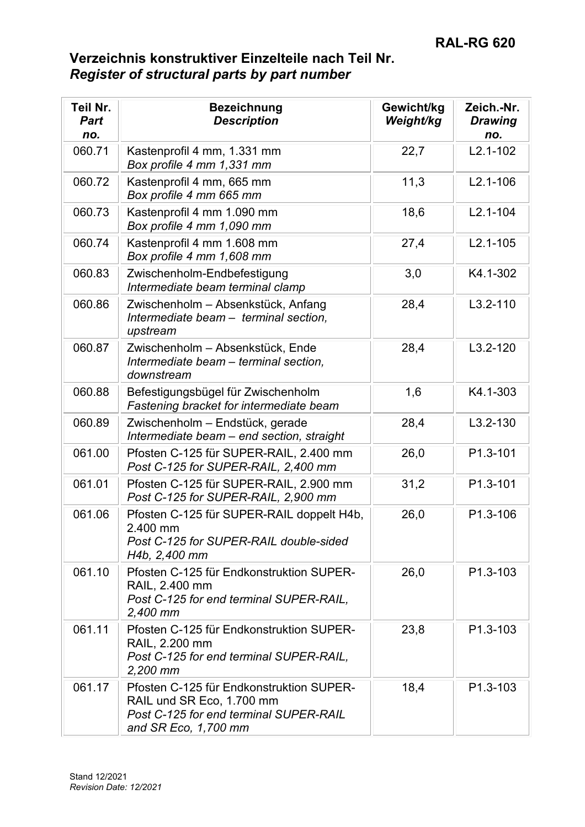| Teil Nr.<br><b>Part</b><br>no. | <b>Bezeichnung</b><br><b>Description</b>                                                                                                | Gewicht/kg<br>Weight/kg | Zeich.-Nr.<br><b>Drawing</b><br>no. |
|--------------------------------|-----------------------------------------------------------------------------------------------------------------------------------------|-------------------------|-------------------------------------|
| 060.71                         | Kastenprofil 4 mm, 1.331 mm<br>Box profile 4 mm 1,331 mm                                                                                | 22,7                    | $L2.1 - 102$                        |
| 060.72                         | Kastenprofil 4 mm, 665 mm<br>Box profile 4 mm 665 mm                                                                                    | 11,3                    | $L2.1 - 106$                        |
| 060.73                         | Kastenprofil 4 mm 1.090 mm<br>Box profile 4 mm 1,090 mm                                                                                 | 18,6                    | $L2.1 - 104$                        |
| 060.74                         | Kastenprofil 4 mm 1.608 mm<br>Box profile 4 mm 1,608 mm                                                                                 | 27,4                    | $L2.1 - 105$                        |
| 060.83                         | Zwischenholm-Endbefestigung<br>Intermediate beam terminal clamp                                                                         | 3,0                     | K4.1-302                            |
| 060.86                         | Zwischenholm - Absenkstück, Anfang<br>Intermediate beam - terminal section,<br>upstream                                                 | 28,4                    | $L3.2 - 110$                        |
| 060.87                         | Zwischenholm - Absenkstück, Ende<br>Intermediate beam - terminal section,<br>downstream                                                 | 28,4                    | $L3.2 - 120$                        |
| 060.88                         | Befestigungsbügel für Zwischenholm<br>Fastening bracket for intermediate beam                                                           | 1,6                     | K4.1-303                            |
| 060.89                         | Zwischenholm - Endstück, gerade<br>Intermediate beam - end section, straight                                                            | 28,4                    | $L3.2 - 130$                        |
| 061.00                         | Pfosten C-125 für SUPER-RAIL, 2.400 mm<br>Post C-125 for SUPER-RAIL, 2,400 mm                                                           | 26,0                    | P1.3-101                            |
| 061.01                         | Pfosten C-125 für SUPER-RAIL, 2.900 mm<br>Post C-125 for SUPER-RAIL, 2,900 mm                                                           | 31,2                    | P1.3-101                            |
| 061.06                         | Pfosten C-125 für SUPER-RAIL doppelt H4b,<br>2.400 mm<br>Post C-125 for SUPER-RAIL double-sided<br>H4b, 2,400 mm                        | 26,0                    | P1.3-106                            |
| 061.10                         | Pfosten C-125 für Endkonstruktion SUPER-<br>RAIL, 2.400 mm<br>Post C-125 for end terminal SUPER-RAIL,<br>2,400 mm                       | 26,0                    | P1.3-103                            |
| 061.11                         | Pfosten C-125 für Endkonstruktion SUPER-<br>RAIL, 2.200 mm<br>Post C-125 for end terminal SUPER-RAIL.<br>2,200 mm                       | 23,8                    | P1.3-103                            |
| 061.17                         | Pfosten C-125 für Endkonstruktion SUPER-<br>RAIL und SR Eco, 1.700 mm<br>Post C-125 for end terminal SUPER-RAIL<br>and SR Eco, 1,700 mm | 18,4                    | P1.3-103                            |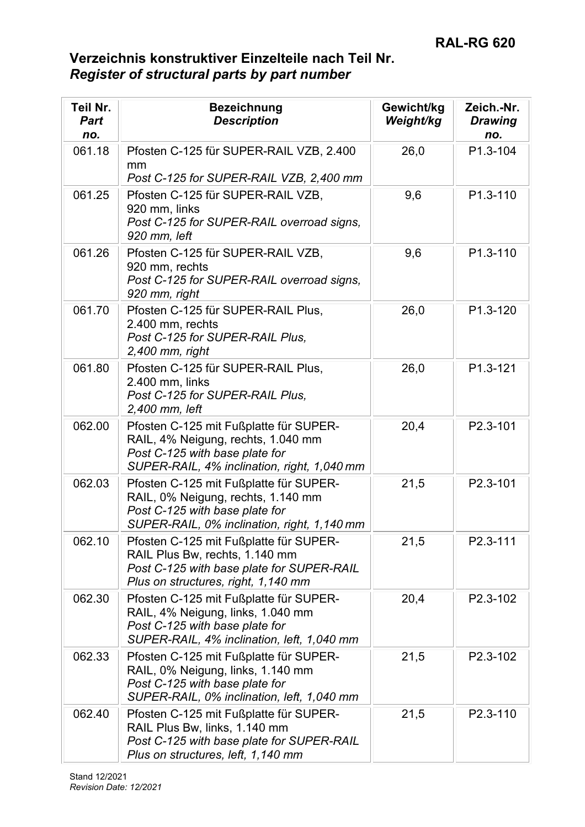| Teil Nr.<br><b>Part</b><br>no. | <b>Bezeichnung</b><br><b>Description</b>                                                                                                                      | Gewicht/kg<br>Weight/kg | Zeich.-Nr.<br><b>Drawing</b><br>no. |
|--------------------------------|---------------------------------------------------------------------------------------------------------------------------------------------------------------|-------------------------|-------------------------------------|
| 061.18                         | Pfosten C-125 für SUPER-RAIL VZB, 2.400<br>mm<br>Post C-125 for SUPER-RAIL VZB, 2,400 mm                                                                      | 26,0                    | P1.3-104                            |
| 061.25                         | Pfosten C-125 für SUPER-RAIL VZB,<br>920 mm, links<br>Post C-125 for SUPER-RAIL overroad signs,<br>920 mm, left                                               | 9,6                     | P1.3-110                            |
| 061.26                         | Pfosten C-125 für SUPER-RAIL VZB,<br>920 mm, rechts<br>Post C-125 for SUPER-RAIL overroad signs,<br>920 mm, right                                             | 9,6                     | P1.3-110                            |
| 061.70                         | Pfosten C-125 für SUPER-RAIL Plus,<br>2.400 mm, rechts<br>Post C-125 for SUPER-RAIL Plus,<br>$2,400$ mm, right                                                | 26,0                    | P1.3-120                            |
| 061.80                         | Pfosten C-125 für SUPER-RAIL Plus,<br>2.400 mm, links<br>Post C-125 for SUPER-RAIL Plus,<br>2,400 mm, left                                                    | 26,0                    | P1.3-121                            |
| 062.00                         | Pfosten C-125 mit Fußplatte für SUPER-<br>RAIL, 4% Neigung, rechts, 1.040 mm<br>Post C-125 with base plate for<br>SUPER-RAIL, 4% inclination, right, 1,040 mm | 20,4                    | P2.3-101                            |
| 062.03                         | Pfosten C-125 mit Fußplatte für SUPER-<br>RAIL, 0% Neigung, rechts, 1.140 mm<br>Post C-125 with base plate for<br>SUPER-RAIL, 0% inclination, right, 1,140 mm | 21,5                    | P2.3-101                            |
| 062.10                         | Pfosten C-125 mit Fußplatte für SUPER-<br>RAIL Plus Bw, rechts, 1.140 mm<br>Post C-125 with base plate for SUPER-RAIL<br>Plus on structures, right, 1,140 mm  | 21,5                    | P2.3-111                            |
| 062.30                         | Pfosten C-125 mit Fußplatte für SUPER-<br>RAIL, 4% Neigung, links, 1.040 mm<br>Post C-125 with base plate for<br>SUPER-RAIL, 4% inclination, left, 1,040 mm   | 20,4                    | P2.3-102                            |
| 062.33                         | Pfosten C-125 mit Fußplatte für SUPER-<br>RAIL, 0% Neigung, links, 1.140 mm<br>Post C-125 with base plate for<br>SUPER-RAIL, 0% inclination, left, 1,040 mm   | 21,5                    | P2.3-102                            |
| 062.40                         | Pfosten C-125 mit Fußplatte für SUPER-<br>RAIL Plus Bw, links, 1.140 mm<br>Post C-125 with base plate for SUPER-RAIL<br>Plus on structures, left, 1,140 mm    | 21,5                    | P2.3-110                            |